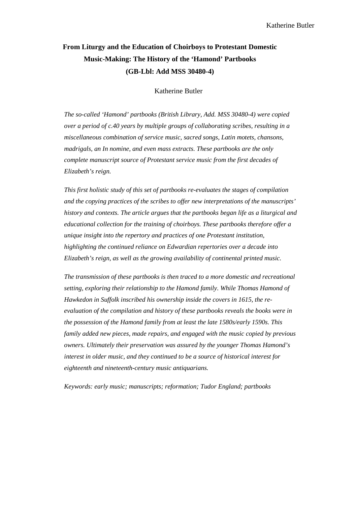# **From Liturgy and the Education of Choirboys to Protestant Domestic Music-Making: The History of the 'Hamond' Partbooks (GB-Lbl: Add MSS 30480-4)**

Katherine Butler

*The so-called 'Hamond' partbooks (British Library, Add. MSS 30480-4) were copied over a period of c.40 years by multiple groups of collaborating scribes, resulting in a miscellaneous combination of service music, sacred songs, Latin motets, chansons, madrigals, an In nomine, and even mass extracts. These partbooks are the only complete manuscript source of Protestant service music from the first decades of Elizabeth's reign.*

*This first holistic study of this set of partbooks re-evaluates the stages of compilation and the copying practices of the scribes to offer new interpretations of the manuscripts' history and contexts. The article argues that the partbooks began life as a liturgical and educational collection for the training of choirboys. These partbooks therefore offer a unique insight into the repertory and practices of one Protestant institution, highlighting the continued reliance on Edwardian repertories over a decade into Elizabeth's reign, as well as the growing availability of continental printed music.*

*The transmission of these partbooks is then traced to a more domestic and recreational setting, exploring their relationship to the Hamond family. While Thomas Hamond of Hawkedon in Suffolk inscribed his ownership inside the covers in 1615, the reevaluation of the compilation and history of these partbooks reveals the books were in the possession of the Hamond family from at least the late 1580s/early 1590s. This family added new pieces, made repairs, and engaged with the music copied by previous owners. Ultimately their preservation was assured by the younger Thomas Hamond's interest in older music, and they continued to be a source of historical interest for eighteenth and nineteenth-century music antiquarians.*

*Keywords: early music; manuscripts; reformation; Tudor England; partbooks*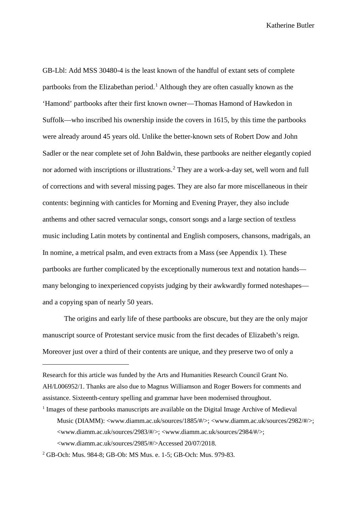GB-Lbl: Add MSS 30480-4 is the least known of the handful of extant sets of complete partbooks from the Elizabethan period.<sup>[1](#page-1-0)</sup> Although they are often casually known as the 'Hamond' partbooks after their first known owner—Thomas Hamond of Hawkedon in Suffolk—who inscribed his ownership inside the covers in 1615, by this time the partbooks were already around 45 years old. Unlike the better-known sets of Robert Dow and John Sadler or the near complete set of John Baldwin, these partbooks are neither elegantly copied nor adorned with inscriptions or illustrations.<sup>[2](#page-1-1)</sup> They are a work-a-day set, well worn and full of corrections and with several missing pages. They are also far more miscellaneous in their contents: beginning with canticles for Morning and Evening Prayer, they also include anthems and other sacred vernacular songs, consort songs and a large section of textless music including Latin motets by continental and English composers, chansons, madrigals, an In nomine, a metrical psalm, and even extracts from a Mass (see Appendix 1). These partbooks are further complicated by the exceptionally numerous text and notation hands many belonging to inexperienced copyists judging by their awkwardly formed noteshapes and a copying span of nearly 50 years.

The origins and early life of these partbooks are obscure, but they are the only major manuscript source of Protestant service music from the first decades of Elizabeth's reign. Moreover just over a third of their contents are unique, and they preserve two of only a

 $\overline{a}$ 

<span id="page-1-0"></span>Research for this article was funded by the Arts and Humanities Research Council Grant No. AH/L006952/1. Thanks are also due to Magnus Williamson and Roger Bowers for comments and assistance. Sixteenth-century spelling and grammar have been modernised throughout.

<sup>1</sup> Images of these partbooks manuscripts are available on the Digital Image Archive of Medieval Music (DIAMM): <www.diamm.ac.uk/sources/1885/#/>; <www.diamm.ac.uk/sources/2982/#/>; <www.diamm.ac.uk/sources/2983/#/>; <www.diamm.ac.uk/sources/2984/#/>; <www.diamm.ac.uk/sources/2985/#/>Accessed 20/07/2018.

<span id="page-1-1"></span><sup>2</sup> GB-Och: Mus. 984-8; GB-Ob: MS Mus. e. 1-5; GB-Och: Mus. 979-83.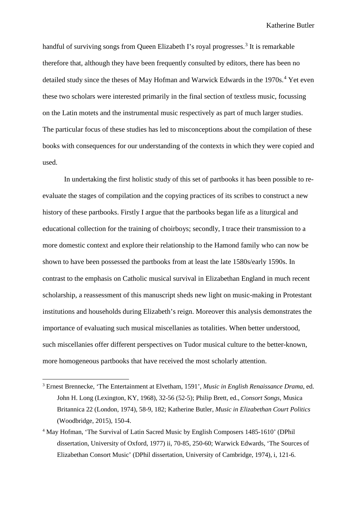handful of surviving songs from Queen Elizabeth I's royal progresses.<sup>[3](#page-2-0)</sup> It is remarkable therefore that, although they have been frequently consulted by editors, there has been no detailed study since the theses of May Hofman and Warwick Edwards in the 1970s.<sup>[4](#page-2-1)</sup> Yet even these two scholars were interested primarily in the final section of textless music, focussing on the Latin motets and the instrumental music respectively as part of much larger studies. The particular focus of these studies has led to misconceptions about the compilation of these books with consequences for our understanding of the contexts in which they were copied and used.

In undertaking the first holistic study of this set of partbooks it has been possible to reevaluate the stages of compilation and the copying practices of its scribes to construct a new history of these partbooks. Firstly I argue that the partbooks began life as a liturgical and educational collection for the training of choirboys; secondly, I trace their transmission to a more domestic context and explore their relationship to the Hamond family who can now be shown to have been possessed the partbooks from at least the late 1580s/early 1590s. In contrast to the emphasis on Catholic musical survival in Elizabethan England in much recent scholarship, a reassessment of this manuscript sheds new light on music-making in Protestant institutions and households during Elizabeth's reign. Moreover this analysis demonstrates the importance of evaluating such musical miscellanies as totalities. When better understood, such miscellanies offer different perspectives on Tudor musical culture to the better-known, more homogeneous partbooks that have received the most scholarly attention.

<span id="page-2-0"></span> <sup>3</sup> Ernest Brennecke, 'The Entertainment at Elvetham, 1591', *Music in English Renaissance Drama*, ed. John H. Long (Lexington, KY, 1968), 32-56 (52-5); Philip Brett, ed., *Consort Songs*, Musica Britannica 22 (London, 1974), 58-9, 182; Katherine Butler, *Music in Elizabethan Court Politics* (Woodbridge, 2015), 150-4.

<span id="page-2-1"></span><sup>4</sup> May Hofman, 'The Survival of Latin Sacred Music by English Composers 1485-1610' (DPhil dissertation, University of Oxford, 1977) ii, 70-85, 250-60; Warwick Edwards, 'The Sources of Elizabethan Consort Music' (DPhil dissertation, University of Cambridge, 1974), i, 121-6.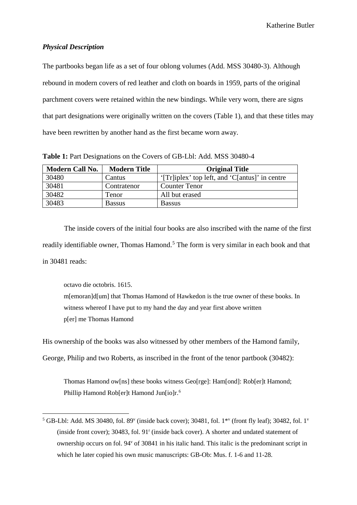## *Physical Description*

The partbooks began life as a set of four oblong volumes (Add. MSS 30480-3). Although rebound in modern covers of red leather and cloth on boards in 1959, parts of the original parchment covers were retained within the new bindings. While very worn, there are signs that part designations were originally written on the covers (Table 1), and that these titles may have been rewritten by another hand as the first became worn away.

| <b>Modern Call No.</b> | <b>Modern Title</b> | <b>Original Title</b>                          |
|------------------------|---------------------|------------------------------------------------|
| 30480                  | Cantus              | '[Tr]iplex' top left, and 'C[antus]' in centre |
| 30481                  | Contratenor         | <b>Counter Tenor</b>                           |
| 30482                  | Tenor               | All but erased                                 |
| 30483                  | <b>Bassus</b>       | <b>Bassus</b>                                  |

**Table 1:** Part Designations on the Covers of GB-Lbl: Add. MSS 30480-4

The inside covers of the initial four books are also inscribed with the name of the first readily identifiable owner, Thomas Hamond.<sup>[5](#page-3-0)</sup> The form is very similar in each book and that in 30481 reads:

octavo die octobris. 1615.

m[emoran]d[um] that Thomas Hamond of Hawkedon is the true owner of these books. In witness whereof I have put to my hand the day and year first above written p[er] me Thomas Hamond

<span id="page-3-1"></span>His ownership of the books was also witnessed by other members of the Hamond family,

George, Philip and two Roberts, as inscribed in the front of the tenor partbook (30482):

Thomas Hamond ow[ns] these books witness Geo[rge]: Ham[ond]: Rob[er]t Hamond; Phillip Hamond Rob[er]t Hamond Jun[io]r.<sup>[6](#page-3-1)</sup>

<span id="page-3-0"></span><sup>&</sup>lt;sup>5</sup> GB-Lbl: Add. MS 30480, fol. 89<sup>v</sup> (inside back cover); 30481, fol. 1<sup>\*v</sup> (front fly leaf); 30482, fol. 1<sup>v</sup> (inside front cover); 30483, fol. 91r (inside back cover). A shorter and undated statement of ownership occurs on fol. 94v of 30841 in his italic hand. This italic is the predominant script in which he later copied his own music manuscripts: GB-Ob: Mus. f. 1-6 and 11-28.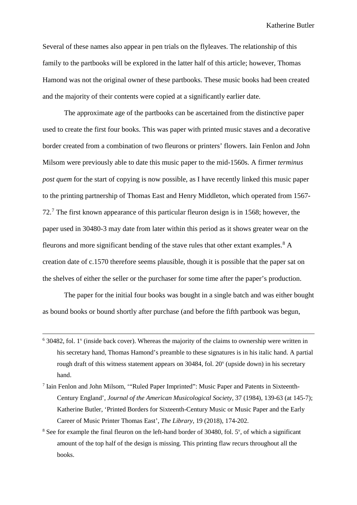Several of these names also appear in pen trials on the flyleaves. The relationship of this family to the partbooks will be explored in the latter half of this article; however, Thomas Hamond was not the original owner of these partbooks. These music books had been created and the majority of their contents were copied at a significantly earlier date.

The approximate age of the partbooks can be ascertained from the distinctive paper used to create the first four books. This was paper with printed music staves and a decorative border created from a combination of two fleurons or printers' flowers. Iain Fenlon and John Milsom were previously able to date this music paper to the mid-1560s. A firmer *terminus post quem* for the start of copying is now possible, as I have recently linked this music paper to the printing partnership of Thomas East and Henry Middleton, which operated from 1567- 72.[7](#page-4-0) The first known appearance of this particular fleuron design is in 1568; however, the paper used in 30480-3 may date from later within this period as it shows greater wear on the fleurons and more significant bending of the stave rules that other extant examples.<sup>[8](#page-4-1)</sup> A creation date of c.1570 therefore seems plausible, though it is possible that the paper sat on the shelves of either the seller or the purchaser for some time after the paper's production.

The paper for the initial four books was bought in a single batch and was either bought as bound books or bound shortly after purchase (and before the fifth partbook was begun,

 $6$  30482, fol. 1<sup>v</sup> (inside back cover). Whereas the majority of the claims to ownership were written in his secretary hand, Thomas Hamond's preamble to these signatures is in his italic hand. A partial rough draft of this witness statement appears on  $30484$ , fol.  $20^{\circ}$  (upside down) in his secretary hand.

<span id="page-4-0"></span><sup>7</sup> Iain Fenlon and John Milsom, '"Ruled Paper Imprinted": Music Paper and Patents in Sixteenth-Century England', *Journal of the American Musicological Society,* 37 (1984), 139-63 (at 145-7); Katherine Butler, 'Printed Borders for Sixteenth-Century Music or Music Paper and the Early Career of Music Printer Thomas East', *The Library*, 19 (2018), 174-202.

<span id="page-4-1"></span> $8$  See for example the final fleuron on the left-hand border of 30480, fol. 5 $\degree$ , of which a significant amount of the top half of the design is missing. This printing flaw recurs throughout all the books.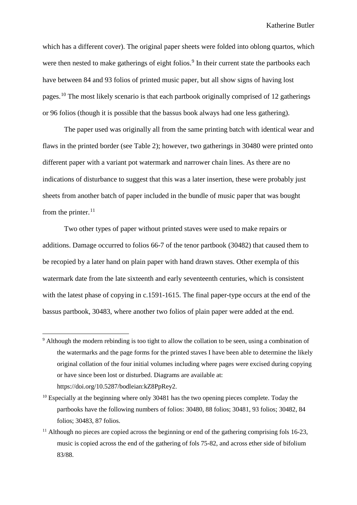which has a different cover). The original paper sheets were folded into oblong quartos, which were then nested to make gatherings of eight folios.<sup>[9](#page-5-0)</sup> In their current state the partbooks each have between 84 and 93 folios of printed music paper, but all show signs of having lost pages.[10](#page-5-1) The most likely scenario is that each partbook originally comprised of 12 gatherings or 96 folios (though it is possible that the bassus book always had one less gathering).

The paper used was originally all from the same printing batch with identical wear and flaws in the printed border (see Table 2); however, two gatherings in 30480 were printed onto different paper with a variant pot watermark and narrower chain lines. As there are no indications of disturbance to suggest that this was a later insertion, these were probably just sheets from another batch of paper included in the bundle of music paper that was bought from the printer. $^{11}$  $^{11}$  $^{11}$ 

Two other types of paper without printed staves were used to make repairs or additions. Damage occurred to folios 66-7 of the tenor partbook (30482) that caused them to be recopied by a later hand on plain paper with hand drawn staves. Other exempla of this watermark date from the late sixteenth and early seventeenth centuries, which is consistent with the latest phase of copying in c.1591-1615. The final paper-type occurs at the end of the bassus partbook, 30483, where another two folios of plain paper were added at the end.

<span id="page-5-0"></span><sup>&</sup>lt;sup>9</sup> Although the modern rebinding is too tight to allow the collation to be seen, using a combination of the watermarks and the page forms for the printed staves I have been able to determine the likely original collation of the four initial volumes including where pages were excised during copying or have since been lost or disturbed. Diagrams are available at: https://doi.org/10.5287/bodleian:kZ8PpRey2.

<span id="page-5-1"></span> $10$  Especially at the beginning where only 30481 has the two opening pieces complete. Today the partbooks have the following numbers of folios: 30480, 88 folios; 30481, 93 folios; 30482, 84 folios; 30483, 87 folios.

<span id="page-5-2"></span> $11$  Although no pieces are copied across the beginning or end of the gathering comprising fols 16-23, music is copied across the end of the gathering of fols 75-82, and across ether side of bifolium 83/88.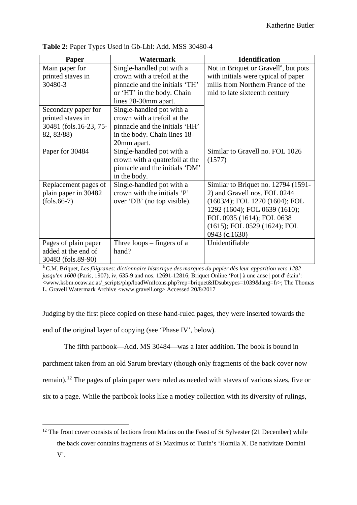| Paper                  | <b>Watermark</b>               | <b>Identification</b>                             |
|------------------------|--------------------------------|---------------------------------------------------|
| Main paper for         | Single-handled pot with a      | Not in Briquet or Gravell <sup>a</sup> , but pots |
| printed staves in      | crown with a trefoil at the    | with initials were typical of paper               |
| 30480-3                | pinnacle and the initials 'TH' | mills from Northern France of the                 |
|                        | or 'HT' in the body. Chain     | mid to late sixteenth century                     |
|                        | lines 28-30mm apart.           |                                                   |
| Secondary paper for    | Single-handled pot with a      |                                                   |
| printed staves in      | crown with a trefoil at the    |                                                   |
| 30481 (fols.16-23, 75- | pinnacle and the initials 'HH' |                                                   |
| 82, 83/88)             | in the body. Chain lines 18-   |                                                   |
|                        | 20mm apart.                    |                                                   |
| Paper for 30484        | Single-handled pot with a      | Similar to Gravell no. FOL 1026                   |
|                        | crown with a quatrefoil at the | (1577)                                            |
|                        | pinnacle and the initials 'DM' |                                                   |
|                        | in the body.                   |                                                   |
| Replacement pages of   | Single-handled pot with a      | Similar to Briquet no. 12794 (1591-               |
| plain paper in 30482   | crown with the initials 'P'    | 2) and Gravell nos. FOL 0244                      |
| $(fols.66-7)$          | over 'DB' (no top visible).    | $(1603/4)$ ; FOL 1270 $(1604)$ ; FOL              |
|                        |                                | 1292 (1604); FOL 0639 (1610);                     |
|                        |                                | FOL 0935 (1614); FOL 0638                         |
|                        |                                | $(1615)$ ; FOL 0529 $(1624)$ ; FOL                |
|                        |                                | 0943 (c.1630)                                     |
| Pages of plain paper   | Three loops $-$ fingers of a   | Unidentifiable                                    |
| added at the end of    | hand?                          |                                                   |
| 30483 (fols.89-90)     |                                |                                                   |

**Table 2:** Paper Types Used in Gb-Lbl: Add. MSS 30480-4

a C.M. Briquet, *Les filigranes: dictionnaire historique des marques du papier dès leur apparition vers 1282 jusqu'en 1600* (Paris, 1907), iv, 635-9 and nos. 12691-12816; Briquet Online 'Pot | à une anse | pot d' étain': <www.ksbm.oeaw.ac.at/\_scripts/php/loadWmIcons.php?rep=briquet&IDsubtypes=1039&lang=fr>; The Thomas L. Gravell Watermark Archive <www.gravell.org> Accessed 20/8/2017

Judging by the first piece copied on these hand-ruled pages, they were inserted towards the end of the original layer of copying (see 'Phase IV', below).

The fifth partbook—Add. MS 30484—was a later addition. The book is bound in parchment taken from an old Sarum breviary (though only fragments of the back cover now remain).[12](#page-6-0) The pages of plain paper were ruled as needed with staves of various sizes, five or six to a page. While the partbook looks like a motley collection with its diversity of rulings,

<span id="page-6-0"></span><sup>&</sup>lt;sup>12</sup> The front cover consists of lections from Matins on the Feast of St Sylvester (21 December) while the back cover contains fragments of St Maximus of Turin's 'Homila X. De nativitate Domini V'.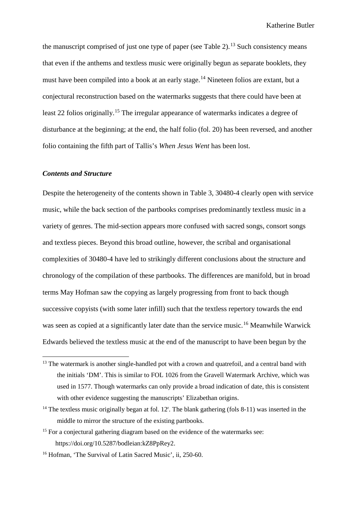the manuscript comprised of just one type of paper (see Table 2).<sup>[13](#page-7-0)</sup> Such consistency means that even if the anthems and textless music were originally begun as separate booklets, they must have been compiled into a book at an early stage.<sup>[14](#page-7-1)</sup> Nineteen folios are extant, but a conjectural reconstruction based on the watermarks suggests that there could have been at least 22 folios originally.<sup>[15](#page-7-2)</sup> The irregular appearance of watermarks indicates a degree of disturbance at the beginning; at the end, the half folio (fol. 20) has been reversed, and another folio containing the fifth part of Tallis's *When Jesus Went* has been lost.

#### *Contents and Structure*

Despite the heterogeneity of the contents shown in Table 3, 30480-4 clearly open with service music, while the back section of the partbooks comprises predominantly textless music in a variety of genres. The mid-section appears more confused with sacred songs, consort songs and textless pieces. Beyond this broad outline, however, the scribal and organisational complexities of 30480-4 have led to strikingly different conclusions about the structure and chronology of the compilation of these partbooks. The differences are manifold, but in broad terms May Hofman saw the copying as largely progressing from front to back though successive copyists (with some later infill) such that the textless repertory towards the end was seen as copied at a significantly later date than the service music.<sup>[16](#page-7-3)</sup> Meanwhile Warwick Edwards believed the textless music at the end of the manuscript to have been begun by the

<span id="page-7-0"></span><sup>&</sup>lt;sup>13</sup> The watermark is another single-handled pot with a crown and quatrefoil, and a central band with the initials 'DM'. This is similar to FOL 1026 from the Gravell Watermark Archive, which was used in 1577. Though watermarks can only provide a broad indication of date, this is consistent with other evidence suggesting the manuscripts' Elizabethan origins.

<span id="page-7-1"></span> $14$  The textless music originally began at fol. 12<sup>r</sup>. The blank gathering (fols 8-11) was inserted in the middle to mirror the structure of the existing partbooks.

<span id="page-7-2"></span><sup>&</sup>lt;sup>15</sup> For a conjectural gathering diagram based on the evidence of the watermarks see: https://doi.org/10.5287/bodleian:kZ8PpRey2.

<span id="page-7-3"></span><sup>&</sup>lt;sup>16</sup> Hofman, 'The Survival of Latin Sacred Music', ii, 250-60.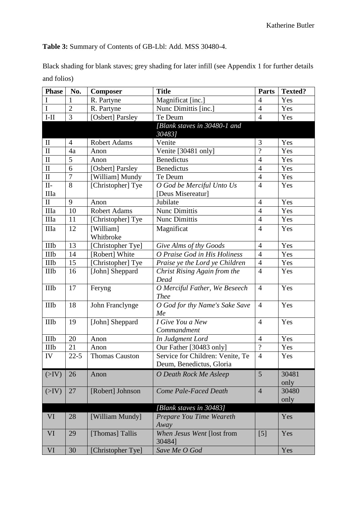**Table 3:** Summary of Contents of GB-Lbl: Add. MSS 30480-4.

Black shading for blank staves; grey shading for later infill (see Appendix 1 for further details and folios)

| <b>Phase</b> | No.                | <b>Composer</b>     | <b>Title</b>                     | Parts                    | <b>Texted?</b> |
|--------------|--------------------|---------------------|----------------------------------|--------------------------|----------------|
| I            | 1                  | R. Partyne          | Magnificat [inc.]                | $\overline{4}$           | Yes            |
| I            | $\overline{2}$     | R. Partyne          | Nunc Dimittis [inc.]             | $\overline{4}$           | Yes            |
| $I-II$       | 3                  | [Osbert] Parsley    | Te Deum                          | $\overline{4}$           | Yes            |
|              |                    |                     | [Blank staves in 30480-1 and     |                          |                |
|              |                    |                     | 30483]                           |                          |                |
| $\rm II$     | $\overline{4}$     | <b>Robert Adams</b> | Venite                           | 3                        | Yes            |
| $\rm II$     | 4a                 | Anon                | Venite [30481 only]              | $\overline{?}$           | Yes            |
| $\rm II$     | 5                  | Anon                | <b>Benedictus</b>                | $\overline{4}$           | Yes            |
| $\rm II$     | 6                  | [Osbert] Parsley    | <b>Benedictus</b>                | $\overline{4}$           | Yes            |
| $\mathbf{I}$ | $\overline{7}$     | [William] Mundy     | Te Deum                          | $\overline{4}$           | Yes            |
| $II-$        | 8                  | [Christopher] Tye   | O God be Merciful Unto Us        | $\overline{4}$           | Yes            |
| IIIa         |                    |                     | [Deus Misereatur]                |                          |                |
| $\mathbf{I}$ | 9                  | Anon                | Jubilate                         | $\overline{4}$           | Yes            |
| IIIa         | 10                 | <b>Robert Adams</b> | <b>Nunc Dimittis</b>             | $\overline{4}$           | Yes            |
| IIIa         | 11                 | [Christopher] Tye   | <b>Nunc Dimittis</b>             | $\overline{4}$           | Yes            |
| IIIa         | 12                 | [William]           | Magnificat                       | $\overline{4}$           | Yes            |
|              |                    | Whitbroke           |                                  |                          |                |
| <b>IIIb</b>  | 13                 | [Christopher Tye]   | Give Alms of thy Goods           | $\overline{4}$           | Yes            |
| IIIb         | 14                 | [Robert] White      | O Praise God in His Holiness     | $\overline{4}$           | Yes            |
| IIIb         | 15                 | [Christopher] Tye   | Praise ye the Lord ye Children   | $\overline{4}$           | Yes            |
| IIIb         | 16                 | [John] Sheppard     | Christ Rising Again from the     | $\overline{4}$           | Yes            |
|              |                    |                     | Dead                             |                          |                |
| <b>IIIb</b>  | 17                 | Feryng              | O Merciful Father, We Beseech    | $\overline{4}$           | Yes            |
|              |                    |                     | <b>Thee</b>                      |                          |                |
| <b>IIIb</b>  | 18                 | John Franclynge     | O God for thy Name's Sake Save   | $\overline{4}$           | Yes            |
|              |                    |                     | Me                               |                          |                |
| <b>IIIb</b>  | 19                 | [John] Sheppard     | I Give You a New                 | $\overline{4}$           | Yes            |
|              |                    |                     | Commandment                      |                          |                |
| IIIb         | 20                 | Anon                | In Judgment Lord                 | $\overline{4}$           | Yes            |
| IIIb         | 21                 | Anon                | Our Father [30483 only]          | $\overline{\mathcal{L}}$ | Yes            |
| ${\rm IV}$   | $\overline{2}$ 2-5 | Thomas Causton      | Service for Children: Venite, Te | $\overline{4}$           | Yes            |
|              |                    |                     | Deum, Benedictus, Gloria         |                          |                |
| (>IV)        | 26                 | Anon                | O Death Rock Me Asleep           | 5                        | 30481          |
|              |                    |                     |                                  |                          | only           |
| (>IV)        | 27                 | [Robert] Johnson    | <b>Come Pale-Faced Death</b>     | $\overline{4}$           | 30480          |
|              |                    |                     |                                  |                          | only           |
|              |                    |                     | [Blank staves in 30483]          |                          |                |
| VI           | 28                 | [William Mundy]     | Prepare You Time Weareth         |                          | Yes            |
|              |                    |                     | Away                             |                          |                |
| VI           | 29                 | [Thomas] Tallis     | When Jesus Went [lost from       | [5]                      | Yes            |
|              |                    |                     | 30484]                           |                          |                |
| VI           | 30                 | [Christopher Tye]   | Save Me O God                    |                          | Yes            |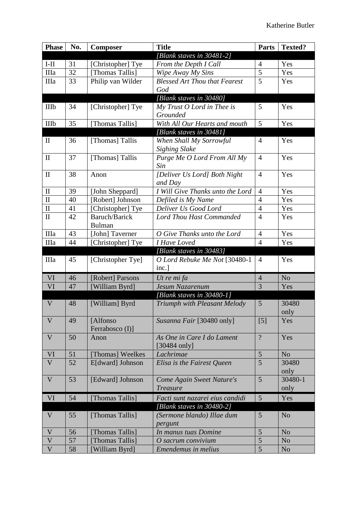| <b>Phase</b> | No. | <b>Composer</b>   | <b>Title</b>                                 | Parts               | <b>Texted?</b> |
|--------------|-----|-------------------|----------------------------------------------|---------------------|----------------|
|              |     |                   | [Blank staves in $30481-2$ ]                 |                     |                |
| $I-II$       | 31  | [Christopher] Tye | From the Depth I Call                        | $\overline{4}$      | Yes            |
| IIIa         | 32  | [Thomas Tallis]   | Wipe Away My Sins                            | 5                   | Yes            |
| IIIa         | 33  | Philip van Wilder | <b>Blessed Art Thou that Fearest</b>         | 5                   | Yes            |
|              |     |                   | God                                          |                     |                |
|              |     |                   | [Blank staves in 30480]                      |                     |                |
| IIIb         | 34  | [Christopher] Tye | $My$ Trust $O$ Lord in Thee is               | 5                   | Yes            |
|              |     |                   | Grounded                                     |                     |                |
| IIIb         | 35  | [Thomas Tallis]   | With All Our Hearts and mouth                | 5                   | Yes            |
|              |     |                   | [Blank staves in 30481]                      |                     |                |
| $\mathbf{I}$ | 36  | [Thomas] Tallis   | When Shall My Sorrowful                      | $\overline{4}$      | Yes            |
|              |     |                   | <b>Sighing Slake</b>                         |                     |                |
| $\mathbf{I}$ | 37  | [Thomas] Tallis   | Purge Me O Lord From All My                  | $\overline{4}$      | Yes            |
|              |     |                   | Sin                                          |                     |                |
| $\mathbf{I}$ | 38  | Anon              | [Deliver Us Lord] Both Night                 | $\overline{4}$      | Yes            |
|              |     |                   | and Day                                      |                     |                |
| $\rm II$     | 39  | [John Sheppard]   | I Will Give Thanks unto the Lord             | $\overline{4}$      | Yes            |
| $\mathbf{I}$ | 40  | [Robert] Johnson  | Defiled is My Name                           | $\overline{4}$      | Yes            |
| $\rm II$     | 41  | [Christopher] Tye | Deliver Us Good Lord                         | $\overline{4}$      | Yes            |
| $\mathbf{I}$ | 42  | Baruch/Barick     | <b>Lord Thou Hast Commanded</b>              | $\overline{4}$      | Yes            |
|              |     | <b>Bulman</b>     |                                              |                     |                |
| <b>IIIa</b>  | 43  | [John] Taverner   | O Give Thanks unto the Lord                  | $\overline{4}$      | Yes            |
| <b>IIIa</b>  | 44  | [Christopher] Tye | <b>I Have Loved</b>                          | $\overline{4}$      | Yes            |
|              |     |                   | [Blank staves in 30483]                      |                     |                |
| IIIa         | 45  | [Christopher Tye] | O Lord Rebuke Me Not [30480-1                | $\overline{4}$      | Yes            |
|              |     |                   | inc.]                                        |                     |                |
| VI           | 46  | [Robert] Parsons  | Ut re mi fa                                  | $\overline{4}$      | N <sub>o</sub> |
| VI           | 47  | [William Byrd]    | Jesum Nazarenum                              | $\overline{3}$      | Yes            |
|              |     |                   | [Blank staves in 30480-1]                    |                     |                |
| $\mathbf V$  | 48  | [William] Byrd    | Triumph with Pleasant Melody                 | 5                   | 30480          |
|              |     |                   |                                              |                     | only           |
| V            | 49  | [Alfonso]         | Susanna Fair [30480 only]                    | [5]                 | Yes            |
|              |     | Ferrabosco (I)]   |                                              |                     |                |
| V            | 50  | Anon              | As One in Care I do Lament                   | $\overline{?}$      | Yes            |
|              |     |                   | $[30484 \text{ only}]$                       |                     |                |
| VI           | 51  | [Thomas] Weelkes  | Lachrimae                                    | 5<br>$\overline{5}$ | N <sub>o</sub> |
| $\mathbf{V}$ | 52  | E[dward] Johnson  | Elisa is the Fairest Queen                   |                     | 30480          |
|              | 53  |                   |                                              | 5                   | only           |
| V            |     | [Edward] Johnson  | Come Again Sweet Nature's<br><b>Treasure</b> |                     | 30480-1        |
|              |     |                   |                                              |                     | only           |
| VI           | 54  | [Thomas Tallis]   | Facti sunt nazarei eius candidi              | 5                   | Yes            |
|              |     |                   | [Blank staves in $30480-2$ ]                 |                     |                |
| $\mathbf V$  | 55  | [Thomas Tallis]   | (Sermone blando) Illae dum                   | 5                   | N <sub>o</sub> |
|              |     |                   | pergunt                                      |                     |                |
| V            | 56  | [Thomas Tallis]   | In manus tuas Domine                         | 5                   | N <sub>o</sub> |
| $\mathbf V$  | 57  | [Thomas Tallis]   | O sacrum convivium                           | 5                   | N <sub>o</sub> |
| $\mathbf{V}$ | 58  | [William Byrd]    | <b>Emendemus in melius</b>                   | 5                   | N <sub>o</sub> |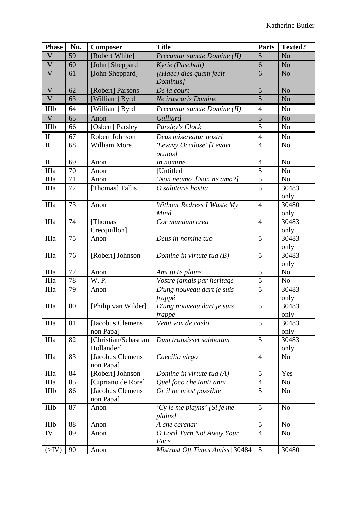| <b>Phase</b>              | No. | <b>Composer</b>                    | <b>Title</b>                    | <b>Parts</b>   | <b>Texted?</b> |
|---------------------------|-----|------------------------------------|---------------------------------|----------------|----------------|
| $\mathbf V$               | 59  | [Robert White]                     | Precamur sancte Domine (II)     | 5              | N <sub>o</sub> |
| $\boldsymbol{\mathrm{V}}$ | 60  | [John] Sheppard                    | Kyrie (Paschali)                | 6              | N <sub>o</sub> |
| $\overline{\mathsf{V}}$   | 61  | [John Sheppard]                    | [(Haec) dies quam fecit         | 6              | N <sub>o</sub> |
|                           |     |                                    | Dominus]                        |                |                |
| $\mathbf V$               | 62  | [Robert] Parsons                   | De la court                     | 5              | N <sub>o</sub> |
| $\mathbf V$               | 63  | [William] Byrd                     | Ne irascaris Domine             | $\overline{5}$ | No             |
| IIIb                      | 64  | [William] Byrd                     | Precamur sancte Domine (II)     | $\overline{4}$ | N <sub>o</sub> |
| $\mathbf V$               | 65  | Anon                               | Galliard                        | 5              | N <sub>o</sub> |
| IIIb                      | 66  | [Osbert] Parsley                   | Parsley's Clock                 | 5              | No             |
| $\mathop{\rm II}$         | 67  | Robert Johnson                     | Deus misereatur nostri          | $\overline{4}$ | No             |
| $\mathbf{I}$              | 68  | William More                       | 'Levavy Occilose' [Levavi       | $\overline{4}$ | No             |
|                           |     |                                    | <i>oculos]</i>                  |                |                |
| $\mathbf{I}$              | 69  | Anon                               | In nomine                       | $\overline{4}$ | No             |
| <b>IIIa</b>               | 70  | Anon                               | [Untitled]                      | 5              | No             |
| IIIa                      | 71  | Anon                               | 'Non neamo' [Non ne amo?]       | 5              | N <sub>o</sub> |
| IIIa                      | 72  | [Thomas] Tallis                    | O salutaris hostia              | $\overline{5}$ | 30483          |
|                           |     |                                    |                                 |                | only           |
| <b>IIIa</b>               | 73  | Anon                               | Without Redress I Waste My      | $\overline{4}$ | 30480          |
|                           |     |                                    | Mind                            |                | only           |
| <b>IIIa</b>               | 74  | [Thomas]                           | Cor mundum crea                 | $\overline{4}$ | 30483          |
|                           |     | Crecquillon]                       |                                 |                | only           |
| <b>IIIa</b>               | 75  | Anon                               | Deus in nomine tuo              | 5              | 30483          |
|                           |     |                                    |                                 |                | only           |
| <b>IIIa</b>               | 76  | [Robert] Johnson                   | Domine in virtute tua $(B)$     | 5              | 30483          |
|                           |     |                                    |                                 |                | only           |
| IIIa                      | 77  | Anon                               | Ami tu te plains                | 5              | No             |
| IIIa                      | 78  | W.P.                               | Vostre jamais par heritage      | 5              | N <sub>0</sub> |
| IIIa                      | 79  | Anon                               | D'ung nouveau dart je suis      | 5              | 30483          |
|                           |     |                                    | frappé                          |                | only           |
| IIIa                      | 80  | [Philip van Wilder]                | D'ung nouveau dart je suis      | 5              | 30483          |
|                           |     |                                    | frappé                          |                | only           |
| IIIa                      | 81  | [Jacobus Clemens                   | Venit vox de caelo              | 5              | 30483          |
| IIIa                      | 82  | non Papa]                          | Dum transisset sabbatum         | 5              | only<br>30483  |
|                           |     | [Christian/Sebastian<br>Hollander] |                                 |                | only           |
| IIIa                      | 83  | [Jacobus Clemens                   | Caecilia virgo                  | $\overline{4}$ | N <sub>o</sub> |
|                           |     | non Papa]                          |                                 |                |                |
| IIIa                      | 84  | [Robert] Johnson                   | Domine in virtute tua $(A)$     | 5              | Yes            |
| IIIa                      | 85  | [Cipriano de Rore]                 | Quel foco che tanti anni        | $\overline{4}$ | No             |
| IIIb                      | 86  | [Jacobus Clemens                   | Or il ne m'est possible         | 5              | No             |
|                           |     | non Papa]                          |                                 |                |                |
| IIIb                      | 87  | Anon                               | 'Cy je me playns' [Si je me     | 5              | N <sub>o</sub> |
|                           |     |                                    | plains]                         |                |                |
| IIIb                      | 88  | Anon                               | A che cerchar                   | 5              | N <sub>o</sub> |
| IV                        | 89  | Anon                               | O Lord Turn Not Away Your       | $\overline{4}$ | No             |
|                           |     |                                    | Face                            |                |                |
| $(>\!\! V\rangle)$        | 90  | Anon                               | Mistrust Oft Times Amiss [30484 | 5              | 30480          |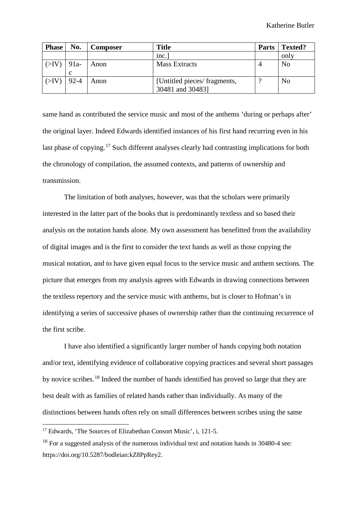| <b>Phase</b>   | No.      | <b>Composer</b> | <b>Title</b>                                     | <b>Parts</b> | <b>Texted?</b> |
|----------------|----------|-----------------|--------------------------------------------------|--------------|----------------|
|                |          |                 | inc.                                             |              | only           |
| $(SIV)$   91a- | C        | Anon            | Mass Extracts                                    | 4            | N <sub>o</sub> |
| (SIV)          | $92 - 4$ | Anon            | [Untitled pieces/ fragments,<br>30481 and 30483] |              | N <sub>0</sub> |

same hand as contributed the service music and most of the anthems 'during or perhaps after' the original layer. Indeed Edwards identified instances of his first hand recurring even in his last phase of copying.<sup>[17](#page-11-0)</sup> Such different analyses clearly had contrasting implications for both the chronology of compilation, the assumed contexts, and patterns of ownership and transmission.

The limitation of both analyses, however, was that the scholars were primarily interested in the latter part of the books that is predominantly textless and so based their analysis on the notation hands alone. My own assessment has benefitted from the availability of digital images and is the first to consider the text hands as well as those copying the musical notation, and to have given equal focus to the service music and anthem sections. The picture that emerges from my analysis agrees with Edwards in drawing connections between the textless repertory and the service music with anthems, but is closer to Hofman's in identifying a series of successive phases of ownership rather than the continuing recurrence of the first scribe.

I have also identified a significantly larger number of hands copying both notation and/or text, identifying evidence of collaborative copying practices and several short passages by novice scribes.[18](#page-11-1) Indeed the number of hands identified has proved so large that they are best dealt with as families of related hands rather than individually. As many of the distinctions between hands often rely on small differences between scribes using the same

<span id="page-11-0"></span> <sup>17</sup> Edwards, 'The Sources of Elizabethan Consort Music', i, 121-5.

<span id="page-11-1"></span> $18$  For a suggested analysis of the numerous individual text and notation hands in 30480-4 see: https://doi.org/10.5287/bodleian:kZ8PpRey2.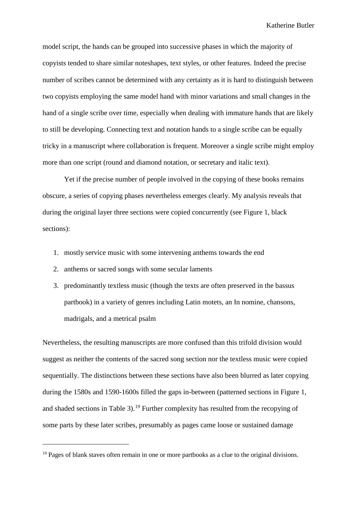model script, the hands can be grouped into successive phases in which the majority of copyists tended to share similar noteshapes, text styles, or other features. Indeed the precise number of scribes cannot be determined with any certainty as it is hard to distinguish between two copyists employing the same model hand with minor variations and small changes in the hand of a single scribe over time, especially when dealing with immature hands that are likely to still be developing. Connecting text and notation hands to a single scribe can be equally tricky in a manuscript where collaboration is frequent. Moreover a single scribe might employ more than one script (round and diamond notation, or secretary and italic text).

Yet if the precise number of people involved in the copying of these books remains obscure, a series of copying phases nevertheless emerges clearly. My analysis reveals that during the original layer three sections were copied concurrently (see Figure 1, black sections):

- 1. mostly service music with some intervening anthems towards the end
- 2. anthems or sacred songs with some secular laments

 $\overline{a}$ 

3. predominantly textless music (though the texts are often preserved in the bassus partbook) in a variety of genres including Latin motets, an In nomine, chansons, madrigals, and a metrical psalm

Nevertheless, the resulting manuscripts are more confused than this trifold division would suggest as neither the contents of the sacred song section nor the textless music were copied sequentially. The distinctions between these sections have also been blurred as later copying during the 1580s and 1590-1600s filled the gaps in-between (patterned sections in Figure 1, and shaded sections in Table 3).[19](#page-12-0) Further complexity has resulted from the recopying of some parts by these later scribes, presumably as pages came loose or sustained damage

<span id="page-12-0"></span> $19$  Pages of blank staves often remain in one or more partbooks as a clue to the original divisions.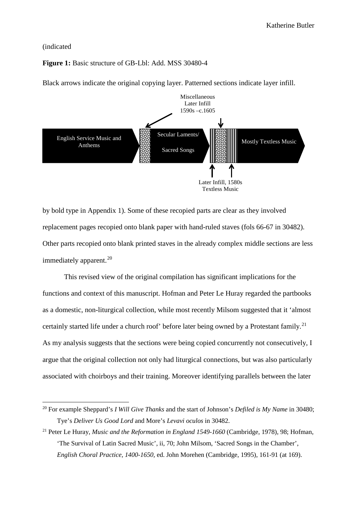#### (indicated

## **Figure 1:** Basic structure of GB-Lbl: Add. MSS 30480-4

Black arrows indicate the original copying layer. Patterned sections indicate layer infill.



by bold type in Appendix 1). Some of these recopied parts are clear as they involved replacement pages recopied onto blank paper with hand-ruled staves (fols 66-67 in 30482). Other parts recopied onto blank printed staves in the already complex middle sections are less immediately apparent.<sup>[20](#page-13-0)</sup>

This revised view of the original compilation has significant implications for the functions and context of this manuscript. Hofman and Peter Le Huray regarded the partbooks as a domestic, non-liturgical collection, while most recently Milsom suggested that it 'almost certainly started life under a church roof' before later being owned by a Protestant family.<sup>[21](#page-13-1)</sup> As my analysis suggests that the sections were being copied concurrently not consecutively, I argue that the original collection not only had liturgical connections, but was also particularly associated with choirboys and their training. Moreover identifying parallels between the later

<span id="page-13-0"></span> <sup>20</sup> For example Sheppard's *I Will Give Thanks* and the start of Johnson's *Defiled is My Name* in 30480; Tye's *Deliver Us Good Lord* and More's *Levavi oculos* in 30482.

<span id="page-13-1"></span><sup>21</sup> Peter Le Huray, *Music and the Reformation in England 1549-1660* (Cambridge, 1978), 98; Hofman, 'The Survival of Latin Sacred Music', ii, 70; John Milsom, 'Sacred Songs in the Chamber', *English Choral Practice, 1400-1650,* ed. John Morehen (Cambridge, 1995), 161-91 (at 169).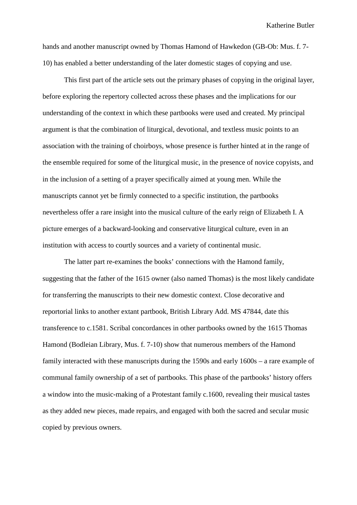hands and another manuscript owned by Thomas Hamond of Hawkedon (GB-Ob: Mus. f. 7- 10) has enabled a better understanding of the later domestic stages of copying and use.

This first part of the article sets out the primary phases of copying in the original layer, before exploring the repertory collected across these phases and the implications for our understanding of the context in which these partbooks were used and created. My principal argument is that the combination of liturgical, devotional, and textless music points to an association with the training of choirboys, whose presence is further hinted at in the range of the ensemble required for some of the liturgical music, in the presence of novice copyists, and in the inclusion of a setting of a prayer specifically aimed at young men. While the manuscripts cannot yet be firmly connected to a specific institution, the partbooks nevertheless offer a rare insight into the musical culture of the early reign of Elizabeth I. A picture emerges of a backward-looking and conservative liturgical culture, even in an institution with access to courtly sources and a variety of continental music.

The latter part re-examines the books' connections with the Hamond family, suggesting that the father of the 1615 owner (also named Thomas) is the most likely candidate for transferring the manuscripts to their new domestic context. Close decorative and reportorial links to another extant partbook, British Library Add. MS 47844, date this transference to c.1581. Scribal concordances in other partbooks owned by the 1615 Thomas Hamond (Bodleian Library, Mus. f. 7-10) show that numerous members of the Hamond family interacted with these manuscripts during the 1590s and early 1600s – a rare example of communal family ownership of a set of partbooks. This phase of the partbooks' history offers a window into the music-making of a Protestant family c.1600, revealing their musical tastes as they added new pieces, made repairs, and engaged with both the sacred and secular music copied by previous owners.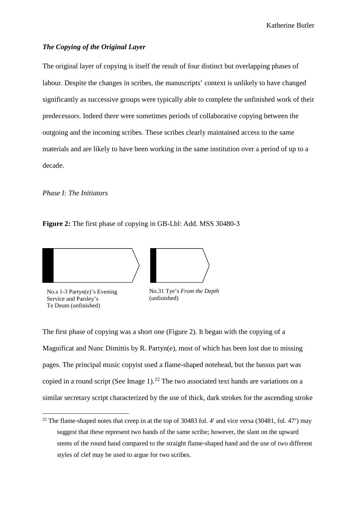## *The Copying of the Original Layer*

The original layer of copying is itself the result of four distinct but overlapping phases of labour. Despite the changes in scribes, the manuscripts' context is unlikely to have changed significantly as successive groups were typically able to complete the unfinished work of their predecessors. Indeed there were sometimes periods of collaborative copying between the outgoing and the incoming scribes. These scribes clearly maintained access to the same materials and are likely to have been working in the same institution over a period of up to a decade.

*Phase I: The Initiators*

**Figure 2:** The first phase of copying in GB-Lbl: Add. MSS 30480-3





No.s 1-3 Partyn(e)'s Evening Service and Parsley's Te Deum (unfinished)

No.31 Tye's *From the Depth* (unfinished)

The first phase of copying was a short one (Figure 2). It began with the copying of a Magnificat and Nunc Dimittis by R. Partyn(e), most of which has been lost due to missing pages. The principal music copyist used a flame-shaped notehead, but the bassus part was copied in a round script (See Image 1).<sup>[22](#page-15-0)</sup> The two associated text hands are variations on a similar secretary script characterized by the use of thick, dark strokes for the ascending stroke

<span id="page-15-0"></span><sup>&</sup>lt;sup>22</sup> The flame-shaped notes that creep in at the top of 30483 fol. 4<sup>r</sup> and vice versa (30481, fol. 47<sup>v</sup>) may suggest that these represent two hands of the same scribe; however, the slant on the upward stems of the round hand compared to the straight flame-shaped hand and the use of two different styles of clef may be used to argue for two scribes.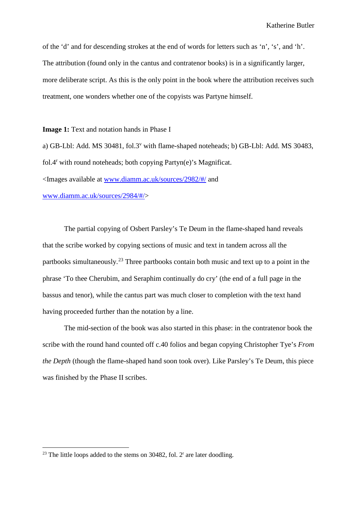of the 'd' and for descending strokes at the end of words for letters such as 'n', 's', and 'h'. The attribution (found only in the cantus and contratenor books) is in a significantly larger, more deliberate script. As this is the only point in the book where the attribution receives such treatment, one wonders whether one of the copyists was Partyne himself.

**Image 1:** Text and notation hands in Phase I

a) GB-Lbl: Add. MS 30481, fol.3<sup>v</sup> with flame-shaped noteheads; b) GB-Lbl: Add. MS 30483, fol.4<sup>r</sup> with round noteheads; both copying Partyn(e)'s Magnificat. <Images available at [www.diamm.ac.uk/sources/2982/#/](http://www.diamm.ac.uk/sources/2982/#/) and [www.diamm.ac.uk/sources/2984/#/>](http://www.diamm.ac.uk/sources/2984/#/)

The partial copying of Osbert Parsley's Te Deum in the flame-shaped hand reveals that the scribe worked by copying sections of music and text in tandem across all the partbooks simultaneously.[23](#page-16-0) Three partbooks contain both music and text up to a point in the phrase 'To thee Cherubim, and Seraphim continually do cry' (the end of a full page in the bassus and tenor), while the cantus part was much closer to completion with the text hand having proceeded further than the notation by a line.

The mid-section of the book was also started in this phase: in the contratenor book the scribe with the round hand counted off c.40 folios and began copying Christopher Tye's *From the Depth* (though the flame-shaped hand soon took over). Like Parsley's Te Deum, this piece was finished by the Phase II scribes.

<span id="page-16-0"></span><sup>&</sup>lt;sup>23</sup> The little loops added to the stems on 30482, fol.  $2<sup>r</sup>$  are later doodling.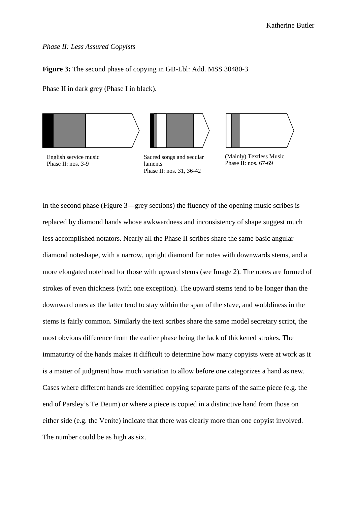## *Phase II: Less Assured Copyists*

## **Figure 3:** The second phase of copying in GB-Lbl: Add. MSS 30480-3

Phase II in dark grey (Phase I in black).



English service music Phase II: nos. 3-9

Sacred songs and secular laments Phase II: nos. 31, 36-42



(Mainly) Textless Music Phase II: nos. 67-69

In the second phase (Figure 3––grey sections) the fluency of the opening music scribes is replaced by diamond hands whose awkwardness and inconsistency of shape suggest much less accomplished notators. Nearly all the Phase II scribes share the same basic angular diamond noteshape, with a narrow, upright diamond for notes with downwards stems, and a more elongated notehead for those with upward stems (see Image 2). The notes are formed of strokes of even thickness (with one exception). The upward stems tend to be longer than the downward ones as the latter tend to stay within the span of the stave, and wobbliness in the stems is fairly common. Similarly the text scribes share the same model secretary script, the most obvious difference from the earlier phase being the lack of thickened strokes. The immaturity of the hands makes it difficult to determine how many copyists were at work as it is a matter of judgment how much variation to allow before one categorizes a hand as new. Cases where different hands are identified copying separate parts of the same piece (e.g. the end of Parsley's Te Deum) or where a piece is copied in a distinctive hand from those on either side (e.g. the Venite) indicate that there was clearly more than one copyist involved. The number could be as high as six.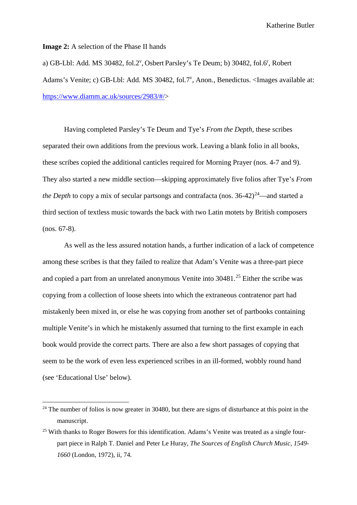**Image 2:** A selection of the Phase II hands

a) GB-Lbl: Add. MS 30482, fol.2<sup>v</sup>, Osbert Parsley's Te Deum; b) 30482, fol.6<sup>r</sup>, Robert Adams's Venite; c) GB-Lbl: Add. MS 30482, fol.7<sup>v</sup>, Anon., Benedictus. <Images available at: [https://www.diamm.ac.uk/sources/2983/#/>](https://www.diamm.ac.uk/sources/2983/#/)

Having completed Parsley's Te Deum and Tye's *From the Depth*, these scribes separated their own additions from the previous work. Leaving a blank folio in all books, these scribes copied the additional canticles required for Morning Prayer (nos. 4-7 and 9). They also started a new middle section—skipping approximately five folios after Tye's *From the Depth* to copy a mix of secular partsongs and contrafacta (nos.  $36-42)^{24}$  $36-42)^{24}$  $36-42)^{24}$ —and started a third section of textless music towards the back with two Latin motets by British composers (nos. 67-8).

As well as the less assured notation hands, a further indication of a lack of competence among these scribes is that they failed to realize that Adam's Venite was a three-part piece and copied a part from an unrelated anonymous Venite into 30481.<sup>[25](#page-18-1)</sup> Either the scribe was copying from a collection of loose sheets into which the extraneous contratenor part had mistakenly been mixed in, or else he was copying from another set of partbooks containing multiple Venite's in which he mistakenly assumed that turning to the first example in each book would provide the correct parts. There are also a few short passages of copying that seem to be the work of even less experienced scribes in an ill-formed, wobbly round hand (see 'Educational Use' below).

<span id="page-18-0"></span><sup>&</sup>lt;sup>24</sup> The number of folios is now greater in 30480, but there are signs of disturbance at this point in the manuscript.

<span id="page-18-1"></span><sup>&</sup>lt;sup>25</sup> With thanks to Roger Bowers for this identification. Adams's Venite was treated as a single fourpart piece in Ralph T. Daniel and Peter Le Huray, *The Sources of English Church Music, 1549- 1660* (London, 1972), ii, 74.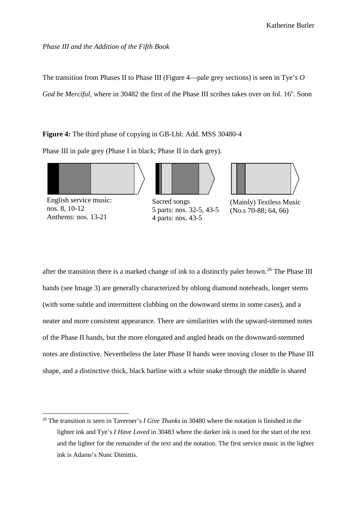## *Phase III and the Addition of the Fifth Book*

The transition from Phases II to Phase III (Figure 4––pale grey sections) is seen in Tye's *O*  God be Merciful, where in 30482 the first of the Phase III scribes takes over on fol. 16<sup>v</sup>. Soon

**Figure 4:** The third phase of copying in GB-Lbl: Add. MSS 30480-4

Phase III in pale grey (Phase I in black; Phase II in dark grey).





English service music: nos. 8, 10-12 Anthems: nos. 13-21

Sacred songs 5 parts: nos. 32-5, 43-5 4 parts: nos. 43-5



(Mainly) Textless Music (No.s 70-88; 64, 66)

after the transition there is a marked change of ink to a distinctly paler brown.<sup>[26](#page-19-0)</sup> The Phase III hands (see Image 3) are generally characterized by oblong diamond noteheads, longer stems (with some subtle and intermittent clubbing on the downward stems in some cases), and a neater and more consistent appearance. There are similarities with the upward-stemmed notes of the Phase II hands, but the more elongated and angled heads on the downward-stemmed notes are distinctive. Nevertheless the later Phase II hands were moving closer to the Phase III shape, and a distinctive thick, black barline with a white snake through the middle is shared

<span id="page-19-0"></span> <sup>26</sup> The transition is seen in Taverner's *I Give Thanks* in 30480 where the notation is finished in the lighter ink and Tye's *I Have Loved* in 30483 where the darker ink is used for the start of the text and the lighter for the remainder of the text and the notation. The first service music in the lighter ink is Adams's Nunc Dimittis.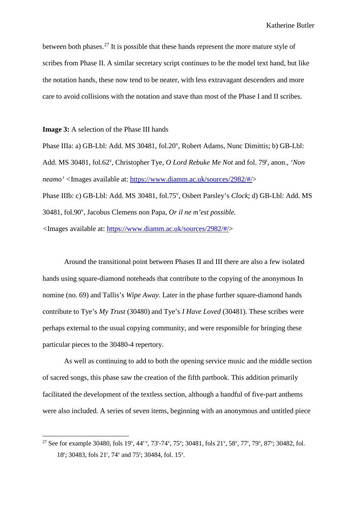between both phases.<sup>[27](#page-20-0)</sup> It is possible that these hands represent the more mature style of scribes from Phase II. A similar secretary script continues to be the model text hand, but like the notation hands, these now tend to be neater, with less extravagant descenders and more care to avoid collisions with the notation and stave than most of the Phase I and II scribes.

**Image 3:** A selection of the Phase III hands

Phase IIIa: a) GB-Lbl: Add. MS 30481, fol.20<sup>v</sup>, Robert Adams, Nunc Dimittis; b) GB-Lbl: Add. MS 30481, fol.62<sup>v</sup>, Christopher Tye, *O Lord Rebuke Me Not* and fol. 79<sup>r</sup>, anon., *'Non neamo' <*Images available at: [https://www.diamm.ac.uk/sources/2982/#/>](https://www.diamm.ac.uk/sources/2982/#/) Phase IIIb: c) GB-Lbl: Add. MS 30481, fol.75<sup>v</sup>, Osbert Parsley's *Clock*; d) GB-Lbl: Add. MS 30481, fol.90<sup>v</sup>, Jacobus Clemens non Papa, Or il ne m'est possible. *<*Images available at: [https://www.diamm.ac.uk/sources/2982/#/>](https://www.diamm.ac.uk/sources/2982/#/)

Around the transitional point between Phases II and III there are also a few isolated hands using square-diamond noteheads that contribute to the copying of the anonymous In nomine (no. 69) and Tallis's *Wipe Away*. Later in the phase further square-diamond hands contribute to Tye's *My Trust* (30480) and Tye's *I Have Loved* (30481). These scribes were perhaps external to the usual copying community, and were responsible for bringing these particular pieces to the 30480-4 repertory.

As well as continuing to add to both the opening service music and the middle section of sacred songs, this phase saw the creation of the fifth partbook. This addition primarily facilitated the development of the textless section, although a handful of five-part anthems were also included. A series of seven items, beginning with an anonymous and untitled piece

<span id="page-20-0"></span><sup>&</sup>lt;sup>27</sup> See for example 30480, fols 19<sup>v</sup>, 44<sup>r-v</sup>, 73<sup>r</sup>-74<sup>v</sup>, 75<sup>v</sup>; 30481, fols 21<sup>v</sup>, 58<sup>v</sup>, 77<sup>r</sup>, 79<sup>v</sup>, 87<sup>v</sup>; 30482, fol. 18<sup>r</sup>; 30483, fols 21<sup>r</sup>, 74<sup>v</sup> and 75<sup>r</sup>; 30484, fol. 15<sup>v</sup>.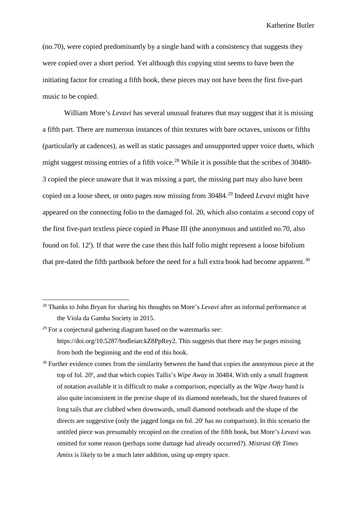(no.70), were copied predominantly by a single hand with a consistency that suggests they were copied over a short period. Yet although this copying stint seems to have been the initiating factor for creating a fifth book, these pieces may not have been the first five-part music to be copied.

William More's *Levavi* has several unusual features that may suggest that it is missing a fifth part. There are numerous instances of thin textures with bare octaves, unisons or fifths (particularly at cadences), as well as static passages and unsupported upper voice duets, which might suggest missing entries of a fifth voice.<sup>[28](#page-21-0)</sup> While it is possible that the scribes of 30480-3 copied the piece unaware that it was missing a part, the missing part may also have been copied on a loose sheet, or onto pages now missing from 30484.[29](#page-21-1) Indeed *Levavi* might have appeared on the connecting folio to the damaged fol. 20, which also contains a second copy of the first five-part textless piece copied in Phase III (the anonymous and untitled no.70, also found on fol. 12<sup>r</sup>). If that were the case then this half folio might represent a loose bifolium that pre-dated the fifth partbook before the need for a full extra book had become apparent.<sup>[30](#page-21-2)</sup>

<span id="page-21-0"></span> <sup>28</sup> Thanks to John Bryan for sharing his thoughts on More's *Levavi* after an informal performance at the Viola da Gamba Society in 2015.

<span id="page-21-1"></span> $29$  For a conjectural gathering diagram based on the watermarks see: https://doi.org/10.5287/bodleian:kZ8PpRey2. This suggests that there may be pages missing from both the beginning and the end of this book.

<span id="page-21-2"></span><sup>&</sup>lt;sup>30</sup> Further evidence comes from the similarity between the hand that copies the anonymous piece at the top of fol. 20v , and that which copies Tallis's *Wipe Away* in 30484. With only a small fragment of notation available it is difficult to make a comparison, especially as the *Wipe Away* hand is also quite inconsistent in the precise shape of its diamond noteheads, but the shared features of long tails that are clubbed when downwards, small diamond noteheads and the shape of the directs are suggestive (only the jagged longa on fol. 20<sup>r</sup> has no comparison). In this scenario the untitled piece was presumably recopied on the creation of the fifth book, but More's *Levavi* was omitted for some reason (perhaps some damage had already occurred?). *Mistrust Oft Times Amiss* is likely to be a much later addition, using up empty space.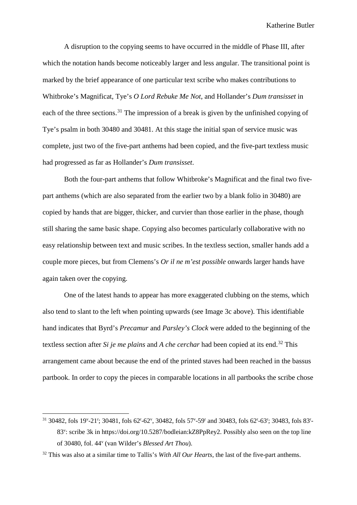A disruption to the copying seems to have occurred in the middle of Phase III, after which the notation hands become noticeably larger and less angular. The transitional point is marked by the brief appearance of one particular text scribe who makes contributions to Whitbroke's Magnificat, Tye's *O Lord Rebuke Me Not*, and Hollander's *Dum transisset* in each of the three sections.<sup>[31](#page-22-0)</sup> The impression of a break is given by the unfinished copying of Tye's psalm in both 30480 and 30481. At this stage the initial span of service music was complete, just two of the five-part anthems had been copied, and the five-part textless music had progressed as far as Hollander's *Dum transisset*.

Both the four-part anthems that follow Whitbroke's Magnificat and the final two fivepart anthems (which are also separated from the earlier two by a blank folio in 30480) are copied by hands that are bigger, thicker, and curvier than those earlier in the phase, though still sharing the same basic shape. Copying also becomes particularly collaborative with no easy relationship between text and music scribes. In the textless section, smaller hands add a couple more pieces, but from Clemens's *Or il ne m'est possible* onwards larger hands have again taken over the copying.

One of the latest hands to appear has more exaggerated clubbing on the stems, which also tend to slant to the left when pointing upwards (see Image 3c above). This identifiable hand indicates that Byrd's *Precamur* and *Parsley's Clock* were added to the beginning of the textless section after *Si je me plains* and *A che cerchar* had been copied at its end.<sup>[32](#page-22-1)</sup> This arrangement came about because the end of the printed staves had been reached in the bassus partbook. In order to copy the pieces in comparable locations in all partbooks the scribe chose

<span id="page-22-0"></span><sup>&</sup>lt;sup>31</sup> 30482, fols 19<sup>v</sup>-21<sup>r</sup>; 30481, fols 62<sup>r</sup>-62<sup>v</sup>, 30482, fols 57<sup>v</sup>-59<sup>r</sup> and 30483, fols 62<sup>r</sup>-63<sup>r</sup>; 30483, fols 83<sup>r</sup>-83<sup>v</sup>: scribe 3k in https://doi.org/10.5287/bodleian:kZ8PpRey2. Possibly also seen on the top line of 30480, fol. 44v (van Wilder's *Blessed Art Thou*).

<span id="page-22-1"></span><sup>32</sup> This was also at a similar time to Tallis's *With All Our Hearts*, the last of the five-part anthems.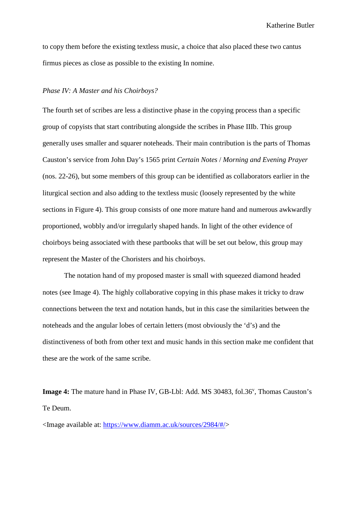to copy them before the existing textless music, a choice that also placed these two cantus firmus pieces as close as possible to the existing In nomine.

#### *Phase IV: A Master and his Choirboys?*

The fourth set of scribes are less a distinctive phase in the copying process than a specific group of copyists that start contributing alongside the scribes in Phase IIIb. This group generally uses smaller and squarer noteheads. Their main contribution is the parts of Thomas Causton's service from John Day's 1565 print *Certain Notes* / *Morning and Evening Prayer* (nos. 22-26), but some members of this group can be identified as collaborators earlier in the liturgical section and also adding to the textless music (loosely represented by the white sections in Figure 4). This group consists of one more mature hand and numerous awkwardly proportioned, wobbly and/or irregularly shaped hands. In light of the other evidence of choirboys being associated with these partbooks that will be set out below, this group may represent the Master of the Choristers and his choirboys.

The notation hand of my proposed master is small with squeezed diamond headed notes (see Image 4). The highly collaborative copying in this phase makes it tricky to draw connections between the text and notation hands, but in this case the similarities between the noteheads and the angular lobes of certain letters (most obviously the 'd's) and the distinctiveness of both from other text and music hands in this section make me confident that these are the work of the same scribe.

Image 4: The mature hand in Phase IV, GB-Lbl: Add. MS 30483, fol.36<sup>v</sup>, Thomas Causton's Te Deum.

<Image available at: [https://www.diamm.ac.uk/sources/2984/#/>](https://www.diamm.ac.uk/sources/2984/#/)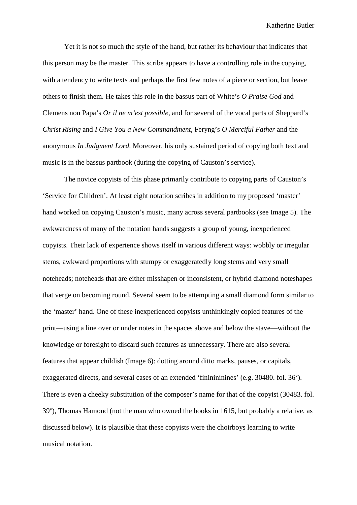Yet it is not so much the style of the hand, but rather its behaviour that indicates that this person may be the master. This scribe appears to have a controlling role in the copying, with a tendency to write texts and perhaps the first few notes of a piece or section, but leave others to finish them. He takes this role in the bassus part of White's *O Praise God* and Clemens non Papa's *Or il ne m'est possible*, and for several of the vocal parts of Sheppard's *Christ Rising* and *I Give You a New Commandment*, Feryng's *O Merciful Father* and the anonymous *In Judgment Lord*. Moreover, his only sustained period of copying both text and music is in the bassus partbook (during the copying of Causton's service).

The novice copyists of this phase primarily contribute to copying parts of Causton's 'Service for Children'. At least eight notation scribes in addition to my proposed 'master' hand worked on copying Causton's music, many across several partbooks (see Image 5). The awkwardness of many of the notation hands suggests a group of young, inexperienced copyists. Their lack of experience shows itself in various different ways: wobbly or irregular stems, awkward proportions with stumpy or exaggeratedly long stems and very small noteheads; noteheads that are either misshapen or inconsistent, or hybrid diamond noteshapes that verge on becoming round. Several seem to be attempting a small diamond form similar to the 'master' hand. One of these inexperienced copyists unthinkingly copied features of the print––using a line over or under notes in the spaces above and below the stave––without the knowledge or foresight to discard such features as unnecessary. There are also several features that appear childish (Image 6): dotting around ditto marks, pauses, or capitals, exaggerated directs, and several cases of an extended 'fininininines' (e.g. 30480. fol. 36<sup>v</sup>). There is even a cheeky substitution of the composer's name for that of the copyist (30483. fol. 39<sup>v</sup>), Thomas Hamond (not the man who owned the books in 1615, but probably a relative, as discussed below). It is plausible that these copyists were the choirboys learning to write musical notation.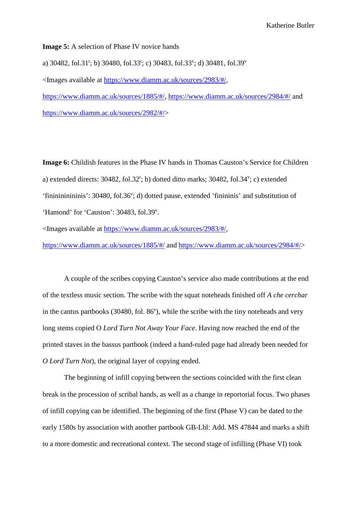**Image 5:** A selection of Phase IV novice hands

a) 30482, fol.31<sup>r</sup>; b) 30480, fol.33<sup>r</sup>; c) 30483, fol.33<sup>v</sup>; d) 30481, fol.39<sup>v</sup>

<Images available at [https://www.diamm.ac.uk/sources/2983/#/,](https://www.diamm.ac.uk/sources/2983/#/)

[https://www.diamm.ac.uk/sources/1885/#/,](https://www.diamm.ac.uk/sources/1885/#/)<https://www.diamm.ac.uk/sources/2984/#/> and [https://www.diamm.ac.uk/sources/2982/#/>](https://www.diamm.ac.uk/sources/2982/#/)

**Image 6:** Childish features in the Phase IV hands in Thomas Causton's Service for Children a) extended directs:  $30482$ ,  $61.32$ <sup>r</sup>; b) dotted ditto marks;  $30482$ ,  $61.34$ <sup>v</sup>; c) extended 'fininininininis': 30480, fol.36<sup>v</sup>; d) dotted pause, extended 'finininis' and substitution of 'Hamond' for 'Causton': 30483, fol.39'.

<Images available at [https://www.diamm.ac.uk/sources/2983/#/,](https://www.diamm.ac.uk/sources/2983/#/)

<https://www.diamm.ac.uk/sources/1885/#/> and [https://www.diamm.ac.uk/sources/2984/#/>](https://www.diamm.ac.uk/sources/2984/#/)

A couple of the scribes copying Causton's service also made contributions at the end of the textless music section. The scribe with the squat noteheads finished off *A che cerchar* in the cantus partbooks  $(30480,$  fol.  $86^{\circ}$ ), while the scribe with the tiny noteheads and very long stems copied O *Lord Turn Not Away Your Face*. Having now reached the end of the printed staves in the bassus partbook (indeed a hand-ruled page had already been needed for *O Lord Turn Not*), the original layer of copying ended.

The beginning of infill copying between the sections coincided with the first clean break in the procession of scribal hands, as well as a change in reportorial focus. Two phases of infill copying can be identified. The beginning of the first (Phase V) can be dated to the early 1580s by association with another partbook GB-Lbl: Add. MS 47844 and marks a shift to a more domestic and recreational context. The second stage of infilling (Phase VI) took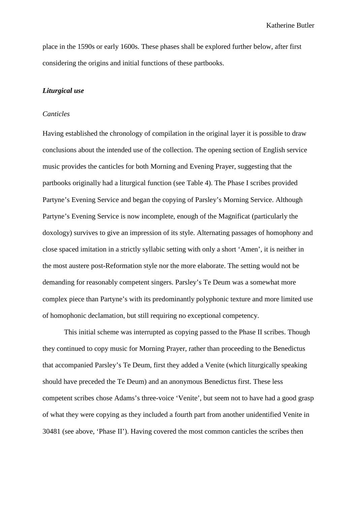place in the 1590s or early 1600s. These phases shall be explored further below, after first considering the origins and initial functions of these partbooks.

## *Liturgical use*

#### *Canticles*

Having established the chronology of compilation in the original layer it is possible to draw conclusions about the intended use of the collection. The opening section of English service music provides the canticles for both Morning and Evening Prayer, suggesting that the partbooks originally had a liturgical function (see Table 4). The Phase I scribes provided Partyne's Evening Service and began the copying of Parsley's Morning Service. Although Partyne's Evening Service is now incomplete, enough of the Magnificat (particularly the doxology) survives to give an impression of its style. Alternating passages of homophony and close spaced imitation in a strictly syllabic setting with only a short 'Amen', it is neither in the most austere post-Reformation style nor the more elaborate. The setting would not be demanding for reasonably competent singers. Parsley's Te Deum was a somewhat more complex piece than Partyne's with its predominantly polyphonic texture and more limited use of homophonic declamation, but still requiring no exceptional competency.

This initial scheme was interrupted as copying passed to the Phase II scribes. Though they continued to copy music for Morning Prayer, rather than proceeding to the Benedictus that accompanied Parsley's Te Deum, first they added a Venite (which liturgically speaking should have preceded the Te Deum) and an anonymous Benedictus first. These less competent scribes chose Adams's three-voice 'Venite', but seem not to have had a good grasp of what they were copying as they included a fourth part from another unidentified Venite in 30481 (see above, 'Phase II'). Having covered the most common canticles the scribes then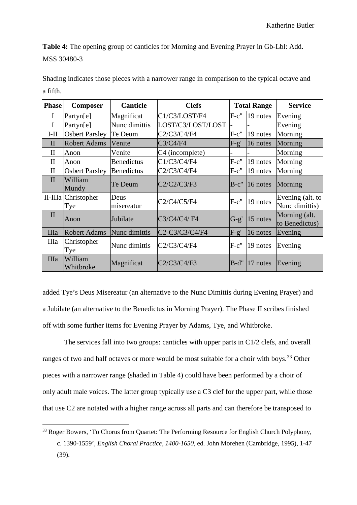**Table 4:** The opening group of canticles for Morning and Evening Prayer in Gb-Lbl: Add. MSS 30480-3

| <b>Phase</b> | <b>Composer</b>            | <b>Canticle</b>    | <b>Clefs</b>                                                                   |         | <b>Total Range</b>   | <b>Service</b>                     |
|--------------|----------------------------|--------------------|--------------------------------------------------------------------------------|---------|----------------------|------------------------------------|
| I            | Partyn[e]                  | Magnificat         | C1/C3/LOST/F4                                                                  | $F-c$ " | 19 notes             | Evening                            |
| I            | Partyn[e]                  | Nunc dimittis      | LOST/C3/LOST/LOST                                                              |         |                      | Evening                            |
| $I-II$       | <b>Osbert Parsley</b>      | Te Deum            | C2/C3/C4/F4                                                                    | $F-c$ " | 19 notes             | Morning                            |
| $\mathbf{I}$ | <b>Robert Adams</b>        | Venite             | C3/C4/F4                                                                       | $F-g'$  | 16 notes             | Morning                            |
| $\mathbf{I}$ | Anon                       | Venite             | C <sub>4</sub> (incomplete)                                                    |         |                      | Morning                            |
| $\mathbf{I}$ | Anon                       | <b>Benedictus</b>  | C1/C3/C4/F4                                                                    | $F-c$ " | $19$ notes           | Morning                            |
| $\mathbf{I}$ | <b>Osbert Parsley</b>      | <b>Benedictus</b>  | C2/C3/C4/F4                                                                    | $F-c$ " | 19 notes             | Morning                            |
| $\mathbf{I}$ | William<br>Mundy           | Te Deum            | C2/C2/C3/F3                                                                    | $B-c$ " | $16$ notes           | Morning                            |
|              | II-IIIa Christopher<br>Tye | Deus<br>misereatur | C2/C4/C5/F4                                                                    | $F-c$ " | 19 notes             | Evening (alt. to<br>Nunc dimittis) |
| $\mathbf{I}$ | Anon                       | Jubilate           | C3/C4/C4/F4                                                                    | $G-g'$  | $15$ notes           | Morning (alt.<br>to Benedictus)    |
| <b>IIIa</b>  | <b>Robert Adams</b>        | Nunc dimittis      | C <sub>2</sub> -C <sub>3</sub> /C <sub>3</sub> /C <sub>4</sub> /F <sub>4</sub> | $F-g'$  | 16 notes             | Evening                            |
| IIIa         | Christopher<br>Tye         | Nunc dimittis      | C2/C3/C4/F4                                                                    | $F-c''$ | 19 notes             | Evening                            |
| <b>IIIa</b>  | William<br>Whitbroke       | Magnificat         | C2/C3/C4/F3                                                                    | $B-d"$  | $ 17 \text{ notes} $ | Evening                            |

Shading indicates those pieces with a narrower range in comparison to the typical octave and a fifth.

added Tye's Deus Misereatur (an alternative to the Nunc Dimittis during Evening Prayer) and a Jubilate (an alternative to the Benedictus in Morning Prayer). The Phase II scribes finished off with some further items for Evening Prayer by Adams, Tye, and Whitbroke.

The services fall into two groups: canticles with upper parts in C1/2 clefs, and overall ranges of two and half octaves or more would be most suitable for a choir with boys.<sup>[33](#page-27-0)</sup> Other pieces with a narrower range (shaded in Table 4) could have been performed by a choir of only adult male voices. The latter group typically use a C3 clef for the upper part, while those that use C2 are notated with a higher range across all parts and can therefore be transposed to

<span id="page-27-0"></span><sup>&</sup>lt;sup>33</sup> Roger Bowers, 'To Chorus from Quartet: The Performing Resource for English Church Polyphony, c. 1390-1559', *English Choral Practice, 1400-1650*, ed. John Morehen (Cambridge, 1995), 1-47 (39).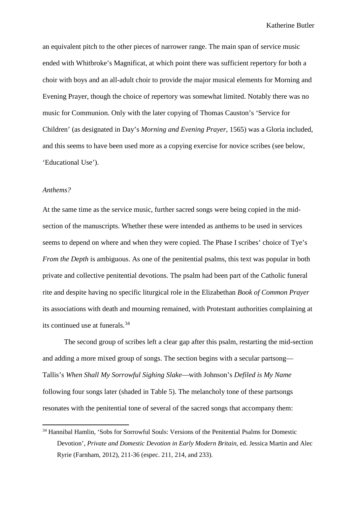an equivalent pitch to the other pieces of narrower range. The main span of service music ended with Whitbroke's Magnificat, at which point there was sufficient repertory for both a choir with boys and an all-adult choir to provide the major musical elements for Morning and Evening Prayer, though the choice of repertory was somewhat limited. Notably there was no music for Communion. Only with the later copying of Thomas Causton's 'Service for Children' (as designated in Day's *Morning and Evening Prayer*, 1565) was a Gloria included, and this seems to have been used more as a copying exercise for novice scribes (see below, 'Educational Use').

### *Anthems?*

At the same time as the service music, further sacred songs were being copied in the midsection of the manuscripts. Whether these were intended as anthems to be used in services seems to depend on where and when they were copied. The Phase I scribes' choice of Tye's *From the Depth* is ambiguous. As one of the penitential psalms, this text was popular in both private and collective penitential devotions. The psalm had been part of the Catholic funeral rite and despite having no specific liturgical role in the Elizabethan *Book of Common Prayer* its associations with death and mourning remained, with Protestant authorities complaining at its continued use at funerals. [34](#page-28-0)

The second group of scribes left a clear gap after this psalm, restarting the mid-section and adding a more mixed group of songs. The section begins with a secular partsong— Tallis's *When Shall My Sorrowful Sighing Slake*—with Johnson's *Defiled is My Name*  following four songs later (shaded in Table 5). The melancholy tone of these partsongs resonates with the penitential tone of several of the sacred songs that accompany them:

<span id="page-28-0"></span> <sup>34</sup> Hannibal Hamlin, 'Sobs for Sorrowful Souls: Versions of the Penitential Psalms for Domestic Devotion', *Private and Domestic Devotion in Early Modern Britain*, ed. Jessica Martin and Alec Ryrie (Farnham, 2012), 211-36 (espec. 211, 214, and 233).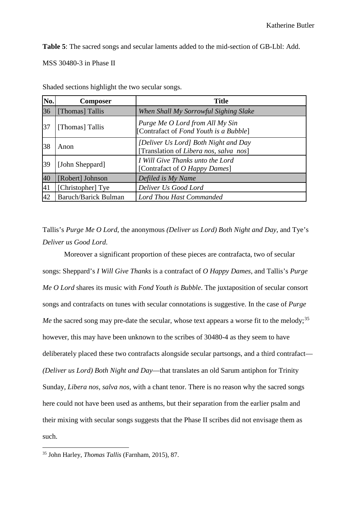**Table 5**: The sacred songs and secular laments added to the mid-section of GB-Lbl: Add.

MSS 30480-3 in Phase II

| No. | <b>Composer</b>             | <b>Title</b>                                                                   |
|-----|-----------------------------|--------------------------------------------------------------------------------|
| 36  | [Thomas] Tallis             | When Shall My Sorrowful Sighing Slake                                          |
| 37  | [Thomas] Tallis             | Purge Me O Lord from All My Sin<br>[Contrafact of Fond Youth is a Bubble]      |
| 38  | Anon                        | [Deliver Us Lord] Both Night and Day<br>[Translation of Libera nos, salva nos] |
| 39  | [John Sheppard]             | I Will Give Thanks unto the Lord<br>[Contrafact of <i>O Happy Dames</i> ]      |
| 40  | [Robert] Johnson            | Defiled is My Name                                                             |
| 41  | [Christopher] Tye           | Deliver Us Good Lord                                                           |
| 42  | <b>Baruch/Barick Bulman</b> | Lord Thou Hast Commanded                                                       |

Shaded sections highlight the two secular songs.

Tallis's *Purge Me O Lord*, the anonymous *(Deliver us Lord) Both Night and Day*, and Tye's *Deliver us Good Lord*.

Moreover a significant proportion of these pieces are contrafacta, two of secular songs: Sheppard's *I Will Give Thanks* is a contrafact of *O Happy Dames*, and Tallis's *Purge Me O Lord* shares its music with *Fond Youth is Bubble*. The juxtaposition of secular consort songs and contrafacts on tunes with secular connotations is suggestive. In the case of *Purge Me* the sacred song may pre-date the secular, whose text appears a worse fit to the melody;<sup>[35](#page-29-0)</sup> however, this may have been unknown to the scribes of 30480-4 as they seem to have deliberately placed these two contrafacts alongside secular partsongs, and a third contrafact— *(Deliver us Lord) Both Night and Day*—that translates an old Sarum antiphon for Trinity Sunday, *Libera nos, salva nos,* with a chant tenor. There is no reason why the sacred songs here could not have been used as anthems, but their separation from the earlier psalm and their mixing with secular songs suggests that the Phase II scribes did not envisage them as such.

<span id="page-29-0"></span> <sup>35</sup> John Harley, *Thomas Tallis* (Farnham, 2015), 87.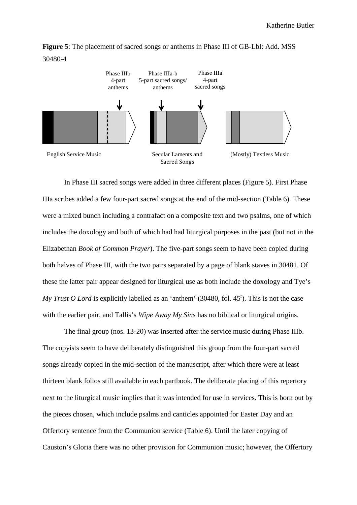



In Phase III sacred songs were added in three different places (Figure 5). First Phase IIIa scribes added a few four-part sacred songs at the end of the mid-section (Table 6). These were a mixed bunch including a contrafact on a composite text and two psalms, one of which includes the doxology and both of which had had liturgical purposes in the past (but not in the Elizabethan *Book of Common Prayer*). The five-part songs seem to have been copied during both halves of Phase III, with the two pairs separated by a page of blank staves in 30481. Of these the latter pair appear designed for liturgical use as both include the doxology and Tye's My Trust O Lord is explicitly labelled as an 'anthem' (30480, fol. 45<sup>r</sup>). This is not the case with the earlier pair, and Tallis's *Wipe Away My Sins* has no biblical or liturgical origins.

The final group (nos. 13-20) was inserted after the service music during Phase IIIb. The copyists seem to have deliberately distinguished this group from the four-part sacred songs already copied in the mid-section of the manuscript, after which there were at least thirteen blank folios still available in each partbook. The deliberate placing of this repertory next to the liturgical music implies that it was intended for use in services. This is born out by the pieces chosen, which include psalms and canticles appointed for Easter Day and an Offertory sentence from the Communion service (Table 6). Until the later copying of Causton's Gloria there was no other provision for Communion music; however, the Offertory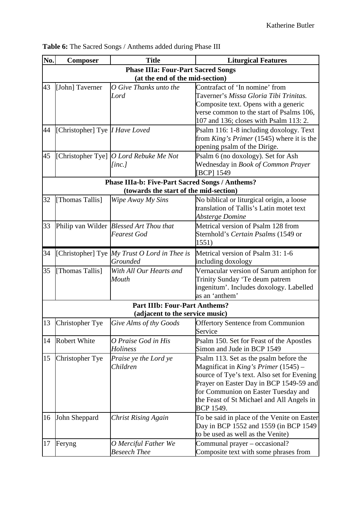| No. | <b>Composer</b>                       | <b>Title</b>                                                                              | <b>Liturgical Features</b>                                                            |
|-----|---------------------------------------|-------------------------------------------------------------------------------------------|---------------------------------------------------------------------------------------|
|     |                                       | <b>Phase IIIa: Four-Part Sacred Songs</b>                                                 |                                                                                       |
|     |                                       | (at the end of the mid-section)                                                           |                                                                                       |
| 43  | [John] Taverner                       | O Give Thanks unto the                                                                    | Contrafact of 'In nomine' from                                                        |
|     |                                       | Lord                                                                                      | Taverner's Missa Gloria Tibi Trinitas.                                                |
|     |                                       |                                                                                           | Composite text. Opens with a generic                                                  |
|     |                                       |                                                                                           | verse common to the start of Psalms 106,                                              |
|     |                                       |                                                                                           | 107 and 136; closes with Psalm 113: 2.                                                |
| 44  | [Christopher] Tye <i>I Have Loved</i> |                                                                                           | Psalm 116: 1-8 including doxology. Text                                               |
|     |                                       |                                                                                           | from King's Primer (1545) where it is the                                             |
|     |                                       |                                                                                           | opening psalm of the Dirige.                                                          |
| 45  |                                       | [Christopher Tye] O Lord Rebuke Me Not                                                    | Psalm 6 (no doxology). Set for Ash                                                    |
|     |                                       | [inc.]                                                                                    | Wednesday in Book of Common Prayer                                                    |
|     |                                       |                                                                                           | [BCP] 1549                                                                            |
|     |                                       | Phase IIIa-b: Five-Part Sacred Songs / Anthems?<br>(towards the start of the mid-section) |                                                                                       |
|     |                                       |                                                                                           |                                                                                       |
| 32  | [Thomas Tallis]                       | Wipe Away My Sins                                                                         | No biblical or liturgical origin, a loose<br>translation of Tallis's Latin motet text |
|     |                                       |                                                                                           | Absterge Domine                                                                       |
| 33  |                                       | Philip van Wilder Blessed Art Thou that                                                   | Metrical version of Psalm 128 from                                                    |
|     |                                       | <b>Fearest God</b>                                                                        | Sternhold's Certain Psalms (1549 or                                                   |
|     |                                       |                                                                                           | 1551)                                                                                 |
|     |                                       |                                                                                           | Metrical version of Psalm 31: 1-6                                                     |
| 34  |                                       | [Christopher] Tye My Trust O Lord in Thee is<br>Grounded                                  | including doxology                                                                    |
| 35  | [Thomas Tallis]                       | With All Our Hearts and                                                                   | Vernacular version of Sarum antiphon for                                              |
|     |                                       | Mouth                                                                                     | Trinity Sunday 'Te deum patrem                                                        |
|     |                                       |                                                                                           | ingenitum'. Includes doxology. Labelled                                               |
|     |                                       |                                                                                           | as an 'anthem'                                                                        |
|     |                                       | <b>Part IIIb: Four-Part Anthems?</b>                                                      |                                                                                       |
|     |                                       | (adjacent to the service music)                                                           |                                                                                       |
| 13  | Christopher Tye                       |                                                                                           | Give Alms of thy Goods <b>Offertory Sentence from Communion</b>                       |
|     |                                       |                                                                                           | Service                                                                               |
| 14  | <b>Robert White</b>                   | O Praise God in His                                                                       | Psalm 150. Set for Feast of the Apostles                                              |
|     |                                       | <b>Holiness</b>                                                                           | Simon and Jude in BCP 1549                                                            |
| 15  | Christopher Tye                       | Praise ye the Lord ye                                                                     | Psalm 113. Set as the psalm before the                                                |
|     |                                       | Children                                                                                  | Magnificat in King's Primer $(1545)$ –                                                |
|     |                                       |                                                                                           | source of Tye's text. Also set for Evening                                            |
|     |                                       |                                                                                           | Prayer on Easter Day in BCP 1549-59 and                                               |
|     |                                       |                                                                                           | for Communion on Easter Tuesday and                                                   |
|     |                                       |                                                                                           | the Feast of St Michael and All Angels in                                             |
|     |                                       |                                                                                           | BCP 1549.                                                                             |
| 16  | John Sheppard                         | <b>Christ Rising Again</b>                                                                | To be said in place of the Venite on Easter                                           |
|     |                                       |                                                                                           | Day in BCP 1552 and 1559 (in BCP 1549)                                                |
|     |                                       |                                                                                           | to be used as well as the Venite)                                                     |
| 17  | Feryng                                | O Merciful Father We                                                                      | Communal prayer – occasional?                                                         |
|     |                                       | <b>Beseech Thee</b>                                                                       | Composite text with some phrases from                                                 |

**Table 6:** The Sacred Songs / Anthems added during Phase III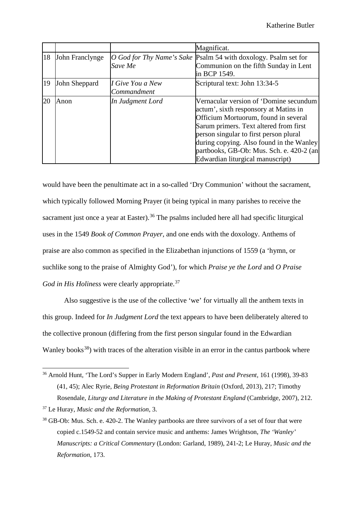|    |                 |                                 | Magnificat.                                                                                                                                                                                                                                                                                                                             |
|----|-----------------|---------------------------------|-----------------------------------------------------------------------------------------------------------------------------------------------------------------------------------------------------------------------------------------------------------------------------------------------------------------------------------------|
| 18 | John Franclynge | Save Me                         | O God for Thy Name's Sake Psalm 54 with doxology. Psalm set for<br>Communion on the fifth Sunday in Lent<br>in BCP 1549.                                                                                                                                                                                                                |
| 19 | John Sheppard   | I Give You a New<br>Commandment | Scriptural text: John 13:34-5                                                                                                                                                                                                                                                                                                           |
| 20 | Anon            | In Judgment Lord                | Vernacular version of 'Domine secundum<br>actum', sixth responsory at Matins in<br>Officium Mortuorum, found in several<br>Sarum primers. Text altered from first<br>person singular to first person plural<br>during copying. Also found in the Wanley<br>partbooks, GB-Ob: Mus. Sch. e. 420-2 (an<br>Edwardian liturgical manuscript) |

would have been the penultimate act in a so-called 'Dry Communion' without the sacrament, which typically followed Morning Prayer (it being typical in many parishes to receive the sacrament just once a year at Easter).<sup>[36](#page-32-0)</sup> The psalms included here all had specific liturgical uses in the 1549 *Book of Common Prayer*, and one ends with the doxology. Anthems of praise are also common as specified in the Elizabethan injunctions of 1559 (a 'hymn, or suchlike song to the praise of Almighty God'), for which *Praise ye the Lord* and *O Praise God in His Holiness* were clearly appropriate.<sup>[37](#page-32-1)</sup>

Also suggestive is the use of the collective 'we' for virtually all the anthem texts in this group. Indeed for *In Judgment Lord* the text appears to have been deliberately altered to the collective pronoun (differing from the first person singular found in the Edwardian Wanley books<sup>38</sup>) with traces of the alteration visible in an error in the cantus partbook where

<span id="page-32-0"></span> <sup>36</sup> Arnold Hunt, 'The Lord's Supper in Early Modern England', *Past and Present,* 161 (1998), 39-83 (41, 45); Alec Ryrie, *Being Protestant in Reformation Britain* (Oxford, 2013), 217; Timothy Rosendale, *Liturgy and Literature in the Making of Protestant England* (Cambridge, 2007), 212.

<span id="page-32-1"></span><sup>37</sup> Le Huray, *Music and the Reformation*, 3.

<span id="page-32-2"></span><sup>&</sup>lt;sup>38</sup> GB-Ob: Mus. Sch. e. 420-2. The Wanley partbooks are three survivors of a set of four that were copied c.1549-52 and contain service music and anthems: James Wrightson, *The 'Wanley' Manuscripts: a Critical Commentary* (London: Garland, 1989), 241-2; Le Huray, *Music and the Reformation*, 173.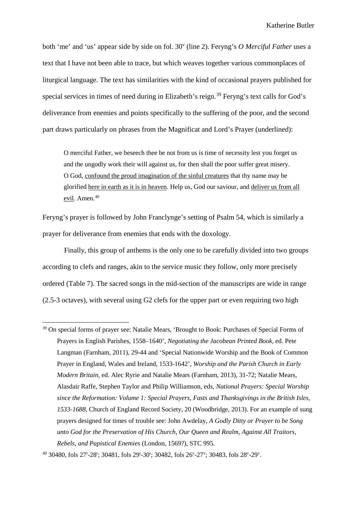both 'me' and 'us' appear side by side on fol. 30<sup>v</sup> (line 2). Feryng's *O Merciful Father* uses a text that I have not been able to trace, but which weaves together various commonplaces of liturgical language. The text has similarities with the kind of occasional prayers published for special services in times of need during in Elizabeth's reign.<sup>[39](#page-33-0)</sup> Feryng's text calls for God's deliverance from enemies and points specifically to the suffering of the poor, and the second part draws particularly on phrases from the Magnificat and Lord's Prayer (underlined):

O merciful Father, we beseech thee be not from us is time of necessity lest you forget us and the ungodly work their will against us, for then shall the poor suffer great misery. O God, confound the proud imagination of the sinful creatures that thy name may be glorified here in earth as it is in heaven. Help us, God our saviour, and deliver us from all <u>evil</u>. Amen.<sup>[40](#page-33-1)</sup>

Feryng's prayer is followed by John Franclynge's setting of Psalm 54, which is similarly a prayer for deliverance from enemies that ends with the doxology.

Finally, this group of anthems is the only one to be carefully divided into two groups according to clefs and ranges, akin to the service music they follow, only more precisely ordered (Table 7). The sacred songs in the mid-section of the manuscripts are wide in range (2.5-3 octaves), with several using G2 clefs for the upper part or even requiring two high

<span id="page-33-0"></span><sup>&</sup>lt;sup>39</sup> On special forms of prayer see: Natalie Mears, 'Brought to Book: Purchases of Special Forms of Prayers in English Parishes, 1558–1640', *Negotiating the Jacobean Printed Book*, ed. Pete Langman (Farnham, 2011), 29-44 and 'Special Nationwide Worship and the Book of Common Prayer in England, Wales and Ireland, 1533-1642', *Worship and the Parish Church in Early Modern Britain*, ed. Alec Ryrie and Natalie Mears (Farnham, 2013), 31-72; Natalie Mears, Alasdair Raffe, Stephen Taylor and Philip Williamson, eds, *National Prayers: Special Worship since the Reformation: Volume 1: Special Prayers, Fasts and Thanksgivings in the British Isles, 1533-1688*, Church of England Record Society, 20 (Woodbridge, 2013). For an example of sung prayers designed for times of trouble see: John Awdelay, *A Godly Ditty or Prayer to be Song unto God for the Preservation of His Church, Our Queen and Realm, Against All Traitors, Rebels, and Papistical Enemies* (London, 1569?), STC 995.

<span id="page-33-1"></span> $^{40}$  30480, fols 27<sup>r</sup>-28<sup>r</sup>; 30481, fols 29<sup>r</sup>-30<sup>r</sup>; 30482, fols 26<sup>v</sup>-27<sup>v</sup>; 30483, fols 28<sup>v</sup>-29<sup>v</sup>.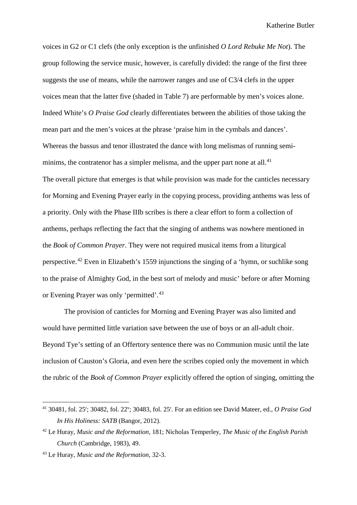voices in G2 or C1 clefs (the only exception is the unfinished *O Lord Rebuke Me Not*). The group following the service music, however, is carefully divided: the range of the first three suggests the use of means, while the narrower ranges and use of C3/4 clefs in the upper voices mean that the latter five (shaded in Table 7) are performable by men's voices alone. Indeed White's *O Praise God* clearly differentiates between the abilities of those taking the mean part and the men's voices at the phrase 'praise him in the cymbals and dances'. Whereas the bassus and tenor illustrated the dance with long melismas of running semi-minims, the contratenor has a simpler melisma, and the upper part none at all.<sup>[41](#page-34-0)</sup> The overall picture that emerges is that while provision was made for the canticles necessary for Morning and Evening Prayer early in the copying process, providing anthems was less of a priority. Only with the Phase IIIb scribes is there a clear effort to form a collection of anthems, perhaps reflecting the fact that the singing of anthems was nowhere mentioned in the *Book of Common Prayer*. They were not required musical items from a liturgical perspective.[42](#page-34-1) Even in Elizabeth's 1559 injunctions the singing of a 'hymn, or suchlike song to the praise of Almighty God, in the best sort of melody and music' before or after Morning or Evening Prayer was only 'permitted'.<sup>[43](#page-34-2)</sup>

The provision of canticles for Morning and Evening Prayer was also limited and would have permitted little variation save between the use of boys or an all-adult choir. Beyond Tye's setting of an Offertory sentence there was no Communion music until the late inclusion of Causton's Gloria, and even here the scribes copied only the movement in which the rubric of the *Book of Common Prayer* explicitly offered the option of singing, omitting the

<span id="page-34-0"></span> <sup>41</sup> 30481, fol. 25r ; 30482, fol. 22v ; 30483, fol. 25r . For an edition see David Mateer, ed., *O Praise God In His Holiness: SATB* (Bangor, 2012).

<span id="page-34-1"></span><sup>42</sup> Le Huray, *Music and the Reformation*, 181; Nicholas Temperley, *The Music of the English Parish Church* (Cambridge, 1983), 49.

<span id="page-34-2"></span><sup>43</sup> Le Huray, *Music and the Reformation*, 32-3.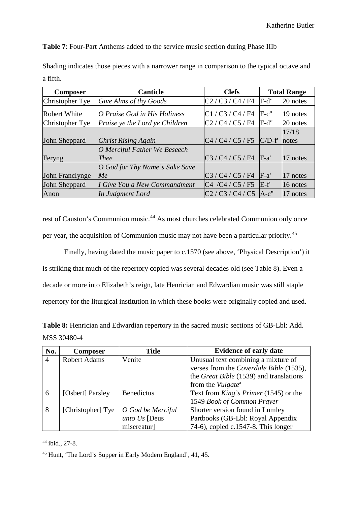**Table 7**: Four-Part Anthems added to the service music section during Phase IIIb

| Shading indicates those pieces with a narrower range in comparison to the typical octave and |  |  |  |
|----------------------------------------------------------------------------------------------|--|--|--|
| a fifth.                                                                                     |  |  |  |

| <b>Composer</b>     | <b>Canticle</b>                | <b>Clefs</b>             | <b>Total Range</b> |            |
|---------------------|--------------------------------|--------------------------|--------------------|------------|
| Christopher Tye     | Give Alms of thy Goods         | $C2 / C3 / C4 / F4$ F-d" |                    | 20 notes   |
| <b>Robert White</b> | O Praise God in His Holiness   | C1 / C3 / C4 / F4        | $F-c$ "            | 19 notes   |
| Christopher Tye     | Praise ye the Lord ye Children | C2 / C4 / C5 / F4        | $F-d"$             | $20$ notes |
|                     |                                |                          |                    | 17/18      |
| John Sheppard       | <b>Christ Rising Again</b>     | C4 / C4 / C5 / F5        | $C/D-f'$           | notes      |
|                     | O Merciful Father We Beseech   |                          |                    |            |
| Feryng              | <i>Thee</i>                    | C3 / C4 / C5 / F4        | $F-a'$             | 17 notes   |
|                     | O God for Thy Name's Sake Save |                          |                    |            |
| John Franclynge     | Me                             | C3 / C4 / C5 / F4        | $F-a'$             | 17 notes   |
| John Sheppard       | I Give You a New Commandment   | C4 / C4 / C5 / F5        | $E-f$              | 16 notes   |
| Anon                | In Judgment Lord               | $C2 / C3 / C4 / C5$ A-c" |                    | 17 notes   |

rest of Causton's Communion music.<sup>[44](#page-35-0)</sup> As most churches celebrated Communion only once per year, the acquisition of Communion music may not have been a particular priority.[45](#page-35-1)

Finally, having dated the music paper to c.1570 (see above, 'Physical Description') it is striking that much of the repertory copied was several decades old (see Table 8). Even a decade or more into Elizabeth's reign, late Henrician and Edwardian music was still staple repertory for the liturgical institution in which these books were originally copied and used.

| <b>Table 8:</b> Henrician and Edwardian repertory in the sacred music sections of GB-Lbl: Add. |  |
|------------------------------------------------------------------------------------------------|--|
| MSS 30480-4                                                                                    |  |

| No.            | <b>Composer</b>     | <b>Title</b>      | <b>Evidence of early date</b>                |
|----------------|---------------------|-------------------|----------------------------------------------|
| $\overline{4}$ | <b>Robert Adams</b> | Venite            | Unusual text combining a mixture of          |
|                |                     |                   | verses from the Coverdale Bible (1535),      |
|                |                     |                   | the Great Bible (1539) and translations      |
|                |                     |                   | from the <i>Vulgate<sup>a</sup></i>          |
| 6              | [Osbert] Parsley    | <b>Benedictus</b> | Text from <i>King's Primer</i> (1545) or the |
|                |                     |                   | 1549 Book of Common Prayer                   |
| 8              | [Christopher] Tye   | O God be Merciful | Shorter version found in Lumley              |
|                |                     | unto $Us$ [Deus   | Partbooks (GB-Lbl: Royal Appendix            |
|                |                     | misereatur]       | 74-6), copied c.1547-8. This longer          |

<span id="page-35-0"></span> <sup>44</sup> ibid., 27-8.

<span id="page-35-1"></span><sup>45</sup> Hunt, 'The Lord's Supper in Early Modern England', 41, 45.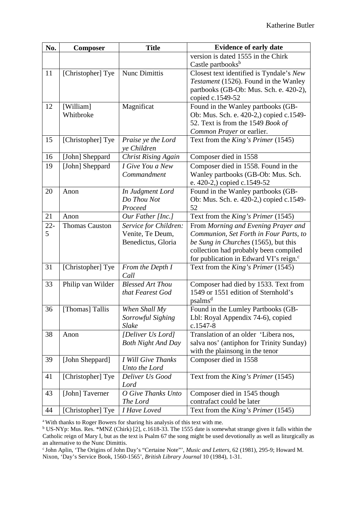| No.    | <b>Composer</b>       | <b>Title</b>                              | <b>Evidence of early date</b>                                                 |
|--------|-----------------------|-------------------------------------------|-------------------------------------------------------------------------------|
|        |                       |                                           | version is dated 1555 in the Chirk                                            |
|        |                       |                                           | Castle partbooks <sup>b</sup>                                                 |
| 11     | [Christopher] Tye     | <b>Nunc Dimittis</b>                      | Closest text identified is Tyndale's New                                      |
|        |                       |                                           | Testament (1526). Found in the Wanley                                         |
|        |                       |                                           | partbooks (GB-Ob: Mus. Sch. e. 420-2),                                        |
|        |                       |                                           | copied c.1549-52                                                              |
| 12     | [William]             | Magnificat                                | Found in the Wanley partbooks (GB-                                            |
|        | Whitbroke             |                                           | Ob: Mus. Sch. e. 420-2,) copied c.1549-                                       |
|        |                       |                                           | 52. Text is from the 1549 Book of<br>Common Prayer or earlier.                |
| 15     | [Christopher] Tye     | Praise ye the Lord                        | Text from the King's Primer (1545)                                            |
|        |                       | ve Children                               |                                                                               |
| 16     | [John] Sheppard       | <b>Christ Rising Again</b>                | Composer died in 1558                                                         |
| 19     | [John] Sheppard       | I Give You a New                          | Composer died in 1558. Found in the                                           |
|        |                       | Commandment                               | Wanley partbooks (GB-Ob: Mus. Sch.                                            |
|        |                       |                                           | e. 420-2,) copied c.1549-52                                                   |
| 20     | Anon                  | In Judgment Lord                          | Found in the Wanley partbooks (GB-                                            |
|        |                       | Do Thou Not                               | Ob: Mus. Sch. e. 420-2,) copied c.1549-                                       |
| 21     | Anon                  | Proceed<br>Our Father [Inc.]              | 52<br>Text from the King's Primer (1545)                                      |
| $22 -$ | <b>Thomas Causton</b> |                                           |                                                                               |
| 5      |                       | Service for Children:<br>Venite, Te Deum, | From Morning and Evening Prayer and<br>Communion, Set Forth in Four Parts, to |
|        |                       | Benedictus, Gloria                        | be Sung in Churches (1565), but this                                          |
|        |                       |                                           | collection had probably been compiled                                         |
|        |                       |                                           | for publication in Edward VI's reign. <sup>c</sup>                            |
| 31     | [Christopher] Tye     | From the Depth I                          | Text from the King's Primer (1545)                                            |
|        |                       | Call                                      |                                                                               |
| 33     | Philip van Wilder     | <b>Blessed Art Thou</b>                   | Composer had died by 1533. Text from                                          |
|        |                       | that Fearest God                          | 1549 or 1551 edition of Sternhold's                                           |
|        |                       |                                           | psalms <sup>d</sup>                                                           |
| 36     | [Thomas] Tallis       | When Shall My                             | Found in the Lumley Partbooks (GB-                                            |
|        |                       | Sorrowful Sighing                         | Lbl: Royal Appendix 74-6), copied                                             |
|        |                       | <b>Slake</b>                              | $c.1547 - 8$                                                                  |
| 38     | Anon                  | [Deliver Us Lord]                         | Translation of an older 'Libera nos,                                          |
|        |                       | <b>Both Night And Day</b>                 | salva nos' (antiphon for Trinity Sunday)                                      |
|        |                       |                                           | with the plainsong in the tenor                                               |
| 39     | [John Sheppard]       | I Will Give Thanks<br>Unto the Lord       | Composer died in 1558                                                         |
| 41     | [Christopher] Tye     | Deliver Us Good                           | Text from the <i>King's Primer</i> (1545)                                     |
|        |                       | Lord                                      |                                                                               |
| 43     | [John] Taverner       | O Give Thanks Unto                        | Composer died in 1545 though                                                  |
|        |                       | The Lord                                  | contrafact could be later                                                     |
| 44     | [Christopher] Tye     | I Have Loved                              | Text from the King's Primer (1545)                                            |

a With thanks to Roger Bowers for sharing his analysis of this text with me.

<sup>b</sup> US-NYp: Mus. Res. \*MNZ (Chirk) [2], c.1618-33. The 1555 date is somewhat strange given it falls within the Catholic reign of Mary I, but as the text is Psalm 67 the song might be used devotionally as well as liturgically as an alternative to the Nunc Dimittis.

c John Aplin, 'The Origins of John Day's "Certaine Note"', *Music and Letters,* 62 (1981), 295-9; Howard M. Nixon, 'Day's Service Book, 1560-1565', *British Library Journal* 10 (1984), 1-31.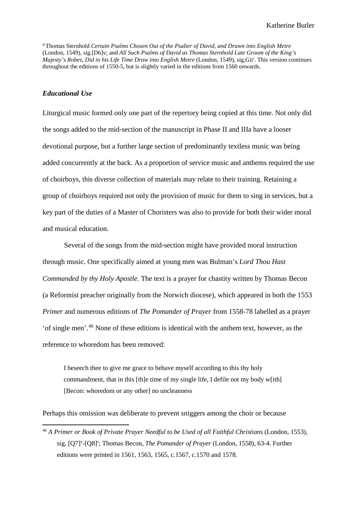d Thomas Sternhold *Certain Psalms Chosen Out of the Psalter of David, and Drawn into English Metre*  (London, 1549), sig.[D6]v; and *All Such Psalms of David as Thomas Sternhold Late Groom of the King's*  Majesty's Robes, Did in his Life Time Draw into English Metre (London, 1549), sig,Gii<sup>r</sup>. This version continues throughout the editions of 1550-5, but is slightly varied in the editions from 1560 onwards.

#### *Educational Use*

Liturgical music formed only one part of the repertory being copied at this time. Not only did the songs added to the mid-section of the manuscript in Phase II and IIIa have a looser devotional purpose, but a further large section of predominantly textless music was being added concurrently at the back. As a proportion of service music and anthems required the use of choirboys, this diverse collection of materials may relate to their training. Retaining a group of choirboys required not only the provision of music for them to sing in services, but a key part of the duties of a Master of Choristers was also to provide for both their wider moral and musical education.

Several of the songs from the mid-section might have provided moral instruction through music. One specifically aimed at young men was Bulman's *Lord Thou Hast Commanded by thy Holy Apostle*. The text is a prayer for chastity written by Thomas Becon (a Reformist preacher originally from the Norwich diocese), which appeared in both the 1553 *Primer* and numerous editions of *The Pomander of Prayer* from 1558-78 labelled as a prayer 'of single men'.[46](#page-37-0) None of these editions is identical with the anthem text, however, as the reference to whoredom has been removed:

I beseech thee to give me grace to behave myself according to this thy holy commandment, that in this [th]e time of my single life, I defile not my body w[ith] [Becon: whoredom or any other] no uncleanness

Perhaps this omission was deliberate to prevent sniggers among the choir or because

<span id="page-37-0"></span> <sup>46</sup> *A Primer or Book of Private Prayer Needful to be Used of all Faithful Christians* (London, 1553), sig. [Q7]<sup>v</sup>-[Q8]<sup>r</sup>; Thomas Becon, *The Pomander of Prayer* (London, 1558), 63-4. Further editions were printed in 1561, 1563, 1565, c.1567, c.1570 and 1578.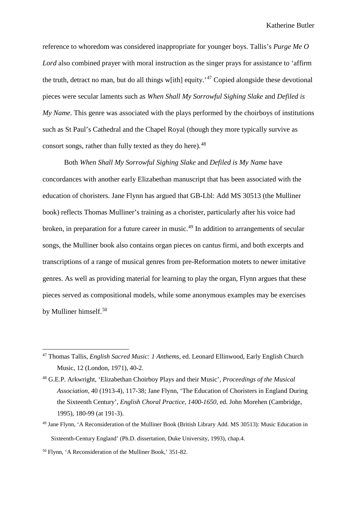reference to whoredom was considered inappropriate for younger boys. Tallis's *Purge Me O Lord* also combined prayer with moral instruction as the singer prays for assistance to 'affirm the truth, detract no man, but do all things w[ith] equity.<sup>[47](#page-38-0)</sup> Copied alongside these devotional pieces were secular laments such as *When Shall My Sorrowful Sighing Slake* and *Defiled is My Name*. This genre was associated with the plays performed by the choirboys of institutions such as St Paul's Cathedral and the Chapel Royal (though they more typically survive as consort songs, rather than fully texted as they do here).<sup>[48](#page-38-1)</sup>

Both *When Shall My Sorrowful Sighing Slake* and *Defiled is My Name* have concordances with another early Elizabethan manuscript that has been associated with the education of choristers. Jane Flynn has argued that GB-Lbl: Add MS 30513 (the Mulliner book) reflects Thomas Mulliner's training as a chorister, particularly after his voice had broken, in preparation for a future career in music. [49](#page-38-2) In addition to arrangements of secular songs, the Mulliner book also contains organ pieces on cantus firmi, and both excerpts and transcriptions of a range of musical genres from pre-Reformation motets to newer imitative genres. As well as providing material for learning to play the organ, Flynn argues that these pieces served as compositional models, while some anonymous examples may be exercises by Mulliner himself.<sup>[50](#page-38-3)</sup>

<span id="page-38-0"></span> <sup>47</sup> Thomas Tallis, *English Sacred Music: 1 Anthems*, ed. Leonard Ellinwood, Early English Church Music, 12 (London, 1971), 40-2.

<span id="page-38-1"></span><sup>48</sup> G.E.P. Arkwright, 'Elizabethan Choirboy Plays and their Music'*, Proceedings of the Musical Association,* 40 (1913-4), 117-38; Jane Flynn, 'The Education of Choristers in England During the Sixteenth Century', *English Choral Practice, 1400-1650*, ed. John Morehen (Cambridge, 1995), 180-99 (at 191-3).

<span id="page-38-2"></span><sup>49</sup> Jane Flynn, 'A Reconsideration of the Mulliner Book (British Library Add. MS 30513): Music Education in Sixteenth-Century England' (Ph.D. dissertation, Duke University, 1993), chap.4.

<span id="page-38-3"></span><sup>50</sup> Flynn, 'A Reconsideration of the Mulliner Book,' 351-82.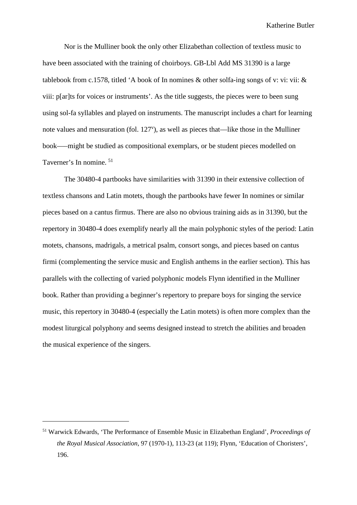Nor is the Mulliner book the only other Elizabethan collection of textless music to have been associated with the training of choirboys. GB-Lbl Add MS 31390 is a large tablebook from c.1578, titled 'A book of In nomines & other solfa-ing songs of v: vi: vii: & viii: p[ar]ts for voices or instruments'. As the title suggests, the pieces were to been sung using sol-fa syllables and played on instruments. The manuscript includes a chart for learning note values and mensuration (fol. 127<sup>v</sup>), as well as pieces that—like those in the Mulliner book–––might be studied as compositional exemplars, or be student pieces modelled on Taverner's In nomine. [51](#page-39-0)

The 30480-4 partbooks have similarities with 31390 in their extensive collection of textless chansons and Latin motets, though the partbooks have fewer In nomines or similar pieces based on a cantus firmus. There are also no obvious training aids as in 31390, but the repertory in 30480-4 does exemplify nearly all the main polyphonic styles of the period: Latin motets, chansons, madrigals, a metrical psalm, consort songs, and pieces based on cantus firmi (complementing the service music and English anthems in the earlier section). This has parallels with the collecting of varied polyphonic models Flynn identified in the Mulliner book. Rather than providing a beginner's repertory to prepare boys for singing the service music, this repertory in 30480-4 (especially the Latin motets) is often more complex than the modest liturgical polyphony and seems designed instead to stretch the abilities and broaden the musical experience of the singers.

 $\overline{a}$ 

<span id="page-39-0"></span><sup>51</sup> Warwick Edwards, 'The Performance of Ensemble Music in Elizabethan England', *Proceedings of the Royal Musical Association*, 97 (1970-1), 113-23 (at 119); Flynn, 'Education of Choristers', 196.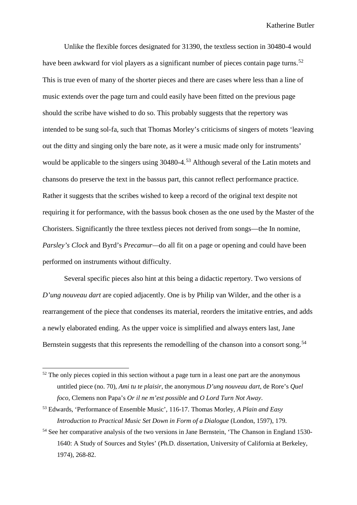Unlike the flexible forces designated for 31390, the textless section in 30480-4 would have been awkward for viol players as a significant number of pieces contain page turns.<sup>[52](#page-40-0)</sup> This is true even of many of the shorter pieces and there are cases where less than a line of music extends over the page turn and could easily have been fitted on the previous page should the scribe have wished to do so. This probably suggests that the repertory was intended to be sung sol-fa, such that Thomas Morley's criticisms of singers of motets 'leaving out the ditty and singing only the bare note, as it were a music made only for instruments' would be applicable to the singers using 30480-4.<sup>[53](#page-40-1)</sup> Although several of the Latin motets and chansons do preserve the text in the bassus part, this cannot reflect performance practice. Rather it suggests that the scribes wished to keep a record of the original text despite not requiring it for performance, with the bassus book chosen as the one used by the Master of the Choristers. Significantly the three textless pieces not derived from songs—the In nomine, *Parsley's Clock* and Byrd's *Precamur—*do all fit on a page or opening and could have been performed on instruments without difficulty.

Several specific pieces also hint at this being a didactic repertory. Two versions of *D'ung nouveau dart* are copied adjacently. One is by Philip van Wilder, and the other is a rearrangement of the piece that condenses its material, reorders the imitative entries, and adds a newly elaborated ending. As the upper voice is simplified and always enters last, Jane Bernstein suggests that this represents the remodelling of the chanson into a consort song.<sup>[54](#page-40-2)</sup>

<span id="page-40-0"></span> $52$  The only pieces copied in this section without a page turn in a least one part are the anonymous untitled piece (no. 70), *Ami tu te plaisir*, the anonymous *D'ung nouveau dart*, de Rore's *Quel foco*, Clemens non Papa's *Or il ne m'est possible* and *O Lord Turn Not Away*.

<span id="page-40-1"></span><sup>53</sup> Edwards, 'Performance of Ensemble Music', 116-17. Thomas Morley, *A Plain and Easy Introduction to Practical Music Set Down in Form of a Dialogue* (London, 1597), 179.

<span id="page-40-2"></span><sup>&</sup>lt;sup>54</sup> See her comparative analysis of the two versions in Jane Bernstein, 'The Chanson in England 1530-1640: A Study of Sources and Styles' (Ph.D. dissertation, University of California at Berkeley, 1974), 268-82.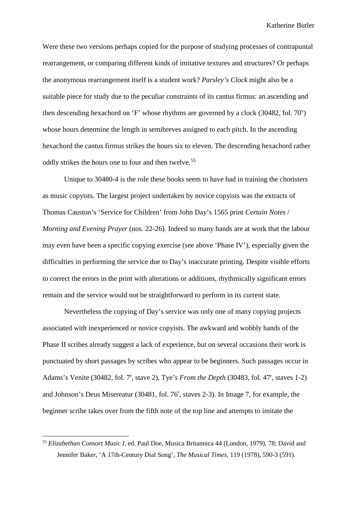Were these two versions perhaps copied for the purpose of studying processes of contrapuntal rearrangement, or comparing different kinds of imitative textures and structures? Or perhaps the anonymous rearrangement itself is a student work? *Parsley's Clock* might also be a suitable piece for study due to the peculiar constraints of its cantus firmus: an ascending and then descending hexachord on 'F' whose rhythms are governed by a clock (30482, fol. 70<sup>v</sup>) whose hours determine the length in semibreves assigned to each pitch. In the ascending hexachord the cantus firmus strikes the hours six to eleven. The descending hexachord rather oddly strikes the hours one to four and then twelve.<sup>[55](#page-41-0)</sup>

Unique to 30480-4 is the role these books seem to have had in training the choristers as music copyists. The largest project undertaken by novice copyists was the extracts of Thomas Causton's 'Service for Children' from John Day's 1565 print *Certain Notes* / *Morning and Evening Prayer* (nos. 22-26). Indeed so many hands are at work that the labour may even have been a specific copying exercise (see above 'Phase IV'), especially given the difficulties in performing the service due to Day's inaccurate printing. Despite visible efforts to correct the errors in the print with alterations or additions, rhythmically significant errors remain and the service would not be straightforward to perform in its current state.

Nevertheless the copying of Day's service was only one of many copying projects associated with inexperienced or novice copyists. The awkward and wobbly hands of the Phase II scribes already suggest a lack of experience, but on several occasions their work is punctuated by short passages by scribes who appear to be beginners. Such passages occur in Adams's Venite (30482, fol. 7<sup>r</sup>, stave 2), Tye's *From the Depth* (30483, fol. 47<sup>r</sup>, staves 1-2) and Johnson's Deus Misereatur (30481, fol. 76<sup>r</sup>, staves 2-3). In Image 7, for example, the beginner scribe takes over from the fifth note of the top line and attempts to imitate the

<span id="page-41-0"></span> <sup>55</sup> *Elizabethan Consort Music I*, ed. Paul Doe, Musica Britannica 44 (London, 1979), 78; David and Jennifer Baker, 'A 17th-Century Dial Song', *The Musical Times,* 119 (1978), 590-3 (591).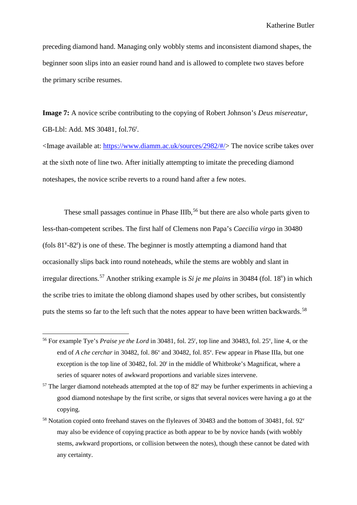preceding diamond hand. Managing only wobbly stems and inconsistent diamond shapes, the beginner soon slips into an easier round hand and is allowed to complete two staves before the primary scribe resumes.

**Image 7:** A novice scribe contributing to the copying of Robert Johnson's *Deus misereatur*, GB-Lbl: Add. MS 30481, fol.76<sup>r</sup>.

<Image available at: [https://www.diamm.ac.uk/sources/2982/#/>](https://www.diamm.ac.uk/sources/2982/#/) The novice scribe takes over at the sixth note of line two. After initially attempting to imitate the preceding diamond noteshapes, the novice scribe reverts to a round hand after a few notes.

These small passages continue in Phase IIIb,  $56$  but there are also whole parts given to less-than-competent scribes. The first half of Clemens non Papa's *Caecilia virgo* in 30480 (fols  $81^{\nu}$ - $82^{\nu}$ ) is one of these. The beginner is mostly attempting a diamond hand that occasionally slips back into round noteheads, while the stems are wobbly and slant in irregular directions.<sup>[57](#page-42-1)</sup> Another striking example is *Si je me plains* in 30484 (fol. 18<sup>v</sup>) in which the scribe tries to imitate the oblong diamond shapes used by other scribes, but consistently puts the stems so far to the left such that the notes appear to have been written backwards.<sup>[58](#page-42-2)</sup>

<span id="page-42-0"></span><sup>&</sup>lt;sup>56</sup> For example Tye's *Praise ye the Lord* in 30481, fol. 25<sup>r</sup>, top line and 30483, fol. 25<sup>*v*</sup>, line 4, or the end of *A che cerchar* in 30482, fol. 86<sup>v</sup> and 30482, fol. 85<sup>v</sup>. Few appear in Phase IIIa, but one exception is the top line of 30482, fol. 20<sup>r</sup> in the middle of Whitbroke's Magnificat, where a series of squarer notes of awkward proportions and variable sizes intervene.

<span id="page-42-1"></span> $57$  The larger diamond noteheads attempted at the top of  $82<sup>r</sup>$  may be further experiments in achieving a good diamond noteshape by the first scribe, or signs that several novices were having a go at the copying.

<span id="page-42-2"></span><sup>&</sup>lt;sup>58</sup> Notation copied onto freehand staves on the flyleaves of 30483 and the bottom of 30481, fol. 92<sup>v</sup> may also be evidence of copying practice as both appear to be by novice hands (with wobbly stems, awkward proportions, or collision between the notes), though these cannot be dated with any certainty.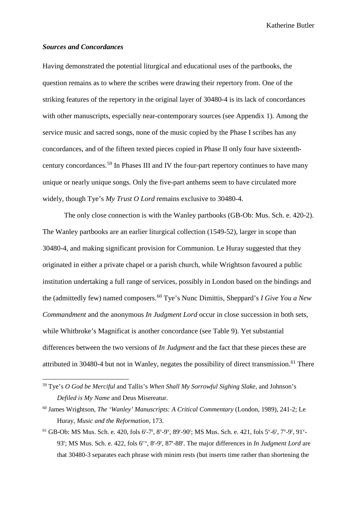#### *Sources and Concordances*

Having demonstrated the potential liturgical and educational uses of the partbooks, the question remains as to where the scribes were drawing their repertory from. One of the striking features of the repertory in the original layer of 30480-4 is its lack of concordances with other manuscripts, especially near-contemporary sources (see Appendix 1). Among the service music and sacred songs, none of the music copied by the Phase I scribes has any concordances, and of the fifteen texted pieces copied in Phase II only four have sixteenthcentury concordances.[59](#page-43-0) In Phases III and IV the four-part repertory continues to have many unique or nearly unique songs. Only the five-part anthems seem to have circulated more widely, though Tye's *My Trust O Lord* remains exclusive to 30480-4.

The only close connection is with the Wanley partbooks (GB-Ob: Mus. Sch. e. 420-2). The Wanley partbooks are an earlier liturgical collection (1549-52), larger in scope than 30480-4, and making significant provision for Communion. Le Huray suggested that they originated in either a private chapel or a parish church, while Wrightson favoured a public institution undertaking a full range of services, possibly in London based on the bindings and the (admittedly few) named composers.[60](#page-43-1) Tye's Nunc Dimittis, Sheppard's *I Give You a New Commandment* and the anonymous *In Judgment Lord* occur in close succession in both sets, while Whitbroke's Magnificat is another concordance (see Table 9). Yet substantial differences between the two versions of *In Judgment* and the fact that these pieces these are attributed in 30480-4 but not in Wanley, negates the possibility of direct transmission.<sup>[61](#page-43-2)</sup> There

<span id="page-43-0"></span> <sup>59</sup> Tye's *O God be Merciful* and Tallis's *When Shall My Sorrowful Sighing Slake*, and Johnson's *Defiled is My Name* and Deus Misereatur.

<span id="page-43-1"></span><sup>60</sup> James Wrightson, *The 'Wanley' Manuscripts: A Critical Commentary* (London, 1989), 241-2; Le Huray, *Music and the Reformation*, 173.

<span id="page-43-2"></span> $61$  GB-Ob: MS Mus. Sch. e. 420, fols 6<sup>r</sup>-7<sup>r</sup>, 8<sup>v</sup>-9<sup>v</sup>, 89<sup>r</sup>-90<sup>r</sup>; MS Mus. Sch. e. 421, fols 5<sup>v</sup>-6<sup>r</sup>, 7<sup>v</sup>-9<sup>r</sup>, 91<sup>v</sup>-93<sup>r</sup>; MS Mus. Sch. e. 422, fols 6<sup>r-v</sup>, 8<sup>r</sup>-9<sup>r</sup>, 87<sup>r</sup>-88<sup>r</sup>. The major differences in *In Judgment Lord* are that 30480-3 separates each phrase with minim rests (but inserts time rather than shortening the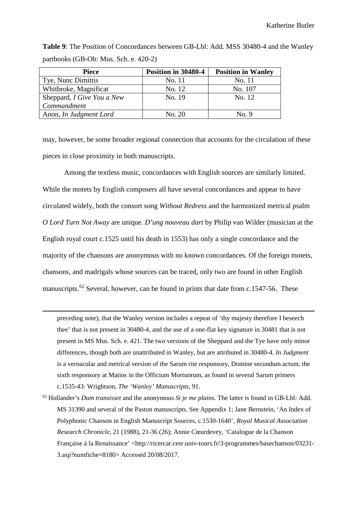| <b>Piece</b>               | Position in 30480-4 | <b>Position in Wanley</b> |
|----------------------------|---------------------|---------------------------|
| Tye, Nunc Dimittis         | No. 11              | No. 11                    |
| Whitbroke, Magnificat      | No. 12              | No. 107                   |
| Sheppard, I Give You a New | No. 19              | No. 12                    |
| Commandment                |                     |                           |
| Anon, In Judgment Lord     | No. 20              | No. 9                     |

**Table 9**: The Position of Concordances between GB-Lbl: Add. MSS 30480-4 and the Wanley partbooks (GB-Ob: Mus. Sch. e. 420-2)

may, however, be some broader regional connection that accounts for the circulation of these pieces in close proximity in both manuscripts.

Among the textless music, concordances with English sources are similarly limited. While the motets by English composers all have several concordances and appear to have circulated widely, both the consort song *Without Redress* and the harmonized metrical psalm *O Lord Turn Not Away* are unique. *D'ung nouveau dart* by Philip van Wilder (musician at the English royal court c.1525 until his death in 1553) has only a single concordance and the majority of the chansons are anonymous with no known concordances. Of the foreign motets, chansons, and madrigals whose sources can be traced, only two are found in other English manuscripts.<sup>[62](#page-44-0)</sup> Several, however, can be found in prints that date from c.1547-56. These

preceding note), that the Wanley version includes a repeat of 'thy majesty therefore I beseech thee' that is not present in 30480-4, and the use of a one-flat key signature in 30481 that is not present in MS Mus. Sch. e. 421. The two versions of the Sheppard and the Tye have only minor differences, though both are unattributed in Wanley, but are attributed in 30480-4. *In Judgment* is a vernacular and metrical version of the Sarum rite responsory, Domine secundum actum, the sixth responsory at Matins in the Officium Mortuorum, as found in several Sarum primers c.1535-43: Wrightson, *The 'Wanley' Manuscripts*, 91.

 $\overline{a}$ 

<span id="page-44-0"></span><sup>62</sup> Hollander's *Dum transisset* and the anonymous *Si je me plains*. The latter is found in GB-Lbl: Add. MS 31390 and several of the Paston manuscripts. See Appendix 1; Jane Bernstein, 'An Index of Polyphonic Chanson in English Manuscript Sources, c.1530-1640', *Royal Musical Association Research Chronicle*, 21 (1988), 21-36 (26); Annie Cœurdevey, 'Catalogue de la Chanson Française à la Renaissance' <http://ricercar.cesr.univ-tours.fr/3-programmes/basechanson/03231- 3.asp?numfiche=8180> Accessed 20/08/2017.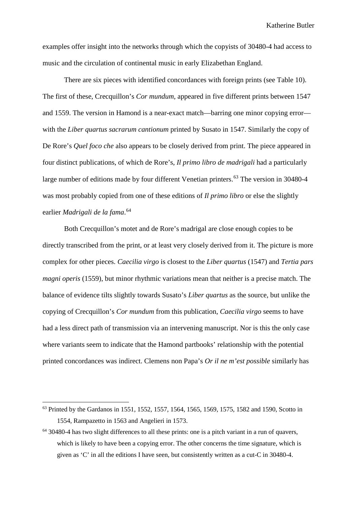examples offer insight into the networks through which the copyists of 30480-4 had access to music and the circulation of continental music in early Elizabethan England.

There are six pieces with identified concordances with foreign prints (see Table 10). The first of these, Crecquillon's *Cor mundum,* appeared in five different prints between 1547 and 1559. The version in Hamond is a near-exact match—barring one minor copying error with the *Liber quartus sacrarum cantionum* printed by Susato in 1547. Similarly the copy of De Rore's *Quel foco che* also appears to be closely derived from print. The piece appeared in four distinct publications, of which de Rore's, *Il primo libro de madrigali* had a particularly large number of editions made by four different Venetian printers.<sup>[63](#page-45-0)</sup> The version in 30480-4 was most probably copied from one of these editions of *Il primo libro* or else the slightly earlier *Madrigali de la fama*. [64](#page-45-1)

Both Crecquillon's motet and de Rore's madrigal are close enough copies to be directly transcribed from the print, or at least very closely derived from it. The picture is more complex for other pieces. *Caecilia virgo* is closest to the *Liber quartus* (1547) and *Tertia pars magni operis* (1559), but minor rhythmic variations mean that neither is a precise match. The balance of evidence tilts slightly towards Susato's *Liber quartus* as the source, but unlike the copying of Crecquillon's *Cor mundum* from this publication, *Caecilia virgo* seems to have had a less direct path of transmission via an intervening manuscript. Nor is this the only case where variants seem to indicate that the Hamond partbooks' relationship with the potential printed concordances was indirect. Clemens non Papa's *Or il ne m'est possible* similarly has

<span id="page-45-0"></span><sup>&</sup>lt;sup>63</sup> Printed by the Gardanos in 1551, 1552, 1557, 1564, 1565, 1569, 1575, 1582 and 1590, Scotto in 1554, Rampazetto in 1563 and Angelieri in 1573.

<span id="page-45-1"></span><sup>64</sup> 30480-4 has two slight differences to all these prints: one is a pitch variant in a run of quavers, which is likely to have been a copying error. The other concerns the time signature, which is given as 'C' in all the editions I have seen, but consistently written as a cut-C in 30480-4.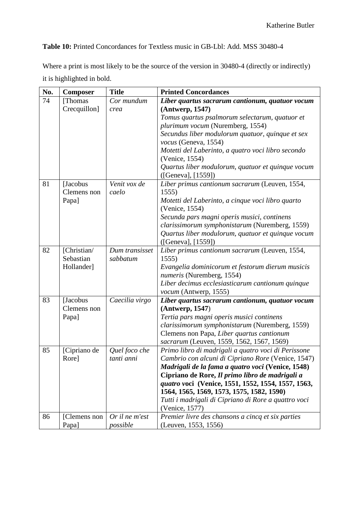**Table 10:** Printed Concordances for Textless music in GB-Lbl: Add. MSS 30480-4

Where a print is most likely to be the source of the version in 30480-4 (directly or indirectly) it is highlighted in bold.

| No. | <b>Composer</b>                        | <b>Title</b>                | <b>Printed Concordances</b>                                                                                                                                                                                                                                                                                                                                                                    |
|-----|----------------------------------------|-----------------------------|------------------------------------------------------------------------------------------------------------------------------------------------------------------------------------------------------------------------------------------------------------------------------------------------------------------------------------------------------------------------------------------------|
| 74  | [Thomas<br>Crecquillon]                | Cor mundum<br>crea          | Liber quartus sacrarum cantionum, quatuor vocum<br>(Antwerp, 1547)<br>Tomus quartus psalmorum selectarum, quatuor et<br>plurimum vocum (Nuremberg, 1554)<br>Secundus liber modulorum quatuor, quinque et sex<br>vocus (Geneva, 1554)<br>Motetti del Laberinto, a quatro voci libro secondo<br>(Venice, 1554)<br>Quartus liber modulorum, quatuor et quinque vocum<br>([Geneva], [1559])        |
| 81  | [Jacobus]<br>Clemens non<br>Papa]      | Venit vox de<br>caelo       | Liber primus cantionum sacrarum (Leuven, 1554,<br>1555)<br>Motetti del Laberinto, a cinque voci libro quarto<br>(Venice, 1554)<br>Secunda pars magni operis musici, continens<br>clarissimorum symphonistarum (Nuremberg, 1559)<br>Quartus liber modulorum, quatuor et quinque vocum<br>([General, [1559])                                                                                     |
| 82  | [Christian/<br>Sebastian<br>Hollander] | Dum transisset<br>sabbatum  | Liber primus cantionum sacrarum (Leuven, 1554,<br>1555)<br>Evangelia dominicorum et festorum dierum musicis<br>numeris (Nuremberg, 1554)<br>Liber decimus ecclesiasticarum cantionum quinque<br>vocum (Antwerp, 1555)                                                                                                                                                                          |
| 83  | [Jacobus<br>Clemens non<br>Papa]       | Caecilia virgo              | Liber quartus sacrarum cantionum, quatuor vocum<br>(Antwerp, 1547)<br>Tertia pars magni operis musici continens<br>clarissimorum symphonistarum (Nuremberg, 1559)<br>Clemens non Papa, Liber quartus cantionum<br>sacrarum (Leuven, 1559, 1562, 1567, 1569)                                                                                                                                    |
| 85  | [Cipriano de<br>Rore                   | Quel foco che<br>tanti anni | Primo libro di madrigali a quatro voci di Perissone<br>Cambrio con alcuni di Cipriano Rore (Venice, 1547)<br>Madrigali de la fama a quatro voci (Venice, 1548)<br>Cipriano de Rore, Il primo libro de madrigali a<br>quatro voci (Venice, 1551, 1552, 1554, 1557, 1563,<br>1564, 1565, 1569, 1573, 1575, 1582, 1590)<br>Tutti i madrigali di Cipriano di Rore a quattro voci<br>(Venice, 1577) |
| 86  | [Clemens non<br>Papa]                  | Or il ne m'est<br>possible  | Premier livre des chansons a cincq et six parties<br>(Leuven, 1553, 1556)                                                                                                                                                                                                                                                                                                                      |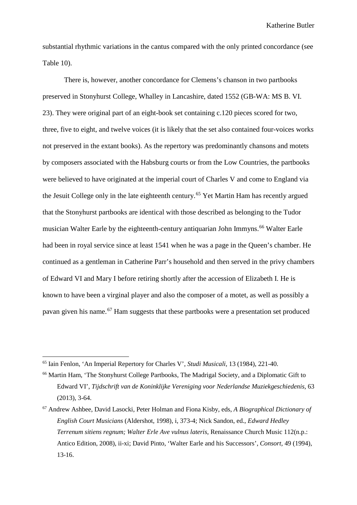substantial rhythmic variations in the cantus compared with the only printed concordance (see Table 10).

There is, however, another concordance for Clemens's chanson in two partbooks preserved in Stonyhurst College, Whalley in Lancashire, dated 1552 (GB-WA: MS B. VI. 23). They were original part of an eight-book set containing c.120 pieces scored for two, three, five to eight, and twelve voices (it is likely that the set also contained four-voices works not preserved in the extant books). As the repertory was predominantly chansons and motets by composers associated with the Habsburg courts or from the Low Countries, the partbooks were believed to have originated at the imperial court of Charles V and come to England via the Jesuit College only in the late eighteenth century.[65](#page-47-0) Yet Martin Ham has recently argued that the Stonyhurst partbooks are identical with those described as belonging to the Tudor musician Walter Earle by the eighteenth-century antiquarian John Immyns.<sup>[66](#page-47-1)</sup> Walter Earle had been in royal service since at least 1541 when he was a page in the Queen's chamber. He continued as a gentleman in Catherine Parr's household and then served in the privy chambers of Edward VI and Mary I before retiring shortly after the accession of Elizabeth I. He is known to have been a virginal player and also the composer of a motet, as well as possibly a pavan given his name.[67](#page-47-2) Ham suggests that these partbooks were a presentation set produced

<span id="page-47-0"></span> <sup>65</sup> Iain Fenlon, 'An Imperial Repertory for Charles V', *Studi Musicali*, 13 (1984), 221-40.

<span id="page-47-1"></span><sup>66</sup> Martin Ham, 'The Stonyhurst College Partbooks, The Madrigal Society, and a Diplomatic Gift to Edward VI', *Tijdschrift van de Koninklijke Vereniging voor Nederlandse Muziekgeschiedenis,* 63 (2013), 3-64.

<span id="page-47-2"></span><sup>67</sup> Andrew Ashbee, David Lasocki, Peter Holman and Fiona Kisby, eds, *A Biographical Dictionary of English Court Musicians* (Aldershot, 1998), i, 373-4; Nick Sandon, ed., *Edward Hedley Terrenum sitiens regnum; Walter Erle Ave vulnus lateris*, Renaissance Church Music 112(n.p.: Antico Edition, 2008), ii-xi; David Pinto, 'Walter Earle and his Successors', *Consort,* 49 (1994), 13-16.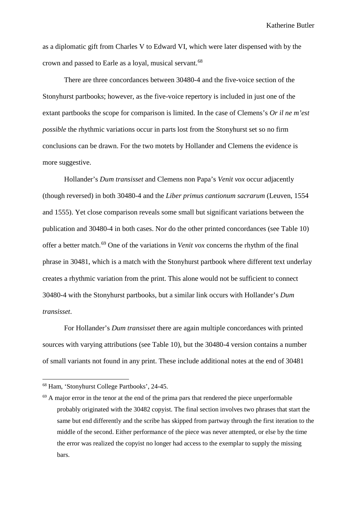as a diplomatic gift from Charles V to Edward VI, which were later dispensed with by the crown and passed to Earle as a loyal, musical servant.[68](#page-48-0)

There are three concordances between 30480-4 and the five-voice section of the Stonyhurst partbooks; however, as the five-voice repertory is included in just one of the extant partbooks the scope for comparison is limited. In the case of Clemens's *Or il ne m'est possible* the rhythmic variations occur in parts lost from the Stonyhurst set so no firm conclusions can be drawn. For the two motets by Hollander and Clemens the evidence is more suggestive.

Hollander's *Dum transisset* and Clemens non Papa's *Venit vox* occur adjacently (though reversed) in both 30480-4 and the *Liber primus cantionum sacrarum* (Leuven, 1554 and 1555). Yet close comparison reveals some small but significant variations between the publication and 30480-4 in both cases. Nor do the other printed concordances (see Table 10) offer a better match.[69](#page-48-1) One of the variations in *Venit vox* concerns the rhythm of the final phrase in 30481, which is a match with the Stonyhurst partbook where different text underlay creates a rhythmic variation from the print. This alone would not be sufficient to connect 30480-4 with the Stonyhurst partbooks, but a similar link occurs with Hollander's *Dum transisset*.

For Hollander's *Dum transisset* there are again multiple concordances with printed sources with varying attributions (see Table 10), but the 30480-4 version contains a number of small variants not found in any print. These include additional notes at the end of 30481

<span id="page-48-0"></span> <sup>68</sup> Ham, 'Stonyhurst College Partbooks', 24-45.

<span id="page-48-1"></span> $69$  A major error in the tenor at the end of the prima pars that rendered the piece unperformable probably originated with the 30482 copyist. The final section involves two phrases that start the same but end differently and the scribe has skipped from partway through the first iteration to the middle of the second. Either performance of the piece was never attempted, or else by the time the error was realized the copyist no longer had access to the exemplar to supply the missing bars.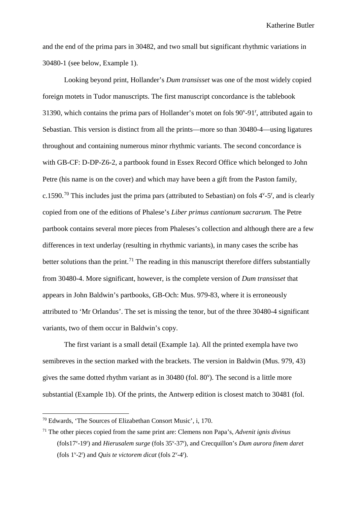and the end of the prima pars in 30482, and two small but significant rhythmic variations in 30480-1 (see below, Example 1).

Looking beyond print, Hollander's *Dum transisset* was one of the most widely copied foreign motets in Tudor manuscripts. The first manuscript concordance is the tablebook 31390, which contains the prima pars of Hollander's motet on fols  $90^{\circ}$ -91<sup>r</sup>, attributed again to Sebastian. This version is distinct from all the prints—more so than 30480-4—using ligatures throughout and containing numerous minor rhythmic variants. The second concordance is with GB-CF: D-DP-Z6-2, a partbook found in Essex Record Office which belonged to John Petre (his name is on the cover) and which may have been a gift from the Paston family, c.1590.<sup>[70](#page-49-0)</sup> This includes just the prima pars (attributed to Sebastian) on fols  $4^{\nu}$ -5<sup>r</sup>, and is clearly copied from one of the editions of Phalese's *Liber primus cantionum sacrarum.* The Petre partbook contains several more pieces from Phaleses's collection and although there are a few differences in text underlay (resulting in rhythmic variants), in many cases the scribe has better solutions than the print.<sup>[71](#page-49-1)</sup> The reading in this manuscript therefore differs substantially from 30480-4. More significant, however, is the complete version of *Dum transisset* that appears in John Baldwin's partbooks, GB-Och: Mus. 979-83, where it is erroneously attributed to 'Mr Orlandus'. The set is missing the tenor, but of the three 30480-4 significant variants, two of them occur in Baldwin's copy.

The first variant is a small detail (Example 1a). All the printed exempla have two semibreves in the section marked with the brackets. The version in Baldwin (Mus. 979, 43) gives the same dotted rhythm variant as in 30480 (fol. 80<sup>v</sup>). The second is a little more substantial (Example 1b). Of the prints, the Antwerp edition is closest match to 30481 (fol.

<span id="page-49-0"></span> <sup>70</sup> Edwards, 'The Sources of Elizabethan Consort Music', i, 170.

<span id="page-49-1"></span><sup>71</sup> The other pieces copied from the same print are: Clemens non Papa's, *Advenit ignis divinus* (fols17v -19r ) and *Hierusalem surge* (fols 35v -37r ), and Crecquillon's *Dum aurora finem daret* (fols  $1^{\nu}$ -2<sup>r</sup>) and *Quis te victorem dicat* (fols  $2^{\nu}$ -4<sup>r</sup>).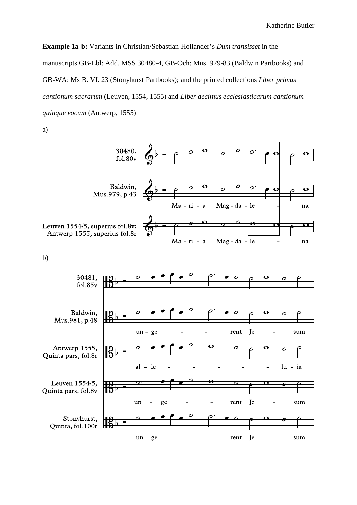**Example 1a-b:** Variants in Christian/Sebastian Hollander's *Dum transisset* in the manuscripts GB-Lbl: Add. MSS 30480-4, GB-Och: Mus. 979-83 (Baldwin Partbooks) and GB-WA: Ms B. VI. 23 (Stonyhurst Partbooks); and the printed collections *Liber primus cantionum sacrarum* (Leuven, 1554, 1555) and *Liber decimus ecclesiasticarum cantionum quinque vocum* (Antwerp, 1555)

a)



b)

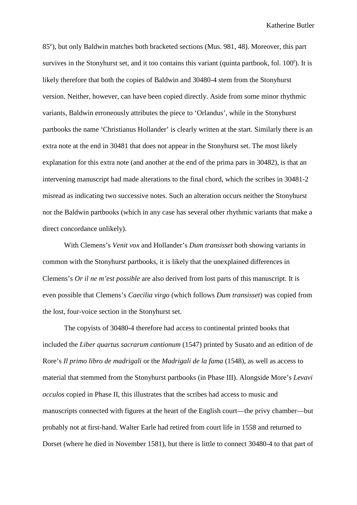85<sup>v</sup> ), but only Baldwin matches both bracketed sections (Mus. 981, 48). Moreover, this part survives in the Stonyhurst set, and it too contains this variant (quinta partbook, fol. 100<sup>r</sup>). It is likely therefore that both the copies of Baldwin and 30480-4 stem from the Stonyhurst version. Neither, however, can have been copied directly. Aside from some minor rhythmic variants, Baldwin erroneously attributes the piece to 'Orlandus', while in the Stonyhurst partbooks the name 'Christianus Hollander' is clearly written at the start. Similarly there is an extra note at the end in 30481 that does not appear in the Stonyhurst set. The most likely explanation for this extra note (and another at the end of the prima pars in 30482), is that an intervening manuscript had made alterations to the final chord, which the scribes in 30481-2 misread as indicating two successive notes. Such an alteration occurs neither the Stonyhurst nor the Baldwin partbooks (which in any case has several other rhythmic variants that make a direct concordance unlikely).

With Clemens's *Venit vox* and Hollander's *Dum transisset* both showing variants in common with the Stonyhurst partbooks, it is likely that the unexplained differences in Clemens's *Or il ne m'est possible* are also derived from lost parts of this manuscript. It is even possible that Clemens's *Caecilia virgo* (which follows *Dum transisset*) was copied from the lost, four-voice section in the Stonyhurst set.

The copyists of 30480-4 therefore had access to continental printed books that included the *Liber quartus sacrarum cantionum* (1547) printed by Susato and an edition of de Rore's *Il primo libro de madrigali* or the *Madrigali de la fama* (1548), as well as access to material that stemmed from the Stonyhurst partbooks (in Phase III). Alongside More's *Levavi occulos* copied in Phase II, this illustrates that the scribes had access to music and manuscripts connected with figures at the heart of the English court—the privy chamber—but probably not at first-hand. Walter Earle had retired from court life in 1558 and returned to Dorset (where he died in November 1581), but there is little to connect 30480-4 to that part of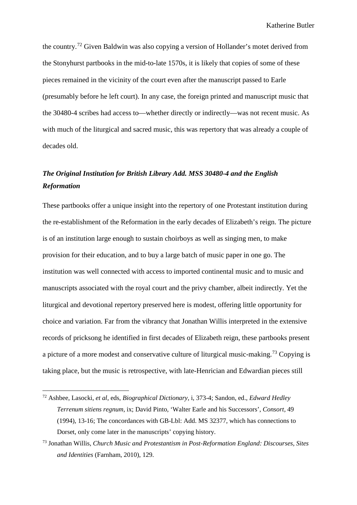the country.[72](#page-52-0) Given Baldwin was also copying a version of Hollander's motet derived from the Stonyhurst partbooks in the mid-to-late 1570s, it is likely that copies of some of these pieces remained in the vicinity of the court even after the manuscript passed to Earle (presumably before he left court). In any case, the foreign printed and manuscript music that the 30480-4 scribes had access to—whether directly or indirectly—was not recent music. As with much of the liturgical and sacred music, this was repertory that was already a couple of decades old.

# *The Original Institution for British Library Add. MSS 30480-4 and the English Reformation*

These partbooks offer a unique insight into the repertory of one Protestant institution during the re-establishment of the Reformation in the early decades of Elizabeth's reign. The picture is of an institution large enough to sustain choirboys as well as singing men, to make provision for their education, and to buy a large batch of music paper in one go. The institution was well connected with access to imported continental music and to music and manuscripts associated with the royal court and the privy chamber, albeit indirectly. Yet the liturgical and devotional repertory preserved here is modest, offering little opportunity for choice and variation. Far from the vibrancy that Jonathan Willis interpreted in the extensive records of pricksong he identified in first decades of Elizabeth reign, these partbooks present a picture of a more modest and conservative culture of liturgical music-making.<sup>[73](#page-52-1)</sup> Copying is taking place, but the music is retrospective, with late-Henrician and Edwardian pieces still

<span id="page-52-0"></span> <sup>72</sup> Ashbee, Lasocki, *et al*, eds, *Biographical Dictionary,* i*,* 373-4; Sandon, ed., *Edward Hedley Terrenum sitiens regnum,* ix; David Pinto, 'Walter Earle and his Successors', *Consort,* 49 (1994), 13-16; The concordances with GB-Lbl: Add. MS 32377, which has connections to Dorset, only come later in the manuscripts' copying history.

<span id="page-52-1"></span><sup>73</sup> Jonathan Willis, *Church Music and Protestantism in Post-Reformation England: Discourses, Sites and Identities* (Farnham, 2010), 129.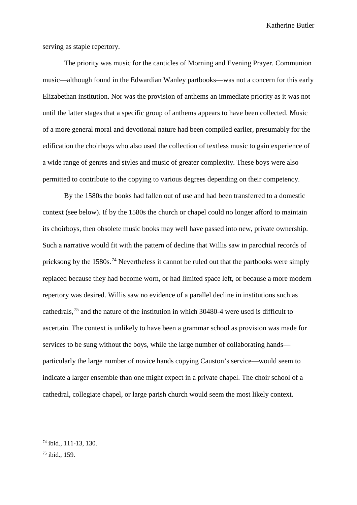serving as staple repertory.

The priority was music for the canticles of Morning and Evening Prayer. Communion music—although found in the Edwardian Wanley partbooks—was not a concern for this early Elizabethan institution. Nor was the provision of anthems an immediate priority as it was not until the latter stages that a specific group of anthems appears to have been collected. Music of a more general moral and devotional nature had been compiled earlier, presumably for the edification the choirboys who also used the collection of textless music to gain experience of a wide range of genres and styles and music of greater complexity. These boys were also permitted to contribute to the copying to various degrees depending on their competency.

By the 1580s the books had fallen out of use and had been transferred to a domestic context (see below). If by the 1580s the church or chapel could no longer afford to maintain its choirboys, then obsolete music books may well have passed into new, private ownership. Such a narrative would fit with the pattern of decline that Willis saw in parochial records of pricksong by the 1580s.<sup>[74](#page-53-0)</sup> Nevertheless it cannot be ruled out that the partbooks were simply replaced because they had become worn, or had limited space left, or because a more modern repertory was desired. Willis saw no evidence of a parallel decline in institutions such as cathedrals,[75](#page-53-1) and the nature of the institution in which 30480-4 were used is difficult to ascertain. The context is unlikely to have been a grammar school as provision was made for services to be sung without the boys, while the large number of collaborating hands particularly the large number of novice hands copying Causton's service—would seem to indicate a larger ensemble than one might expect in a private chapel. The choir school of a cathedral, collegiate chapel, or large parish church would seem the most likely context.

<span id="page-53-0"></span> <sup>74</sup> ibid., 111-13, 130.

<span id="page-53-1"></span><sup>75</sup> ibid., 159.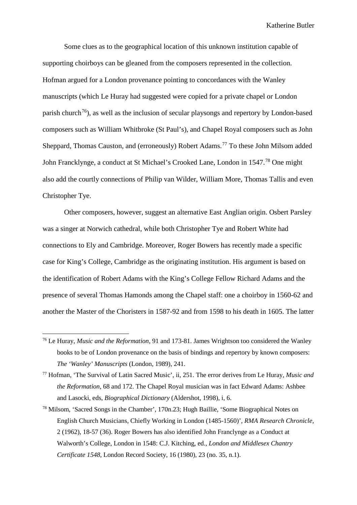Some clues as to the geographical location of this unknown institution capable of supporting choirboys can be gleaned from the composers represented in the collection. Hofman argued for a London provenance pointing to concordances with the Wanley manuscripts (which Le Huray had suggested were copied for a private chapel or London parish church<sup>76</sup>), as well as the inclusion of secular playsongs and repertory by London-based composers such as William Whitbroke (St Paul's), and Chapel Royal composers such as John Sheppard, Thomas Causton, and (erroneously) Robert Adams.<sup>[77](#page-54-1)</sup> To these John Milsom added John Francklynge, a conduct at St Michael's Crooked Lane, London in 1547.<sup>[78](#page-54-2)</sup> One might also add the courtly connections of Philip van Wilder, William More, Thomas Tallis and even Christopher Tye.

Other composers, however, suggest an alternative East Anglian origin. Osbert Parsley was a singer at Norwich cathedral, while both Christopher Tye and Robert White had connections to Ely and Cambridge. Moreover, Roger Bowers has recently made a specific case for King's College, Cambridge as the originating institution. His argument is based on the identification of Robert Adams with the King's College Fellow Richard Adams and the presence of several Thomas Hamonds among the Chapel staff: one a choirboy in 1560-62 and another the Master of the Choristers in 1587-92 and from 1598 to his death in 1605. The latter

<span id="page-54-0"></span> <sup>76</sup> Le Huray, *Music and the Reformation*, 91 and 173-81. James Wrightson too considered the Wanley books to be of London provenance on the basis of bindings and repertory by known composers: *The 'Wanley' Manuscripts* (London, 1989), 241.

<span id="page-54-1"></span><sup>77</sup> Hofman, 'The Survival of Latin Sacred Music', ii, 251. The error derives from Le Huray, *Music and the Reformation*, 68 and 172. The Chapel Royal musician was in fact Edward Adams: Ashbee and Lasocki, eds, *Biographical Dictionary* (Aldershot, 1998), i, 6.

<span id="page-54-2"></span><sup>78</sup> Milsom, 'Sacred Songs in the Chamber', 170n.23; Hugh Baillie, 'Some Biographical Notes on English Church Musicians, Chiefly Working in London (1485-1560)', *RMA Research Chronicle,* 2 (1962), 18-57 (36). Roger Bowers has also identified John Franclynge as a Conduct at Walworth's College, London in 1548: C.J. Kitching, ed., *London and Middlesex Chantry Certificate 1548*, London Record Society, 16 (1980), 23 (no. 35, n.1).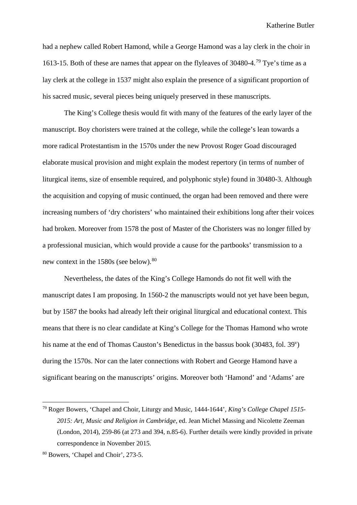had a nephew called Robert Hamond, while a George Hamond was a lay clerk in the choir in 1613-15. Both of these are names that appear on the flyleaves of 30480-4.[79](#page-55-0) Tye's time as a lay clerk at the college in 1537 might also explain the presence of a significant proportion of his sacred music, several pieces being uniquely preserved in these manuscripts.

The King's College thesis would fit with many of the features of the early layer of the manuscript. Boy choristers were trained at the college, while the college's lean towards a more radical Protestantism in the 1570s under the new Provost Roger Goad discouraged elaborate musical provision and might explain the modest repertory (in terms of number of liturgical items, size of ensemble required, and polyphonic style) found in 30480-3. Although the acquisition and copying of music continued, the organ had been removed and there were increasing numbers of 'dry choristers' who maintained their exhibitions long after their voices had broken. Moreover from 1578 the post of Master of the Choristers was no longer filled by a professional musician, which would provide a cause for the partbooks' transmission to a new context in the 15[80](#page-55-1)s (see below).<sup>80</sup>

Nevertheless, the dates of the King's College Hamonds do not fit well with the manuscript dates I am proposing. In 1560-2 the manuscripts would not yet have been begun, but by 1587 the books had already left their original liturgical and educational context. This means that there is no clear candidate at King's College for the Thomas Hamond who wrote his name at the end of Thomas Causton's Benedictus in the bassus book (30483, fol. 39<sup>v</sup>) during the 1570s. Nor can the later connections with Robert and George Hamond have a significant bearing on the manuscripts' origins. Moreover both 'Hamond' and 'Adams' are

<span id="page-55-0"></span> <sup>79</sup> Roger Bowers, 'Chapel and Choir, Liturgy and Music, 1444-1644', *King's College Chapel 1515- 2015: Art, Music and Religion in Cambridge,* ed. Jean Michel Massing and Nicolette Zeeman (London, 2014), 259-86 (at 273 and 394, n.85-6). Further details were kindly provided in private correspondence in November 2015.

<span id="page-55-1"></span><sup>80</sup> Bowers, 'Chapel and Choir', 273-5.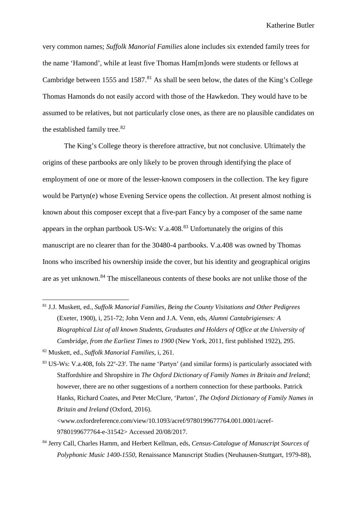very common names; *Suffolk Manorial Families* alone includes six extended family trees for the name 'Hamond', while at least five Thomas Ham[m]onds were students or fellows at Cambridge between 1555 and 1587.<sup>[81](#page-56-0)</sup> As shall be seen below, the dates of the King's College Thomas Hamonds do not easily accord with those of the Hawkedon. They would have to be assumed to be relatives, but not particularly close ones, as there are no plausible candidates on the established family tree.<sup>[82](#page-56-1)</sup>

The King's College theory is therefore attractive, but not conclusive. Ultimately the origins of these partbooks are only likely to be proven through identifying the place of employment of one or more of the lesser-known composers in the collection. The key figure would be Partyn(e) whose Evening Service opens the collection. At present almost nothing is known about this composer except that a five-part Fancy by a composer of the same name appears in the orphan partbook US-Ws: V.a.408. $83$  Unfortunately the origins of this manuscript are no clearer than for the 30480-4 partbooks. V.a.408 was owned by Thomas Inons who inscribed his ownership inside the cover, but his identity and geographical origins are as yet unknown.<sup>[84](#page-56-3)</sup> The miscellaneous contents of these books are not unlike those of the

- <span id="page-56-0"></span> 81 J.J. Muskett, ed., *Suffolk Manorial Families, Being the County Visitations and Other Pedigrees*  (Exeter, 1900), i, 251-72; John Venn and J.A. Venn, eds, *Alumni Cantabrigienses: A Biographical List of all known Students, Graduates and Holders of Office at the University of Cambridge, from the Earliest Times to 1900* (New York, 2011, first published 1922), 295.
- <span id="page-56-1"></span><sup>82</sup> Muskett, ed., *Suffolk Manorial Families*, i, 261.

<span id="page-56-2"></span> $83$  US-Ws: V.a.408, fols  $22^{\nu}$ -23<sup>r</sup>. The name 'Partyn' (and similar forms) is particularly associated with Staffordshire and Shropshire in *The Oxford Dictionary of Family Names in Britain and Ireland*; however, there are no other suggestions of a northern connection for these partbooks. Patrick Hanks, Richard Coates, and Peter McClure, 'Parton', *The Oxford Dictionary of Family Names in Britain and Ireland* (Oxford, 2016). <www.oxfordreference.com/view/10.1093/acref/9780199677764.001.0001/acref-

<span id="page-56-3"></span><sup>84</sup> Jerry Call, Charles Hamm, and Herbert Kellman, eds, *Census-Catalogue of Manuscript Sources of Polyphonic Music 1400-1550*, Renaissance Manuscript Studies (Neuhausen-Stuttgart, 1979-88),

<sup>9780199677764-</sup>e-31542> Accessed 20/08/2017.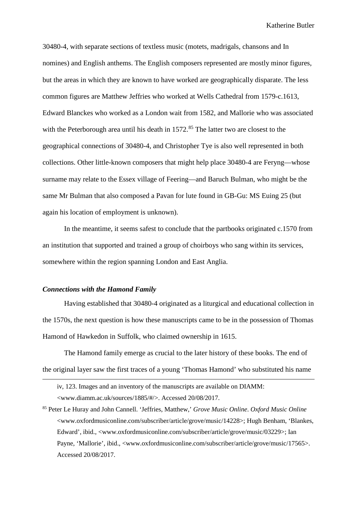30480-4, with separate sections of textless music (motets, madrigals, chansons and In nomines) and English anthems. The English composers represented are mostly minor figures, but the areas in which they are known to have worked are geographically disparate. The less common figures are Matthew Jeffries who worked at Wells Cathedral from 1579-c.1613, Edward Blanckes who worked as a London wait from 1582, and Mallorie who was associated with the Peterborough area until his death in  $1572$ .<sup>[85](#page-57-0)</sup> The latter two are closest to the geographical connections of 30480-4, and Christopher Tye is also well represented in both collections. Other little-known composers that might help place 30480-4 are Feryng—whose surname may relate to the Essex village of Feering—and Baruch Bulman, who might be the same Mr Bulman that also composed a Pavan for lute found in GB-Gu: MS Euing 25 (but again his location of employment is unknown).

In the meantime, it seems safest to conclude that the partbooks originated c.1570 from an institution that supported and trained a group of choirboys who sang within its services, somewhere within the region spanning London and East Anglia.

### *Connections with the Hamond Family*

 $\overline{a}$ 

Having established that 30480-4 originated as a liturgical and educational collection in the 1570s, the next question is how these manuscripts came to be in the possession of Thomas Hamond of Hawkedon in Suffolk, who claimed ownership in 1615.

The Hamond family emerge as crucial to the later history of these books. The end of the original layer saw the first traces of a young 'Thomas Hamond' who substituted his name

iv, 123. Images and an inventory of the manuscripts are available on DIAMM: <www.diamm.ac.uk/sources/1885/#/>. Accessed 20/08/2017.

<span id="page-57-0"></span><sup>85</sup> Peter Le Huray and John Cannell. 'Jeffries, Matthew,' *Grove Music Online*. *Oxford Music Online* <www.oxfordmusiconline.com/subscriber/article/grove/music/14228>; Hugh Benham, 'Blankes, Edward', ibid., <www.oxfordmusiconline.com/subscriber/article/grove/music/03229>; Ian Payne, 'Mallorie', ibid., <www.oxfordmusiconline.com/subscriber/article/grove/music/17565>. Accessed 20/08/2017.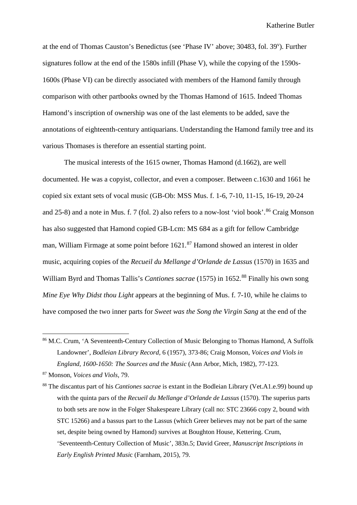at the end of Thomas Causton's Benedictus (see 'Phase IV' above; 30483, fol. 39<sup>v</sup>). Further signatures follow at the end of the 1580s infill (Phase V), while the copying of the 1590s-1600s (Phase VI) can be directly associated with members of the Hamond family through comparison with other partbooks owned by the Thomas Hamond of 1615. Indeed Thomas Hamond's inscription of ownership was one of the last elements to be added, save the annotations of eighteenth-century antiquarians. Understanding the Hamond family tree and its various Thomases is therefore an essential starting point.

The musical interests of the 1615 owner, Thomas Hamond (d.1662), are well documented. He was a copyist, collector, and even a composer. Between c.1630 and 1661 he copied six extant sets of vocal music (GB-Ob: MSS Mus. f. 1-6, 7-10, 11-15, 16-19, 20-24 and 25-8) and a note in Mus. f. 7 (fol. 2) also refers to a now-lost 'viol book'.<sup>[86](#page-58-0)</sup> Craig Monson has also suggested that Hamond copied GB-Lcm: MS 684 as a gift for fellow Cambridge man, William Firmage at some point before 1621.<sup>[87](#page-58-1)</sup> Hamond showed an interest in older music, acquiring copies of the *Recueil du Mellange d'Orlande de Lassus* (1570) in 1635 and William Byrd and Thomas Tallis's *Cantiones sacrae* (1575) in 1652.<sup>[88](#page-58-2)</sup> Finally his own song *Mine Eye Why Didst thou Light* appears at the beginning of Mus. f. 7-10, while he claims to have composed the two inner parts for *Sweet was the Song the Virgin Sang* at the end of the

<span id="page-58-0"></span><sup>&</sup>lt;sup>86</sup> M.C. Crum, 'A Seventeenth-Century Collection of Music Belonging to Thomas Hamond, A Suffolk Landowner', *Bodleian Library Record,* 6 (1957), 373-86; Craig Monson, *Voices and Viols in England, 1600-1650: The Sources and the Music* (Ann Arbor, Mich, 1982), 77-123.

<span id="page-58-1"></span><sup>87</sup> Monson, *Voices and Viols,* 79.

<span id="page-58-2"></span><sup>88</sup> The discantus part of his *Cantiones sacrae* is extant in the Bodleian Library (Vet.A1.e.99) bound up with the quinta pars of the *Recueil du Mellange d'Orlande de Lassus* (1570). The superius parts to both sets are now in the Folger Shakespeare Library (call no: STC 23666 copy 2, bound with STC 15266) and a bassus part to the Lassus (which Greer believes may not be part of the same set, despite being owned by Hamond) survives at Boughton House, Kettering. Crum, 'Seventeenth-Century Collection of Music', 383n.5; David Greer, *Manuscript Inscriptions in Early English Printed Musi*c (Farnham, 2015), 79.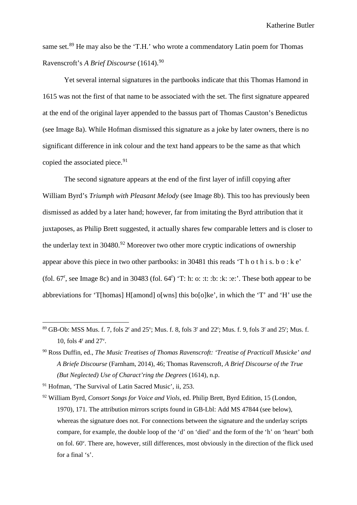same set.<sup>[89](#page-59-0)</sup> He may also be the 'T.H.' who wrote a commendatory Latin poem for Thomas Ravenscroft's *A Brief Discourse* (1614).[90](#page-59-1)

Yet several internal signatures in the partbooks indicate that this Thomas Hamond in 1615 was not the first of that name to be associated with the set. The first signature appeared at the end of the original layer appended to the bassus part of Thomas Causton's Benedictus (see Image 8a). While Hofman dismissed this signature as a joke by later owners, there is no significant difference in ink colour and the text hand appears to be the same as that which copied the associated piece.<sup>[91](#page-59-2)</sup>

The second signature appears at the end of the first layer of infill copying after William Byrd's *Triumph with Pleasant Melody* (see Image 8b). This too has previously been dismissed as added by a later hand; however, far from imitating the Byrd attribution that it juxtaposes, as Philip Brett suggested, it actually shares few comparable letters and is closer to the underlay text in  $30480.^{92}$  $30480.^{92}$  $30480.^{92}$  Moreover two other more cryptic indications of ownership appear above this piece in two other partbooks: in 30481 this reads 'T h o t h i s. b o : k e' (fol.  $67^r$ , see Image 8c) and in 30483 (fol.  $64^r$ ) 'T: h: o: :t: :b: :k: :e:'. These both appear to be abbreviations for 'T[homas] H[amond] o[wns] this bo[o]ke', in which the 'T' and 'H' use the

<span id="page-59-0"></span><sup>&</sup>lt;sup>89</sup> GB-Ob: MSS Mus. f. 7, fols 2<sup>r</sup> and 25<sup>v</sup>; Mus. f. 8, fols 3<sup>r</sup> and 22<sup>r</sup>; Mus. f. 9, fols 3<sup>r</sup> and 25<sup>r</sup>; Mus. f. 10, fols 4r and 27v .

<span id="page-59-1"></span><sup>90</sup> Ross Duffin, ed., *The Music Treatises of Thomas Ravenscroft: 'Treatise of Practicall Musicke' and A Briefe Discourse* (Farnham, 2014), 46; Thomas Ravenscroft, *A Brief Discourse of the True (But Neglected) Use of Charact'ring the Degrees* (1614), n.p.

<span id="page-59-2"></span><sup>91</sup> Hofman, 'The Survival of Latin Sacred Music', ii, 253.

<span id="page-59-3"></span><sup>92</sup> William Byrd, *Consort Songs for Voice and Viols*, ed. Philip Brett, Byrd Edition, 15 (London, 1970), 171*.* The attribution mirrors scripts found in GB-Lbl: Add MS 47844 (see below), whereas the signature does not. For connections between the signature and the underlay scripts compare, for example, the double loop of the 'd' on 'died' and the form of the 'h' on 'heart' both on fol. 60<sup>v</sup>. There are, however, still differences, most obviously in the direction of the flick used for a final 's'.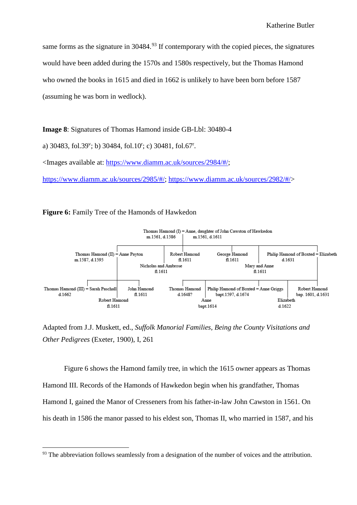same forms as the signature in  $30484<sup>93</sup>$  $30484<sup>93</sup>$  $30484<sup>93</sup>$  If contemporary with the copied pieces, the signatures would have been added during the 1570s and 1580s respectively, but the Thomas Hamond who owned the books in 1615 and died in 1662 is unlikely to have been born before 1587 (assuming he was born in wedlock).

**Image 8**: Signatures of Thomas Hamond inside GB-Lbl: 30480-4

a) 30483, fol.39<sup>v</sup>; b) 30484, fol.10<sup>r</sup>; c) 30481, fol.67<sup>r</sup>.

<Images available at: [https://www.diamm.ac.uk/sources/2984/#/;](https://www.diamm.ac.uk/sources/2984/#/)

[https://www.diamm.ac.uk/sources/2985/#/;](https://www.diamm.ac.uk/sources/2985/#/) [https://www.diamm.ac.uk/sources/2982/#/>](https://www.diamm.ac.uk/sources/2982/#/)

**Figure 6:** Family Tree of the Hamonds of Hawkedon



Adapted from J.J. Muskett, ed., *Suffolk Manorial Families, Being the County Visitations and Other Pedigrees* (Exeter, 1900), I, 261

Figure 6 shows the Hamond family tree, in which the 1615 owner appears as Thomas Hamond III. Records of the Hamonds of Hawkedon begin when his grandfather, Thomas Hamond I, gained the Manor of Cresseners from his father-in-law John Cawston in 1561. On his death in 1586 the manor passed to his eldest son, Thomas II, who married in 1587, and his

<span id="page-60-0"></span><sup>&</sup>lt;sup>93</sup> The abbreviation follows seamlessly from a designation of the number of voices and the attribution.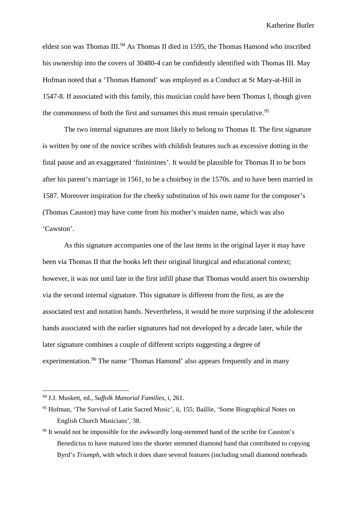eldest son was Thomas III.<sup>[94](#page-61-0)</sup> As Thomas II died in 1595, the Thomas Hamond who inscribed his ownership into the covers of 30480-4 can be confidently identified with Thomas III. May Hofman noted that a 'Thomas Hamond' was employed as a Conduct at St Mary-at-Hill in 1547-8. If associated with this family, this musician could have been Thomas I, though given the commonness of both the first and surnames this must remain speculative.<sup>[95](#page-61-1)</sup>

The two internal signatures are most likely to belong to Thomas II. The first signature is written by one of the novice scribes with childish features such as excessive dotting in the final pause and an exaggerated 'finininines'. It would be plausible for Thomas II to be born after his parent's marriage in 1561, to be a choirboy in the 1570s. and to have been married in 1587. Moreover inspiration for the cheeky substitution of his own name for the composer's (Thomas Causton) may have come from his mother's maiden name, which was also 'Cawston'.

As this signature accompanies one of the last items in the original layer it may have been via Thomas II that the books left their original liturgical and educational context; however, it was not until late in the first infill phase that Thomas would assert his ownership via the second internal signature. This signature is different from the first, as are the associated text and notation hands. Nevertheless, it would be more surprising if the adolescent hands associated with the earlier signatures had not developed by a decade later, while the later signature combines a couple of different scripts suggesting a degree of experimentation.<sup>[96](#page-61-2)</sup> The name 'Thomas Hamond' also appears frequently and in many

<span id="page-61-0"></span> <sup>94</sup> J.J. Muskett, ed., *Suffolk Manorial Families*, i, 261.

<span id="page-61-1"></span><sup>95</sup> Hofman, 'The Survival of Latin Sacred Music', ii, 155; Baillie, 'Some Biographical Notes on English Church Musicians', 38.

<span id="page-61-2"></span><sup>&</sup>lt;sup>96</sup> It would not be impossible for the awkwardly long-stemmed hand of the scribe for Causton's Benedictus to have matured into the shorter stemmed diamond hand that contributed to copying Byrd's *Triumph*, with which it does share several features (including small diamond noteheads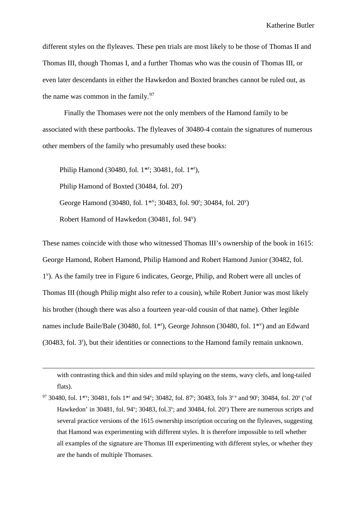different styles on the flyleaves. These pen trials are most likely to be those of Thomas II and Thomas III, though Thomas I, and a further Thomas who was the cousin of Thomas III, or even later descendants in either the Hawkedon and Boxted branches cannot be ruled out, as the name was common in the family. $97$ 

Finally the Thomases were not the only members of the Hamond family to be associated with these partbooks. The flyleaves of 30480-4 contain the signatures of numerous other members of the family who presumably used these books:

Philip Hamond (30480, fol. 1<sup>\*r</sup>; 30481, fol. 1<sup>\*r</sup>), Philip Hamond of Boxted (30484, fol. 20<sup>r</sup>) George Hamond (30480, fol. 1\*v; 30483, fol. 90<sup>r</sup>; 30484, fol. 20<sup>v</sup>) Robert Hamond of Hawkedon (30481, fol. 94<sup>v</sup>)

These names coincide with those who witnessed Thomas III's ownership of the book in 1615: George Hamond, Robert Hamond, Philip Hamond and Robert Hamond Junior (30482, fol. 1v ). As the family tree in Figure 6 indicates, George, Philip, and Robert were all uncles of Thomas III (though Philip might also refer to a cousin), while Robert Junior was most likely his brother (though there was also a fourteen year-old cousin of that name). Other legible names include Baile/Bale (30480, fol. 1<sup>\*r</sup>), George Johnson (30480, fol. 1<sup>\*v</sup>) and an Edward (30483, fol. 3<sup>r</sup>), but their identities or connections to the Hamond family remain unknown.

with contrasting thick and thin sides and mild splaying on the stems, wavy clefs, and long-tailed flats).

 $\overline{a}$ 

<span id="page-62-0"></span><sup>97</sup> 30480, fol. 1<sup>\*v</sup>; 30481, fols 1<sup>\*r</sup> and 94<sup>v</sup>; 30482, fol. 87<sup>r</sup>; 30483, fols 3<sup>r-v</sup> and 90<sup>r</sup>; 30484, fol. 20<sup>v</sup> ('of Hawkedon' in 30481, fol. 94<sup>v</sup>; 30483, fol.3<sup>v</sup>; and 30484, fol. 20<sup>v</sup>) There are numerous scripts and several practice versions of the 1615 ownership inscription occuring on the flyleaves, suggesting that Hamond was experimenting with different styles. It is therefore impossible to tell whether all examples of the signature are Thomas III experimenting with different styles, or whether they are the hands of multiple Thomases.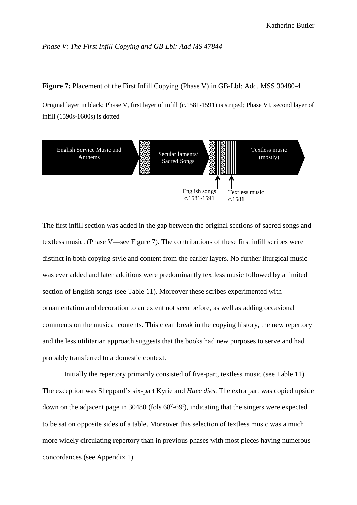#### *Phase V: The First Infill Copying and GB-Lbl: Add MS 47844*

## **Figure 7:** Placement of the First Infill Copying (Phase V) in GB-Lbl: Add. MSS 30480-4

Original layer in black; Phase V, first layer of infill (c.1581-1591) is striped; Phase VI, second layer of infill (1590s-1600s) is dotted



The first infill section was added in the gap between the original sections of sacred songs and textless music. (Phase V––see Figure 7). The contributions of these first infill scribes were distinct in both copying style and content from the earlier layers. No further liturgical music was ever added and later additions were predominantly textless music followed by a limited section of English songs (see Table 11). Moreover these scribes experimented with ornamentation and decoration to an extent not seen before, as well as adding occasional comments on the musical contents. This clean break in the copying history, the new repertory and the less utilitarian approach suggests that the books had new purposes to serve and had probably transferred to a domestic context.

Initially the repertory primarily consisted of five-part, textless music (see Table 11). The exception was Sheppard's six-part Kyrie and *Haec dies.* The extra part was copied upside down on the adjacent page in 30480 (fols 68<sup>v</sup>-69<sup>r</sup>), indicating that the singers were expected to be sat on opposite sides of a table. Moreover this selection of textless music was a much more widely circulating repertory than in previous phases with most pieces having numerous concordances (see Appendix 1).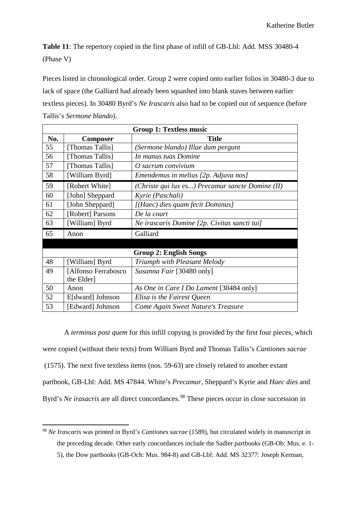**Table 11**: The repertory copied in the first phase of infill of GB-Lbl: Add. MSS 30480-4 (Phase V)

Pieces listed in chronological order. Group 2 were copied onto earlier folios in 30480-3 due to lack of space (the Galliard had already been squashed into blank staves between earlier textless pieces). In 30480 Byrd's *Ne Irascaris* also had to be copied out of sequence (before Tallis's *Sermone blando*).

| <b>Group 1: Textless music</b> |                     |                                                  |  |  |
|--------------------------------|---------------------|--------------------------------------------------|--|--|
| No.                            | <b>Composer</b>     | <b>Title</b>                                     |  |  |
| 55                             | [Thomas Tallis]     | (Sermone blando) Illae dum pergunt               |  |  |
| 56                             | [Thomas Tallis]     | In manus tuas Domine                             |  |  |
| 57                             | [Thomas Tallis]     | O sacrum convivium                               |  |  |
| 58                             | [William Byrd]      | Emendemus in melius [2p. Adjuva nos]             |  |  |
| 59                             | [Robert White]      | (Christe qui lux es) Precamur sancte Domine (II) |  |  |
| 60                             | [John] Sheppard     | Kyrie (Paschali)                                 |  |  |
| 61                             | [John Sheppard]     | [(Haec) dies quam fecit Dominus]                 |  |  |
| 62                             | [Robert] Parsons    | De la court                                      |  |  |
| 63                             | [William] Byrd      | Ne irascaris Domine [2p. Civitas sancti tui]     |  |  |
| 65                             | Anon                | Galliard                                         |  |  |
|                                |                     |                                                  |  |  |
| <b>Group 2: English Songs</b>  |                     |                                                  |  |  |
| 48                             | [William] Byrd      | Triumph with Pleasant Melody                     |  |  |
| 49                             | [Alfonso Ferrabosco | Susanna Fair [30480 only]                        |  |  |
|                                | the Elder]          |                                                  |  |  |
| 50                             | Anon                | As One in Care I Do Lament [30484 only]          |  |  |
| 52                             | E[dward] Johnson    | Elisa is the Fairest Queen                       |  |  |
| 53                             | [Edward] Johnson    | Come Again Sweet Nature's Treasure               |  |  |

A *terminus post quem* for this infill copying is provided by the first four pieces, which were copied (without their texts) from William Byrd and Thomas Tallis's *Cantiones sacrae* (1575). The next five textless items (nos. 59-63) are closely related to another extant partbook, GB-Lbl: Add. MS 47844. White's *Precamur*, Sheppard's Kyrie and *Haec dies* and Byrd's *Ne irasacris* are all direct concordances.<sup>[98](#page-64-0)</sup> These pieces occur in close succession in

<span id="page-64-0"></span> <sup>98</sup> *Ne Irascaris* was printed in Byrd's *Cantiones sacrae* (1589), but circulated widely in manuscript in the preceding decade. Other early concordances include the Sadler partbooks (GB-Ob: Mus. e. 1- 5), the Dow partbooks (GB-Och: Mus. 984-8) and GB-Lbl: Add. MS 32377: Joseph Kerman,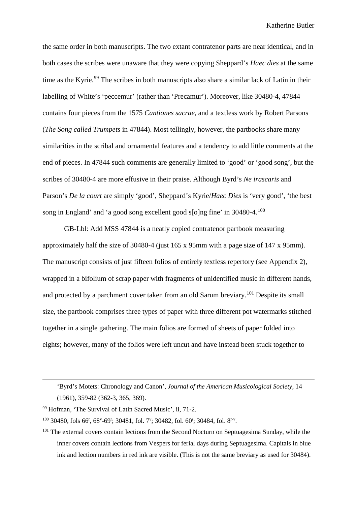the same order in both manuscripts. The two extant contratenor parts are near identical, and in both cases the scribes were unaware that they were copying Sheppard's *Haec dies* at the same time as the Kyrie.<sup>[99](#page-65-0)</sup> The scribes in both manuscripts also share a similar lack of Latin in their labelling of White's 'peccemur' (rather than 'Precamur'). Moreover, like 30480-4, 47844 contains four pieces from the 1575 *Cantiones sacrae*, and a textless work by Robert Parsons (*The Song called Trumpets* in 47844). Most tellingly, however, the partbooks share many similarities in the scribal and ornamental features and a tendency to add little comments at the end of pieces. In 47844 such comments are generally limited to 'good' or 'good song', but the scribes of 30480-4 are more effusive in their praise. Although Byrd's *Ne irascaris* and Parson's *De la court* are simply 'good', Sheppard's Kyrie/*Haec Dies* is 'very good', 'the best song in England' and 'a good song excellent good s[o]ng fine' in 30480-4.[100](#page-65-1)

GB-Lbl: Add MSS 47844 is a neatly copied contratenor partbook measuring approximately half the size of 30480-4 (just 165 x 95mm with a page size of 147 x 95mm). The manuscript consists of just fifteen folios of entirely textless repertory (see Appendix 2), wrapped in a bifolium of scrap paper with fragments of unidentified music in different hands, and protected by a parchment cover taken from an old Sarum breviary.<sup>[101](#page-65-2)</sup> Despite its small size, the partbook comprises three types of paper with three different pot watermarks stitched together in a single gathering. The main folios are formed of sheets of paper folded into eights; however, many of the folios were left uncut and have instead been stuck together to

 $\overline{a}$ 

<sup>&#</sup>x27;Byrd's Motets: Chronology and Canon', *Journal of the American Musicological Society*, 14 (1961), 359-82 (362-3, 365, 369).

<span id="page-65-0"></span><sup>99</sup> Hofman, 'The Survival of Latin Sacred Music', ii, 71-2.

<span id="page-65-1"></span> $100$  30480, fols 66<sup>r</sup>, 68<sup>v</sup>-69<sup>r</sup>; 30481, fol. 7<sup>v</sup>; 30482, fol. 60<sup>r</sup>; 30484, fol. 8<sup>r-v</sup>.

<span id="page-65-2"></span><sup>&</sup>lt;sup>101</sup> The external covers contain lections from the Second Nocturn on Septuagesima Sunday, while the inner covers contain lections from Vespers for ferial days during Septuagesima. Capitals in blue ink and lection numbers in red ink are visible. (This is not the same breviary as used for 30484).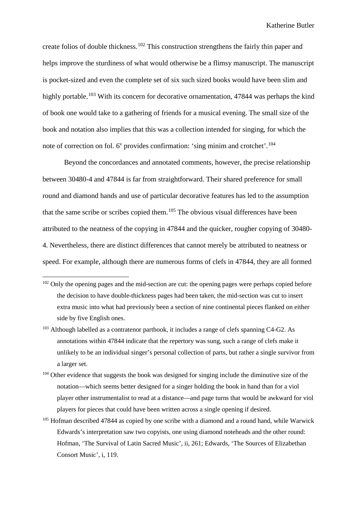create folios of double thickness.<sup>[102](#page-66-0)</sup> This construction strengthens the fairly thin paper and helps improve the sturdiness of what would otherwise be a flimsy manuscript. The manuscript is pocket-sized and even the complete set of six such sized books would have been slim and highly portable.<sup>[103](#page-66-1)</sup> With its concern for decorative ornamentation, 47844 was perhaps the kind of book one would take to a gathering of friends for a musical evening. The small size of the book and notation also implies that this was a collection intended for singing, for which the note of correction on fol.  $6^v$  provides confirmation: 'sing minim and crotchet'.<sup>[104](#page-66-2)</sup>

Beyond the concordances and annotated comments, however, the precise relationship between 30480-4 and 47844 is far from straightforward. Their shared preference for small round and diamond hands and use of particular decorative features has led to the assumption that the same scribe or scribes copied them.<sup>[105](#page-66-3)</sup> The obvious visual differences have been attributed to the neatness of the copying in 47844 and the quicker, rougher copying of 30480- 4. Nevertheless, there are distinct differences that cannot merely be attributed to neatness or speed. For example, although there are numerous forms of clefs in 47844, they are all formed

- <span id="page-66-1"></span><sup>103</sup> Although labelled as a contratenor partbook, it includes a range of clefs spanning C4-G2. As annotations within 47844 indicate that the repertory was sung, such a range of clefs make it unlikely to be an individual singer's personal collection of parts, but rather a single survivor from a larger set.
- <span id="page-66-2"></span><sup>104</sup> Other evidence that suggests the book was designed for singing include the diminutive size of the notation––which seems better designed for a singer holding the book in hand than for a viol player other instrumentalist to read at a distance––and page turns that would be awkward for viol players for pieces that could have been written across a single opening if desired.
- <span id="page-66-3"></span><sup>105</sup> Hofman described 47844 as copied by one scribe with a diamond and a round hand, while Warwick Edwards's interpretation saw two copyists, one using diamond noteheads and the other round: Hofman, 'The Survival of Latin Sacred Music', ii, 261; Edwards, 'The Sources of Elizabethan Consort Music', i, 119.

<span id="page-66-0"></span><sup>&</sup>lt;sup>102</sup> Only the opening pages and the mid-section are cut: the opening pages were perhaps copied before the decision to have double-thickness pages had been taken, the mid-section was cut to insert extra music into what had previously been a section of nine continental pieces flanked on either side by five English ones.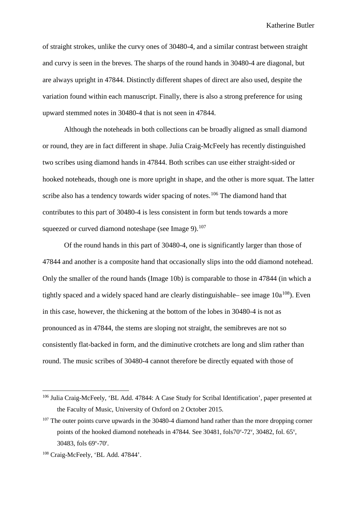of straight strokes, unlike the curvy ones of 30480-4, and a similar contrast between straight and curvy is seen in the breves. The sharps of the round hands in 30480-4 are diagonal, but are always upright in 47844. Distinctly different shapes of direct are also used, despite the variation found within each manuscript. Finally, there is also a strong preference for using upward stemmed notes in 30480-4 that is not seen in 47844.

Although the noteheads in both collections can be broadly aligned as small diamond or round, they are in fact different in shape. Julia Craig-McFeely has recently distinguished two scribes using diamond hands in 47844. Both scribes can use either straight-sided or hooked noteheads, though one is more upright in shape, and the other is more squat. The latter scribe also has a tendency towards wider spacing of notes.<sup>[106](#page-67-0)</sup> The diamond hand that contributes to this part of 30480-4 is less consistent in form but tends towards a more squeezed or curved diamond noteshape (see Image 9). $107$ 

Of the round hands in this part of 30480-4, one is significantly larger than those of 47844 and another is a composite hand that occasionally slips into the odd diamond notehead. Only the smaller of the round hands (Image 10b) is comparable to those in 47844 (in which a tightly spaced and a widely spaced hand are clearly distinguishable– see image  $10a^{108}$ ). Even in this case, however, the thickening at the bottom of the lobes in 30480-4 is not as pronounced as in 47844, the stems are sloping not straight, the semibreves are not so consistently flat-backed in form, and the diminutive crotchets are long and slim rather than round. The music scribes of 30480-4 cannot therefore be directly equated with those of

<span id="page-67-0"></span> <sup>106</sup> Julia Craig-McFeely, 'BL Add. 47844: A Case Study for Scribal Identification', paper presented at the Faculty of Music, University of Oxford on 2 October 2015.

<span id="page-67-1"></span><sup>&</sup>lt;sup>107</sup> The outer points curve upwards in the 30480-4 diamond hand rather than the more dropping corner points of the hooked diamond noteheads in 47844. See 30481, fols70°-72°, 30482, fol. 65°, 30483, fols 69<sup>v</sup>-70<sup>r</sup>.

<span id="page-67-2"></span><sup>108</sup> Craig-McFeely, 'BL Add. 47844'.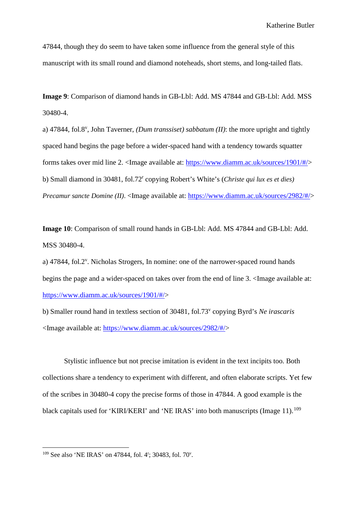47844, though they do seem to have taken some influence from the general style of this manuscript with its small round and diamond noteheads, short stems, and long-tailed flats.

**Image 9**: Comparison of diamond hands in GB-Lbl: Add. MS 47844 and GB-Lbl: Add. MSS 30480-4.

a) 47844, fol.8<sup>v</sup>, John Taverner, *(Dum transsiset) sabbatum (II)*: the more upright and tightly spaced hand begins the page before a wider-spaced hand with a tendency towards squatter forms takes over mid line 2. <Image available at: [https://www.diamm.ac.uk/sources/1901/#/>](https://www.diamm.ac.uk/sources/1901/#/) b) Small diamond in 30481, fol.72<sup>r</sup> copying Robert's White's (*Christe qui lux es et dies) Precamur sancte Domine (II)*. <Image available at: [https://www.diamm.ac.uk/sources/2982/#/>](https://www.diamm.ac.uk/sources/2982/#/)

**Image 10**: Comparison of small round hands in GB-Lbl: Add. MS 47844 and GB-Lbl: Add. MSS 30480-4.

a) 47844, fol.2<sup>v</sup>. Nicholas Strogers, In nomine: one of the narrower-spaced round hands begins the page and a wider-spaced on takes over from the end of line 3. <Image available at: [https://www.diamm.ac.uk/sources/1901/#/>](https://www.diamm.ac.uk/sources/1901/#/)

b) Smaller round hand in textless section of 30481, fol.73v copying Byrd's *Ne irascaris* <Image available at: [https://www.diamm.ac.uk/sources/2982/#/>](https://www.diamm.ac.uk/sources/2982/#/)

Stylistic influence but not precise imitation is evident in the text incipits too. Both collections share a tendency to experiment with different, and often elaborate scripts. Yet few of the scribes in 30480-4 copy the precise forms of those in 47844. A good example is the black capitals used for 'KIRI/KERI' and 'NE IRAS' into both manuscripts (Image 11).<sup>[109](#page-68-0)</sup>

<span id="page-68-0"></span><sup>109</sup> See also 'NE IRAS' on 47844, fol. 4<sup>r</sup>; 30483, fol. 70<sup>v</sup>.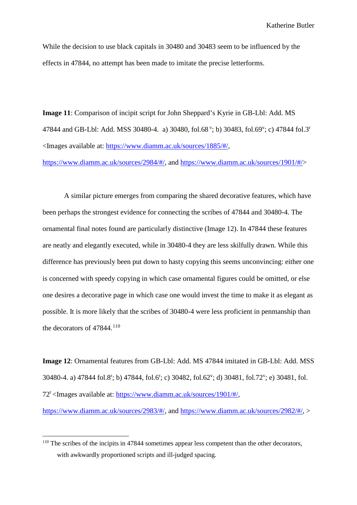While the decision to use black capitals in 30480 and 30483 seem to be influenced by the effects in 47844, no attempt has been made to imitate the precise letterforms.

**Image 11**: Comparison of incipit script for John Sheppard's Kyrie in GB-Lbl: Add. MS 47844 and GB-Lbl: Add. MSS 30480-4. a) 30480, fol.68<sup>v</sup>; b) 30483, fol.69<sup>v</sup>; c) 47844 fol.3<sup>r</sup> <Images available at: [https://www.diamm.ac.uk/sources/1885/#/,](https://www.diamm.ac.uk/sources/1885/#/)

[https://www.diamm.ac.uk/sources/2984/#/,](https://www.diamm.ac.uk/sources/2984/#/) and [https://www.diamm.ac.uk/sources/1901/#/>](https://www.diamm.ac.uk/sources/1901/#/)

A similar picture emerges from comparing the shared decorative features, which have been perhaps the strongest evidence for connecting the scribes of 47844 and 30480-4. The ornamental final notes found are particularly distinctive (Image 12). In 47844 these features are neatly and elegantly executed, while in 30480-4 they are less skilfully drawn. While this difference has previously been put down to hasty copying this seems unconvincing: either one is concerned with speedy copying in which case ornamental figures could be omitted, or else one desires a decorative page in which case one would invest the time to make it as elegant as possible. It is more likely that the scribes of 30480-4 were less proficient in penmanship than the decorators of 47844.<sup>[110](#page-69-0)</sup>

**Image 12**: Ornamental features from GB-Lbl: Add. MS 47844 imitated in GB-Lbl: Add. MSS 30480-4. a) 47844 fol.8<sup>r</sup>; b) 47844, fol.6<sup>r</sup>; c) 30482, fol.62<sup>v</sup>; d) 30481, fol.72<sup>v</sup>; e) 30481, fol. 72r <Images available at: [https://www.diamm.ac.uk/sources/1901/#/,](https://www.diamm.ac.uk/sources/1901/#/)

[https://www.diamm.ac.uk/sources/2983/#/,](https://www.diamm.ac.uk/sources/2983/#/) and [https://www.diamm.ac.uk/sources/2982/#/,](https://www.diamm.ac.uk/sources/2982/#/) >

<span id="page-69-0"></span><sup>&</sup>lt;sup>110</sup> The scribes of the incipits in 47844 sometimes appear less competent than the other decorators, with awkwardly proportioned scripts and ill-judged spacing.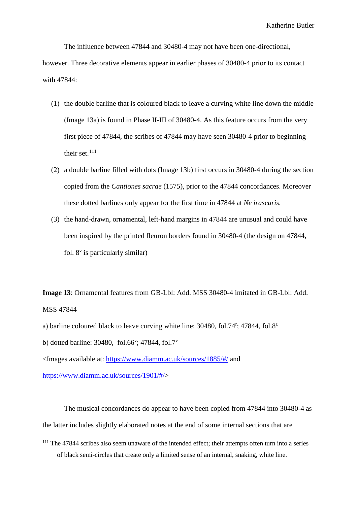The influence between 47844 and 30480-4 may not have been one-directional, however. Three decorative elements appear in earlier phases of 30480-4 prior to its contact with 47844:

- (1) the double barline that is coloured black to leave a curving white line down the middle (Image 13a) is found in Phase II-III of 30480-4. As this feature occurs from the very first piece of 47844, the scribes of 47844 may have seen 30480-4 prior to beginning their set. $111$
- (2) a double barline filled with dots (Image 13b) first occurs in 30480-4 during the section copied from the *Cantiones sacrae* (1575), prior to the 47844 concordances. Moreover these dotted barlines only appear for the first time in 47844 at *Ne irascaris.*
- (3) the hand-drawn, ornamental, left-hand margins in 47844 are unusual and could have been inspired by the printed fleuron borders found in 30480-4 (the design on 47844, fol.  $8^v$  is particularly similar)

**Image 13**: Ornamental features from GB-Lbl: Add. MSS 30480-4 imitated in GB-Lbl: Add. MSS 47844

a) barline coloured black to leave curving white line: 30480, fol.74<sup>r</sup>; 47844, fol.8<sup>r,</sup>

b) dotted barline:  $30480$ , fol.66<sup>v</sup>;  $47844$ , fol.7<sup>v</sup>

<Images available at:<https://www.diamm.ac.uk/sources/1885/#/> and

[https://www.diamm.ac.uk/sources/1901/#/>](https://www.diamm.ac.uk/sources/1901/#/)

The musical concordances do appear to have been copied from 47844 into 30480-4 as the latter includes slightly elaborated notes at the end of some internal sections that are

<span id="page-70-0"></span> <sup>111</sup> The 47844 scribes also seem unaware of the intended effect; their attempts often turn into a series of black semi-circles that create only a limited sense of an internal, snaking, white line.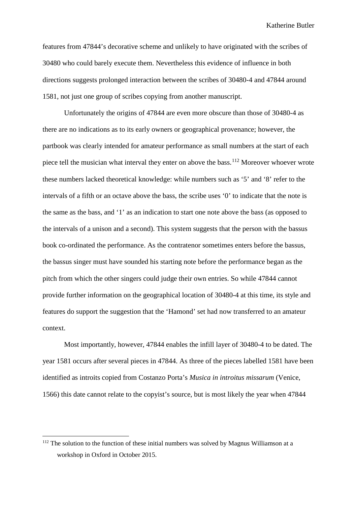features from 47844's decorative scheme and unlikely to have originated with the scribes of 30480 who could barely execute them. Nevertheless this evidence of influence in both directions suggests prolonged interaction between the scribes of 30480-4 and 47844 around 1581, not just one group of scribes copying from another manuscript.

Unfortunately the origins of 47844 are even more obscure than those of 30480-4 as there are no indications as to its early owners or geographical provenance; however, the partbook was clearly intended for amateur performance as small numbers at the start of each piece tell the musician what interval they enter on above the bass.<sup>[112](#page-71-0)</sup> Moreover whoever wrote these numbers lacked theoretical knowledge: while numbers such as '5' and '8' refer to the intervals of a fifth or an octave above the bass, the scribe uses '0' to indicate that the note is the same as the bass, and '1' as an indication to start one note above the bass (as opposed to the intervals of a unison and a second). This system suggests that the person with the bassus book co-ordinated the performance. As the contratenor sometimes enters before the bassus, the bassus singer must have sounded his starting note before the performance began as the pitch from which the other singers could judge their own entries. So while 47844 cannot provide further information on the geographical location of 30480-4 at this time, its style and features do support the suggestion that the 'Hamond' set had now transferred to an amateur context.

Most importantly, however, 47844 enables the infill layer of 30480-4 to be dated. The year 1581 occurs after several pieces in 47844. As three of the pieces labelled 1581 have been identified as introits copied from Costanzo Porta's *Musica in introitus missarum* (Venice, 1566) this date cannot relate to the copyist's source, but is most likely the year when 47844

<span id="page-71-0"></span> $112$  The solution to the function of these initial numbers was solved by Magnus Williamson at a workshop in Oxford in October 2015.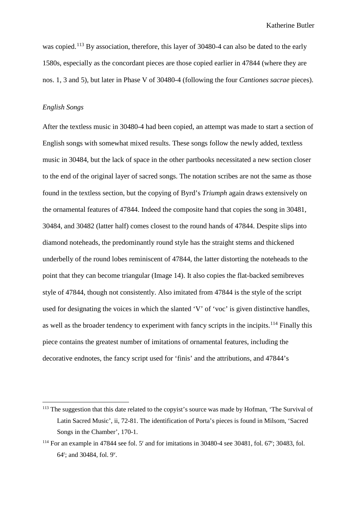was copied.<sup>[113](#page-72-0)</sup> By association, therefore, this layer of 30480-4 can also be dated to the early 1580s, especially as the concordant pieces are those copied earlier in 47844 (where they are nos. 1, 3 and 5), but later in Phase V of 30480-4 (following the four *Cantiones sacrae* pieces).

## *English Songs*

After the textless music in 30480-4 had been copied, an attempt was made to start a section of English songs with somewhat mixed results. These songs follow the newly added, textless music in 30484, but the lack of space in the other partbooks necessitated a new section closer to the end of the original layer of sacred songs. The notation scribes are not the same as those found in the textless section, but the copying of Byrd's *Triumph* again draws extensively on the ornamental features of 47844. Indeed the composite hand that copies the song in 30481, 30484, and 30482 (latter half) comes closest to the round hands of 47844. Despite slips into diamond noteheads, the predominantly round style has the straight stems and thickened underbelly of the round lobes reminiscent of 47844, the latter distorting the noteheads to the point that they can become triangular (Image 14). It also copies the flat-backed semibreves style of 47844, though not consistently. Also imitated from 47844 is the style of the script used for designating the voices in which the slanted 'V' of 'voc' is given distinctive handles, as well as the broader tendency to experiment with fancy scripts in the incipits.<sup>[114](#page-72-1)</sup> Finally this piece contains the greatest number of imitations of ornamental features, including the decorative endnotes, the fancy script used for 'finis' and the attributions, and 47844's

<span id="page-72-0"></span><sup>&</sup>lt;sup>113</sup> The suggestion that this date related to the copyist's source was made by Hofman, 'The Survival of Latin Sacred Music', ii, 72-81. The identification of Porta's pieces is found in Milsom, 'Sacred Songs in the Chamber', 170-1.

<span id="page-72-1"></span> $^{114}$  For an example in 47844 see fol. 5<sup>r</sup> and for imitations in 30480-4 see 30481, fol. 67<sup>r</sup>; 30483, fol. 64<sup>r</sup>; and 30484, fol. 9<sup>v</sup>.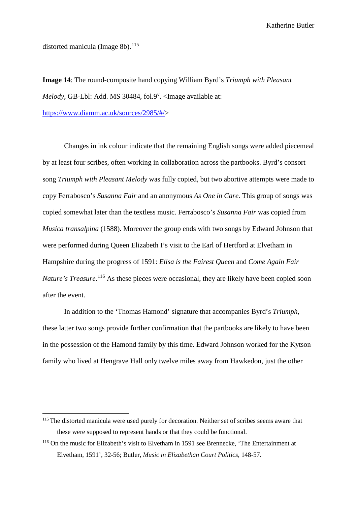distorted manicula (Image 8b). $115$ 

**Image 14**: The round-composite hand copying William Byrd's *Triumph with Pleasant*  Melody, GB-Lbl: Add. MS 30484, fol.9<sup>v</sup>. <Image available at:

[https://www.diamm.ac.uk/sources/2985/#/>](https://www.diamm.ac.uk/sources/2985/#/)

Changes in ink colour indicate that the remaining English songs were added piecemeal by at least four scribes, often working in collaboration across the partbooks. Byrd's consort song *Triumph with Pleasant Melody* was fully copied, but two abortive attempts were made to copy Ferrabosco's *Susanna Fair* and an anonymous *As One in Care*. This group of songs was copied somewhat later than the textless music. Ferrabosco's *Susanna Fair* was copied from *Musica transalpina* (1588). Moreover the group ends with two songs by Edward Johnson that were performed during Queen Elizabeth I's visit to the Earl of Hertford at Elvetham in Hampshire during the progress of 1591: *Elisa is the Fairest Queen* and *Come Again Fair*  Nature's Treasure.<sup>[116](#page-73-1)</sup> As these pieces were occasional, they are likely have been copied soon after the event.

In addition to the 'Thomas Hamond' signature that accompanies Byrd's *Triumph*, these latter two songs provide further confirmation that the partbooks are likely to have been in the possession of the Hamond family by this time. Edward Johnson worked for the Kytson family who lived at Hengrave Hall only twelve miles away from Hawkedon, just the other

<span id="page-73-0"></span><sup>&</sup>lt;sup>115</sup> The distorted manicula were used purely for decoration. Neither set of scribes seems aware that these were supposed to represent hands or that they could be functional.

<span id="page-73-1"></span><sup>116</sup> On the music for Elizabeth's visit to Elvetham in 1591 see Brennecke, 'The Entertainment at Elvetham, 1591', 32-56; Butler, *Music in Elizabethan Court Politics*, 148-57.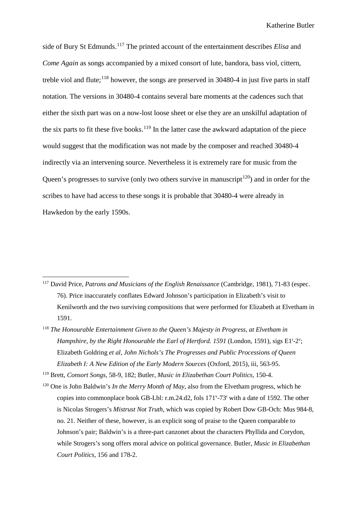side of Bury St Edmunds.[117](#page-74-0) The printed account of the entertainment describes *Elisa* and *Come Again* as songs accompanied by a mixed consort of lute, bandora, bass viol, cittern, treble viol and flute; $^{118}$  $^{118}$  $^{118}$  however, the songs are preserved in 30480-4 in just five parts in staff notation. The versions in 30480-4 contains several bare moments at the cadences such that either the sixth part was on a now-lost loose sheet or else they are an unskilful adaptation of the six parts to fit these five books.<sup>[119](#page-74-2)</sup> In the latter case the awkward adaptation of the piece would suggest that the modification was not made by the composer and reached 30480-4 indirectly via an intervening source. Nevertheless it is extremely rare for music from the Queen's progresses to survive (only two others survive in manuscript<sup>120</sup>) and in order for the scribes to have had access to these songs it is probable that 30480-4 were already in Hawkedon by the early 1590s.

<span id="page-74-2"></span><sup>119</sup> Brett, *Consort Songs*, 58-9, 182; Butler, *Music in Elizabethan Court Politics*, 150-4.

<span id="page-74-0"></span> <sup>117</sup> David Price, *Patrons and Musicians of the English Renaissance* (Cambridge, 1981), 71-83 (espec. 76). Price inaccurately conflates Edward Johnson's participation in Elizabeth's visit to Kenilworth and the two surviving compositions that were performed for Elizabeth at Elvetham in 1591.

<span id="page-74-1"></span><sup>&</sup>lt;sup>118</sup> The Honourable Entertainment Given to the Queen's Majesty in Progress, at Elvetham in Hampshire, by the Right Honourable the Earl of Hertford. 1591 (London, 1591), sigs E1<sup>r</sup>-2<sup>v</sup>; Elizabeth Goldring *et al*, *John Nichols's The Progresses and Public Processions of Queen Elizabeth I: A New Edition of the Early Modern Sources* (Oxford, 2015), iii, 563-95.

<span id="page-74-3"></span><sup>120</sup> One is John Baldwin's *In the Merry Month of May*, also from the Elvetham progress, which he copies into commonplace book GB-Lbl: r.m.24.d2, fols 171<sup>v</sup>-73<sup>r</sup> with a date of 1592. The other is Nicolas Strogers's *Mistrust Not Truth*, which was copied by Robert Dow GB-Och: Mus 984-8, no. 21. Neither of these, however, is an explicit song of praise to the Queen comparable to Johnson's pair; Baldwin's is a three-part canzonet about the characters Phyllida and Corydon, while Strogers's song offers moral advice on political governance. Butler, *Music in Elizabethan Court Politics*, 156 and 178-2.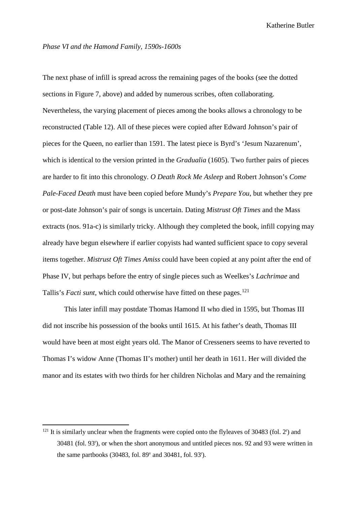#### *Phase VI and the Hamond Family, 1590s-1600s*

The next phase of infill is spread across the remaining pages of the books (see the dotted sections in Figure 7, above) and added by numerous scribes, often collaborating. Nevertheless, the varying placement of pieces among the books allows a chronology to be reconstructed (Table 12). All of these pieces were copied after Edward Johnson's pair of pieces for the Queen, no earlier than 1591. The latest piece is Byrd's 'Jesum Nazarenum', which is identical to the version printed in the *Gradualia* (1605). Two further pairs of pieces are harder to fit into this chronology. *O Death Rock Me Asleep* and Robert Johnson's *Come Pale-Faced Death* must have been copied before Mundy's *Prepare You*, but whether they pre or post-date Johnson's pair of songs is uncertain. Dating *Mistrust Oft Times* and the Mass extracts (nos. 91a-c) is similarly tricky. Although they completed the book, infill copying may already have begun elsewhere if earlier copyists had wanted sufficient space to copy several items together. *Mistrust Oft Times Amiss* could have been copied at any point after the end of Phase IV, but perhaps before the entry of single pieces such as Weelkes's *Lachrimae* and Tallis's *Facti sunt*, which could otherwise have fitted on these pages.<sup>[121](#page-75-0)</sup>

This later infill may postdate Thomas Hamond II who died in 1595, but Thomas III did not inscribe his possession of the books until 1615. At his father's death, Thomas III would have been at most eight years old. The Manor of Cresseners seems to have reverted to Thomas I's widow Anne (Thomas II's mother) until her death in 1611. Her will divided the manor and its estates with two thirds for her children Nicholas and Mary and the remaining

<span id="page-75-0"></span><sup>&</sup>lt;sup>121</sup> It is similarly unclear when the fragments were copied onto the flyleaves of 30483 (fol. 2<sup>r</sup>) and 30481 (fol. 93r ), or when the short anonymous and untitled pieces nos. 92 and 93 were written in the same partbooks (30483, fol.  $89^{\circ}$  and 30481, fol.  $93^{\circ}$ ).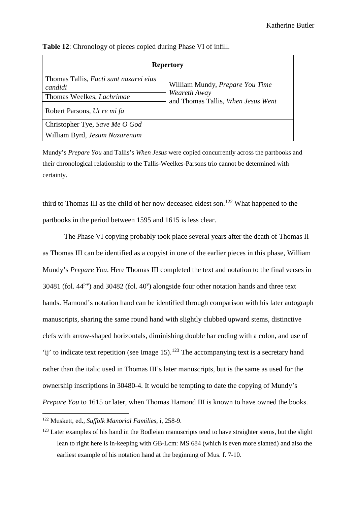| <b>Repertory</b>                                  |                                                    |  |  |  |  |  |  |  |
|---------------------------------------------------|----------------------------------------------------|--|--|--|--|--|--|--|
| Thomas Tallis, Facti sunt nazarei eius<br>candidi | William Mundy, Prepare You Time                    |  |  |  |  |  |  |  |
| Thomas Weelkes, <i>Lachrimae</i>                  | Weareth Away<br>and Thomas Tallis, When Jesus Went |  |  |  |  |  |  |  |
| Robert Parsons, Ut re mi fa                       |                                                    |  |  |  |  |  |  |  |
| Christopher Tye, Save Me O God                    |                                                    |  |  |  |  |  |  |  |
| William Byrd, Jesum Nazarenum                     |                                                    |  |  |  |  |  |  |  |

**Table 12**: Chronology of pieces copied during Phase VI of infill.

Mundy's *Prepare You* and Tallis's *When Jesus* were copied concurrently across the partbooks and their chronological relationship to the Tallis-Weelkes-Parsons trio cannot be determined with certainty.

third to Thomas III as the child of her now deceased eldest son.<sup>[122](#page-76-0)</sup> What happened to the partbooks in the period between 1595 and 1615 is less clear.

The Phase VI copying probably took place several years after the death of Thomas II as Thomas III can be identified as a copyist in one of the earlier pieces in this phase, William Mundy's *Prepare You*. Here Thomas III completed the text and notation to the final verses in 30481 (fol.  $44^{r-y}$ ) and 30482 (fol.  $40^v$ ) alongside four other notation hands and three text hands. Hamond's notation hand can be identified through comparison with his later autograph manuscripts, sharing the same round hand with slightly clubbed upward stems, distinctive clefs with arrow-shaped horizontals, diminishing double bar ending with a colon, and use of 'ij' to indicate text repetition (see Image 15).<sup>[123](#page-76-1)</sup> The accompanying text is a secretary hand rather than the italic used in Thomas III's later manuscripts, but is the same as used for the ownership inscriptions in 30480-4. It would be tempting to date the copying of Mundy's *Prepare You* to 1615 or later, when Thomas Hamond III is known to have owned the books.

<span id="page-76-0"></span> <sup>122</sup> Muskett, ed., *Suffolk Manorial Families*, i, 258-9.

<span id="page-76-1"></span><sup>&</sup>lt;sup>123</sup> Later examples of his hand in the Bodleian manuscripts tend to have straighter stems, but the slight lean to right here is in-keeping with GB-Lcm: MS 684 (which is even more slanted) and also the earliest example of his notation hand at the beginning of Mus. f. 7-10.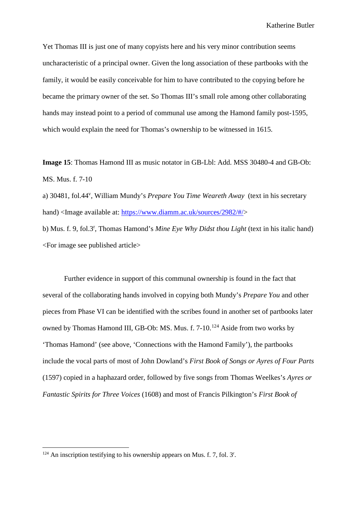Yet Thomas III is just one of many copyists here and his very minor contribution seems uncharacteristic of a principal owner. Given the long association of these partbooks with the family, it would be easily conceivable for him to have contributed to the copying before he became the primary owner of the set. So Thomas III's small role among other collaborating hands may instead point to a period of communal use among the Hamond family post-1595, which would explain the need for Thomas's ownership to be witnessed in 1615.

**Image 15**: Thomas Hamond III as music notator in GB-Lbl: Add. MSS 30480-4 and GB-Ob: MS. Mus. f. 7-10

a) 30481, fol.44<sup>v</sup>, William Mundy's *Prepare You Time Weareth Away* (text in his secretary hand) <Image available at: [https://www.diamm.ac.uk/sources/2982/#/>](https://www.diamm.ac.uk/sources/2982/#/)

b) Mus. f. 9, fol.3<sup>r</sup> , Thomas Hamond's *Mine Eye Why Didst thou Light* (text in his italic hand) <For image see published article>

Further evidence in support of this communal ownership is found in the fact that several of the collaborating hands involved in copying both Mundy's *Prepare You* and other pieces from Phase VI can be identified with the scribes found in another set of partbooks later owned by Thomas Hamond III, GB-Ob: MS. Mus. f. 7-10.<sup>[124](#page-77-0)</sup> Aside from two works by 'Thomas Hamond' (see above, 'Connections with the Hamond Family'), the partbooks include the vocal parts of most of John Dowland's *First Book of Songs or Ayres of Four Parts* (1597) copied in a haphazard order, followed by five songs from Thomas Weelkes's *Ayres or Fantastic Spirits for Three Voices* (1608) and most of Francis Pilkington's *First Book of* 

<span id="page-77-0"></span><sup>&</sup>lt;sup>124</sup> An inscription testifying to his ownership appears on Mus. f. 7, fol. 3<sup>r</sup>.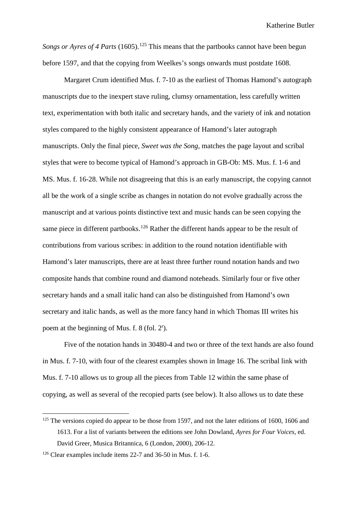*Songs or Ayres of 4 Parts* (1605).<sup>[125](#page-78-0)</sup> This means that the partbooks cannot have been begun before 1597, and that the copying from Weelkes's songs onwards must postdate 1608.

Margaret Crum identified Mus. f. 7-10 as the earliest of Thomas Hamond's autograph manuscripts due to the inexpert stave ruling, clumsy ornamentation, less carefully written text, experimentation with both italic and secretary hands, and the variety of ink and notation styles compared to the highly consistent appearance of Hamond's later autograph manuscripts. Only the final piece, *Sweet was the Song,* matches the page layout and scribal styles that were to become typical of Hamond's approach in GB-Ob: MS. Mus. f. 1-6 and MS. Mus. f. 16-28. While not disagreeing that this is an early manuscript, the copying cannot all be the work of a single scribe as changes in notation do not evolve gradually across the manuscript and at various points distinctive text and music hands can be seen copying the same piece in different partbooks.<sup>[126](#page-78-1)</sup> Rather the different hands appear to be the result of contributions from various scribes: in addition to the round notation identifiable with Hamond's later manuscripts, there are at least three further round notation hands and two composite hands that combine round and diamond noteheads. Similarly four or five other secretary hands and a small italic hand can also be distinguished from Hamond's own secretary and italic hands, as well as the more fancy hand in which Thomas III writes his poem at the beginning of Mus. f. 8 (fol. 2<sup>r</sup>).

Five of the notation hands in 30480-4 and two or three of the text hands are also found in Mus. f. 7-10, with four of the clearest examples shown in Image 16. The scribal link with Mus. f. 7-10 allows us to group all the pieces from Table 12 within the same phase of copying, as well as several of the recopied parts (see below). It also allows us to date these

<span id="page-78-0"></span> $125$  The versions copied do appear to be those from 1597, and not the later editions of 1600, 1606 and 1613. For a list of variants between the editions see John Dowland, *Ayres for Four Voices*, ed. David Greer, Musica Britannica, 6 (London, 2000), 206-12.

<span id="page-78-1"></span><sup>&</sup>lt;sup>126</sup> Clear examples include items 22-7 and 36-50 in Mus. f. 1-6.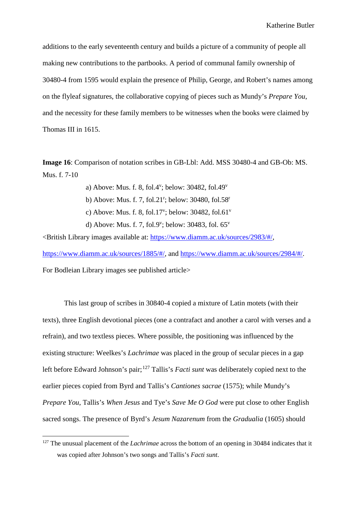additions to the early seventeenth century and builds a picture of a community of people all making new contributions to the partbooks. A period of communal family ownership of 30480-4 from 1595 would explain the presence of Philip, George, and Robert's names among on the flyleaf signatures, the collaborative copying of pieces such as Mundy's *Prepare You*, and the necessity for these family members to be witnesses when the books were claimed by Thomas III in 1615.

**Image 16**: Comparison of notation scribes in GB-Lbl: Add. MSS 30480-4 and GB-Ob: MS. Mus. f. 7-10

> a) Above: Mus. f. 8, fol.4 $\text{v}$ ; below: 30482, fol.49 $\text{v}$ b) Above: Mus. f. 7, fol.21<sup>r</sup>; below: 30480, fol.58<sup>r</sup> c) Above: Mus. f. 8, fol.17<sup>v</sup>; below: 30482, fol.61<sup>v</sup> d) Above: Mus. f. 7, fol.9<sup>v</sup>; below: 30483, fol.  $65^{\nu}$

<British Library images available at: [https://www.diamm.ac.uk/sources/2983/#/,](https://www.diamm.ac.uk/sources/2983/#/) [https://www.diamm.ac.uk/sources/1885/#/,](https://www.diamm.ac.uk/sources/1885/#/) and [https://www.diamm.ac.uk/sources/2984/#/.](https://www.diamm.ac.uk/sources/2984/#/) For Bodleian Library images see published article>

This last group of scribes in 30840-4 copied a mixture of Latin motets (with their texts), three English devotional pieces (one a contrafact and another a carol with verses and a refrain), and two textless pieces. Where possible, the positioning was influenced by the existing structure: Weelkes's *Lachrimae* was placed in the group of secular pieces in a gap left before Edward Johnson's pair;<sup>[127](#page-79-0)</sup> Tallis's *Facti sunt* was deliberately copied next to the earlier pieces copied from Byrd and Tallis's *Cantiones sacrae* (1575); while Mundy's *Prepare You*, Tallis's *When Jesus* and Tye's *Save Me O God* were put close to other English sacred songs. The presence of Byrd's *Jesum Nazarenum* from the *Gradualia* (1605) should

<span id="page-79-0"></span><sup>&</sup>lt;sup>127</sup> The unusual placement of the *Lachrimae* across the bottom of an opening in 30484 indicates that it was copied after Johnson's two songs and Tallis's *Facti sunt*.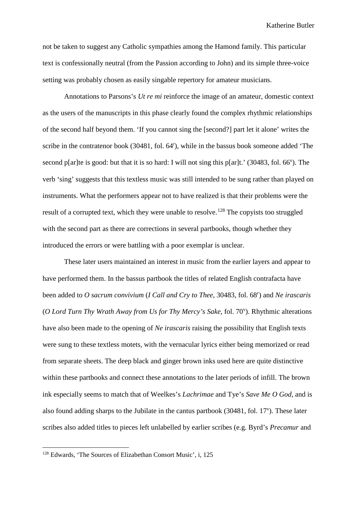not be taken to suggest any Catholic sympathies among the Hamond family. This particular text is confessionally neutral (from the Passion according to John) and its simple three-voice setting was probably chosen as easily singable repertory for amateur musicians.

Annotations to Parsons's *Ut re mi* reinforce the image of an amateur, domestic context as the users of the manuscripts in this phase clearly found the complex rhythmic relationships of the second half beyond them. 'If you cannot sing the [second?] part let it alone' writes the scribe in the contratenor book (30481, fol. 64<sup>r</sup>), while in the bassus book someone added 'The second p[ar]te is good: but that it is so hard: I will not sing this p[ar]t.' (30483, fol.  $66^{\circ}$ ). The verb 'sing' suggests that this textless music was still intended to be sung rather than played on instruments. What the performers appear not to have realized is that their problems were the result of a corrupted text, which they were unable to resolve.<sup>[128](#page-80-0)</sup> The copyists too struggled with the second part as there are corrections in several partbooks, though whether they introduced the errors or were battling with a poor exemplar is unclear.

These later users maintained an interest in music from the earlier layers and appear to have performed them. In the bassus partbook the titles of related English contrafacta have been added to *O sacrum convivium* (*I Call and Cry to Thee*, 30483, fol. 68*<sup>r</sup>* ) and *Ne irascaris* (O Lord Turn Thy Wrath Away from Us for Thy Mercy's Sake, fol. 70<sup>v</sup>). Rhythmic alterations have also been made to the opening of *Ne irascaris* raising the possibility that English texts were sung to these textless motets, with the vernacular lyrics either being memorized or read from separate sheets. The deep black and ginger brown inks used here are quite distinctive within these partbooks and connect these annotations to the later periods of infill. The brown ink especially seems to match that of Weelkes's *Lachrimae* and Tye's *Save Me O God*, and is also found adding sharps to the Jubilate in the cantus partbook  $(30481,$  fol.  $17^{\circ})$ . These later scribes also added titles to pieces left unlabelled by earlier scribes (e.g. Byrd's *Precamur* and

<span id="page-80-0"></span> <sup>128</sup> Edwards, 'The Sources of Elizabethan Consort Music', i, 125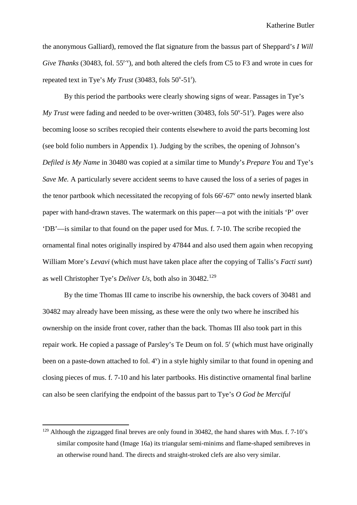the anonymous Galliard), removed the flat signature from the bassus part of Sheppard's *I Will*  Give Thanks (30483, fol. 55<sup>r-v</sup>), and both altered the clefs from C5 to F3 and wrote in cues for repeated text in Tye's  $My \text{ Trust } (30483, \text{ folds } 50^{\circ} \text{-} 51^{\circ}).$ 

By this period the partbooks were clearly showing signs of wear. Passages in Tye's My Trust were fading and needed to be over-written (30483, fols 50<sup>v</sup>-51<sup>r</sup>). Pages were also becoming loose so scribes recopied their contents elsewhere to avoid the parts becoming lost (see bold folio numbers in Appendix 1). Judging by the scribes, the opening of Johnson's *Defiled is My Name* in 30480 was copied at a similar time to Mundy's *Prepare You* and Tye's *Save Me.* A particularly severe accident seems to have caused the loss of a series of pages in the tenor partbook which necessitated the recopying of fols  $66<sup>r</sup>-67<sup>v</sup>$  onto newly inserted blank paper with hand-drawn staves. The watermark on this paper––a pot with the initials 'P' over 'DB'––is similar to that found on the paper used for Mus. f. 7-10. The scribe recopied the ornamental final notes originally inspired by 47844 and also used them again when recopying William More's *Levavi* (which must have taken place after the copying of Tallis's *Facti sunt*) as well Christopher Tye's *Deliver Us*, both also in 30482.[129](#page-81-0)

By the time Thomas III came to inscribe his ownership, the back covers of 30481 and 30482 may already have been missing, as these were the only two where he inscribed his ownership on the inside front cover, rather than the back. Thomas III also took part in this repair work. He copied a passage of Parsley's Te Deum on fol. 5<sup>r</sup> (which must have originally been on a paste-down attached to fol. 4<sup>v</sup>) in a style highly similar to that found in opening and closing pieces of mus. f. 7-10 and his later partbooks. His distinctive ornamental final barline can also be seen clarifying the endpoint of the bassus part to Tye's *O God be Merciful*

<span id="page-81-0"></span><sup>&</sup>lt;sup>129</sup> Although the zigzagged final breves are only found in 30482, the hand shares with Mus. f. 7-10's similar composite hand (Image 16a) its triangular semi-minims and flame-shaped semibreves in an otherwise round hand. The directs and straight-stroked clefs are also very similar.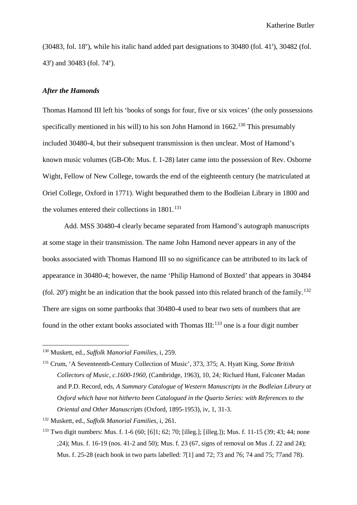$(30483,$  fol.  $18^{\circ}$ ), while his italic hand added part designations to 30480 (fol. 41<sup>r</sup>), 30482 (fol. 43r ) and 30483 (fol. 74v ).

## *After the Hamonds*

Thomas Hamond III left his 'books of songs for four, five or six voices' (the only possessions specifically mentioned in his will) to his son John Hamond in  $1662$ .<sup>[130](#page-82-0)</sup> This presumably included 30480-4, but their subsequent transmission is then unclear. Most of Hamond's known music volumes (GB-Ob: Mus. f. 1-28) later came into the possession of Rev. Osborne Wight, Fellow of New College, towards the end of the eighteenth century (he matriculated at Oriel College, Oxford in 1771). Wight bequeathed them to the Bodleian Library in 1800 and the volumes entered their collections in 1801.<sup>[131](#page-82-1)</sup>

Add. MSS 30480-4 clearly became separated from Hamond's autograph manuscripts at some stage in their transmission. The name John Hamond never appears in any of the books associated with Thomas Hamond III so no significance can be attributed to its lack of appearance in 30480-4; however, the name 'Philip Hamond of Boxted' that appears in 30484 (fol. 20<sup>r</sup>) might be an indication that the book passed into this related branch of the family.<sup>[132](#page-82-2)</sup> There are signs on some partbooks that 30480-4 used to bear two sets of numbers that are found in the other extant books associated with Thomas III: $^{133}$  $^{133}$  $^{133}$  one is a four digit number

<span id="page-82-0"></span> <sup>130</sup> Muskett, ed., *Suffolk Manorial Families*, i, 259.

<span id="page-82-1"></span><sup>131</sup> Crum, 'A Seventeenth-Century Collection of Music', 373, 375; A. Hyatt King*, Some British Collectors of Music, c.1600-1960,* (Cambridge, 1963), 10, 24*;* Richard Hunt, Falconer Madan and P.D. Record, eds, *A Summary Catalogue of Western Manuscripts in the Bodleian Library at Oxford which have not hitherto been Catalogued in the Quarto Series: with References to the Oriental and Other Manuscripts* (Oxford, 1895-1953), iv, 1, 31-3.

<span id="page-82-2"></span><sup>132</sup> Muskett, ed., *Suffolk Manorial Families*, i, 261.

<span id="page-82-3"></span><sup>133</sup> Two digit numbers: Mus. f. 1-6 (60; [6]1; 62; 70; [illeg.]; [illeg.]); Mus. f. 11-15 (39; 43; 44; none ;24); Mus. f. 16-19 (nos. 41-2 and 50); Mus. f. 23 (67, signs of removal on Mus .f. 22 and 24); Mus. f. 25-28 (each book in two parts labelled: 7[1] and 72; 73 and 76; 74 and 75; 77and 78).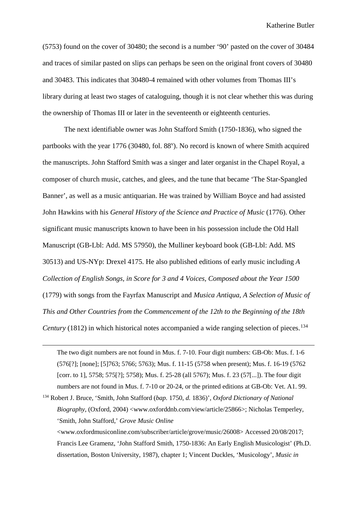(5753) found on the cover of 30480; the second is a number '90' pasted on the cover of 30484 and traces of similar pasted on slips can perhaps be seen on the original front covers of 30480 and 30483. This indicates that 30480-4 remained with other volumes from Thomas III's library during at least two stages of cataloguing, though it is not clear whether this was during the ownership of Thomas III or later in the seventeenth or eighteenth centuries.

The next identifiable owner was John Stafford Smith (1750-1836), who signed the partbooks with the year 1776 (30480, fol. 88<sup>v</sup>). No record is known of where Smith acquired the manuscripts. John Stafford Smith was a singer and later organist in the Chapel Royal, a composer of church music, catches, and glees, and the tune that became 'The Star-Spangled Banner', as well as a music antiquarian. He was trained by William Boyce and had assisted John Hawkins with his *General History of the Science and Practice of Music* (1776). Other significant music manuscripts known to have been in his possession include the Old Hall Manuscript (GB-Lbl: Add. MS 57950), the Mulliner keyboard book (GB-Lbl: Add. MS 30513) and US-NYp: Drexel 4175. He also published editions of early music including *A Collection of English Songs, in Score for 3 and 4 Voices, Composed about the Year 1500* (1779) with songs from the Fayrfax Manuscript and *Musica Antiqua, A Selection of Music of This and Other Countries from the Commencement of the 12th to the Beginning of the 18th Century* (1812) in which historical notes accompanied a wide ranging selection of pieces.<sup>[134](#page-83-0)</sup>

The two digit numbers are not found in Mus. f. 7-10. Four digit numbers: GB-Ob: Mus. f. 1-6 (576[?]; [none]; [5]763; 5766; 5763); Mus. f. 11-15 (5758 when present); Mus. f. 16-19 (5762 [corr. to 1], 5758; 575[?]; 5758); Mus. f. 25-28 (all 5767); Mus. f. 23 (57[...]). The four digit numbers are not found in Mus. f. 7-10 or 20-24, or the printed editions at GB-Ob: Vet. A1. 99.

<span id="page-83-0"></span><sup>134</sup> Robert J. Bruce, 'Smith, John Stafford (*bap.* 1750, *d.* 1836)', *Oxford Dictionary of National Biography*, (Oxford, 2004) <www.oxforddnb.com/view/article/25866>; Nicholas Temperley, 'Smith, John Stafford,' *Grove Music Online*

 $\overline{a}$ 

<www.oxfordmusiconline.com/subscriber/article/grove/music/26008> Accessed 20/08/2017; Francis Lee Gramenz, 'John Stafford Smith, 1750-1836: An Early English Musicologist' (Ph.D. dissertation, Boston University, 1987), chapter 1; Vincent Duckles, 'Musicology', *Music in*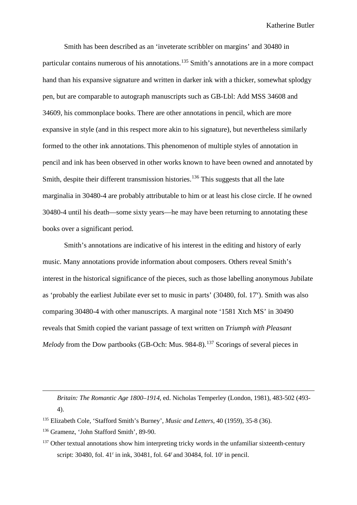Smith has been described as an 'inveterate scribbler on margins' and 30480 in particular contains numerous of his annotations.[135](#page-84-0) Smith's annotations are in a more compact hand than his expansive signature and written in darker ink with a thicker, somewhat splodgy pen, but are comparable to autograph manuscripts such as GB-Lbl: Add MSS 34608 and 34609, his commonplace books. There are other annotations in pencil, which are more expansive in style (and in this respect more akin to his signature), but nevertheless similarly formed to the other ink annotations. This phenomenon of multiple styles of annotation in pencil and ink has been observed in other works known to have been owned and annotated by Smith, despite their different transmission histories.<sup>[136](#page-84-1)</sup> This suggests that all the late marginalia in 30480-4 are probably attributable to him or at least his close circle. If he owned 30480-4 until his death—some sixty years—he may have been returning to annotating these books over a significant period.

Smith's annotations are indicative of his interest in the editing and history of early music. Many annotations provide information about composers. Others reveal Smith's interest in the historical significance of the pieces, such as those labelling anonymous Jubilate as 'probably the earliest Jubilate ever set to music in parts' (30480, fol. 17<sup>v</sup>). Smith was also comparing 30480-4 with other manuscripts. A marginal note '1581 Xtch MS' in 30490 reveals that Smith copied the variant passage of text written on *Triumph with Pleasant Melody* from the Dow partbooks (GB-Och: Mus. 984-8).<sup>[137](#page-84-2)</sup> Scorings of several pieces in

*Britain: The Romantic Age 1800–1914*, ed. Nicholas Temperley (London, 1981), 483-502 (493- 4).

 $\overline{a}$ 

<span id="page-84-0"></span><sup>135</sup> Elizabeth Cole, 'Stafford Smith's Burney', *Music and Letters,* 40 (1959), 35-8 (36).

<span id="page-84-1"></span><sup>136</sup> Gramenz, 'John Stafford Smith', 89-90.

<span id="page-84-2"></span> $137$  Other textual annotations show him interpreting tricky words in the unfamiliar sixteenth-century script: 30480, fol. 41<sup>r</sup> in ink, 30481, fol. 64<sup>r</sup> and 30484, fol. 10<sup>r</sup> in pencil.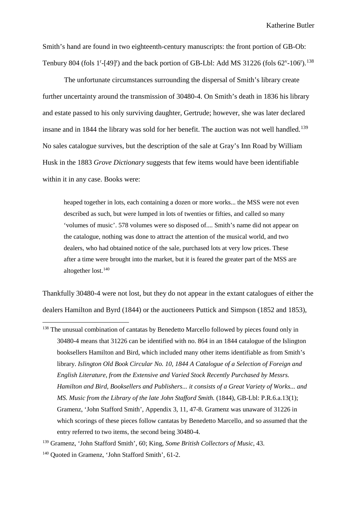Smith's hand are found in two eighteenth-century manuscripts: the front portion of GB-Ob: Tenbury 804 (fols 1<sup>r</sup>-[49]<sup>r</sup>) and the back portion of GB-Lbl: Add MS 31226 (fols 62<sup>v</sup>-106<sup>r</sup>).<sup>[138](#page-85-0)</sup>

The unfortunate circumstances surrounding the dispersal of Smith's library create further uncertainty around the transmission of 30480-4. On Smith's death in 1836 his library and estate passed to his only surviving daughter, Gertrude; however, she was later declared insane and in 1844 the library was sold for her benefit. The auction was not well handled.<sup>[139](#page-85-1)</sup> No sales catalogue survives, but the description of the sale at Gray's Inn Road by William Husk in the 1883 *Grove Dictionary* suggests that few items would have been identifiable within it in any case. Books were:

heaped together in lots, each containing a dozen or more works... the MSS were not even described as such, but were lumped in lots of twenties or fifties, and called so many 'volumes of music'. 578 volumes were so disposed of.... Smith's name did not appear on the catalogue, nothing was done to attract the attention of the musical world, and two dealers, who had obtained notice of the sale, purchased lots at very low prices. These after a time were brought into the market, but it is feared the greater part of the MSS are altogether lost.<sup>[140](#page-85-2)</sup>

Thankfully 30480-4 were not lost, but they do not appear in the extant catalogues of either the dealers Hamilton and Byrd (1844) or the auctioneers Puttick and Simpson (1852 and 1853),

<span id="page-85-0"></span><sup>&</sup>lt;sup>138</sup> The unusual combination of cantatas by Benedetto Marcello followed by pieces found only in 30480-4 means that 31226 can be identified with no. 864 in an 1844 catalogue of the Islington booksellers Hamilton and Bird, which included many other items identifiable as from Smith's library. *Islington Old Book Circular No. 10, 1844 A Catalogue of a Selection of Foreign and English Literature, from the Extensive and Varied Stock Recently Purchased by Messrs. Hamilton and Bird, Booksellers and Publishers... it consists of a Great Variety of Works... and MS. Music from the Library of the late John Stafford Smith.* (1844), GB-Lbl: P.R.6.a.13(1); Gramenz, 'John Stafford Smith', Appendix 3, 11, 47-8. Gramenz was unaware of 31226 in which scorings of these pieces follow cantatas by Benedetto Marcello, and so assumed that the entry referred to two items, the second being 30480-4.

<span id="page-85-1"></span><sup>139</sup> Gramenz, 'John Stafford Smith', 60; King*, Some British Collectors of Music*, 43.

<span id="page-85-2"></span><sup>140</sup> Quoted in Gramenz, 'John Stafford Smith', 61-2.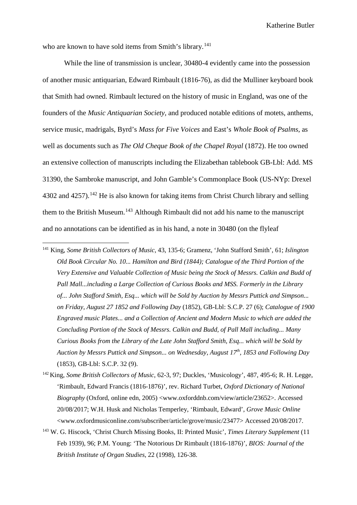who are known to have sold items from Smith's library.<sup>[141](#page-86-0)</sup>

While the line of transmission is unclear, 30480-4 evidently came into the possession of another music antiquarian, Edward Rimbault (1816-76), as did the Mulliner keyboard book that Smith had owned. Rimbault lectured on the history of music in England, was one of the founders of the *Music Antiquarian Society,* and produced notable editions of motets, anthems, service music, madrigals, Byrd's *Mass for Five Voices* and East's *Whole Book of Psalms*, as well as documents such as *The Old Cheque Book of the Chapel Royal* (1872). He too owned an extensive collection of manuscripts including the Elizabethan tablebook GB-Lbl: Add. MS 31390, the Sambroke manuscript, and John Gamble's Commonplace Book (US-NYp: Drexel 4302 and 4257).<sup>[142](#page-86-1)</sup> He is also known for taking items from Christ Church library and selling them to the British Museum.[143](#page-86-2) Although Rimbault did not add his name to the manuscript and no annotations can be identified as in his hand, a note in 30480 (on the flyleaf

- <span id="page-86-0"></span> 141 King, *Some British Collectors of Music*, 43, 135-6; Gramenz, 'John Stafford Smith', 61; *Islington Old Book Circular No. 10... Hamilton and Bird (1844); Catalogue of the Third Portion of the Very Extensive and Valuable Collection of Music being the Stock of Messrs. Calkin and Budd of Pall Mall...including a Large Collection of Curious Books and MSS. Formerly in the Library of... John Stafford Smith, Esq... which will be Sold by Auction by Messrs Puttick and Simpson... on Friday, August 27 1852 and Following Day* (1852), GB-Lbl: S.C.P. 27 (6); *Catalogue of 1900 Engraved music Plates... and a Collection of Ancient and Modern Music to which are added the Concluding Portion of the Stock of Messrs. Calkin and Budd, of Pall Mall including... Many Curious Books from the Library of the Late John Stafford Smith, Esq... which will be Sold by Auction by Messrs Puttick and Simpson... on Wednesday, August 17th, 1853 and Following Day* (1853), GB-Lbl: S.C.P. 32 (9).
- <span id="page-86-1"></span><sup>142</sup> King, *Some British Collectors of Music*, 62-3, 97; Duckles, 'Musicology', 487, 495-6; R. H. Legge, 'Rimbault, Edward Francis (1816-1876)', rev. Richard Turbet, *Oxford Dictionary of National Biography* (Oxford, online edn, 2005) <www.oxforddnb.com/view/article/23652>. Accessed 20/08/2017; W.H. Husk and Nicholas Temperley, 'Rimbault, Edward', *Grove Music Online* <www.oxfordmusiconline.com/subscriber/article/grove/music/23477> Accessed 20/08/2017.
- <span id="page-86-2"></span><sup>143</sup> W. G. Hiscock, 'Christ Church Missing Books, II: Printed Music', *Times Literary Supplement* (11 Feb 1939), 96; P.M. Young: 'The Notorious Dr Rimbault (1816-1876)', *BIOS: Journal of the British Institute of Organ Studies*, 22 (1998), 126-38.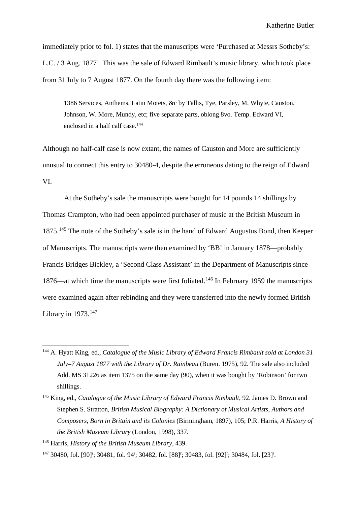immediately prior to fol. 1) states that the manuscripts were 'Purchased at Messrs Sotheby's: L.C. / 3 Aug. 1877'. This was the sale of Edward Rimbault's music library, which took place from 31 July to 7 August 1877. On the fourth day there was the following item:

1386 Services, Anthems, Latin Motets, &c by Tallis, Tye, Parsley, M. Whyte, Causton, Johnson, W. More, Mundy, etc; five separate parts, oblong 8vo. Temp. Edward VI, enclosed in a half calf case.<sup>[144](#page-87-0)</sup>

Although no half-calf case is now extant, the names of Causton and More are sufficiently unusual to connect this entry to 30480-4, despite the erroneous dating to the reign of Edward VI.

At the Sotheby's sale the manuscripts were bought for 14 pounds 14 shillings by Thomas Crampton, who had been appointed purchaser of music at the British Museum in 1875.<sup>[145](#page-87-1)</sup> The note of the Sotheby's sale is in the hand of Edward Augustus Bond, then Keeper of Manuscripts. The manuscripts were then examined by 'BB' in January 1878—probably Francis Bridges Bickley, a 'Second Class Assistant' in the Department of Manuscripts since 1876—at which time the manuscripts were first foliated.<sup>[146](#page-87-2)</sup> In February 1959 the manuscripts were examined again after rebinding and they were transferred into the newly formed British Library in  $1973$ .<sup>[147](#page-87-3)</sup>

<span id="page-87-0"></span> <sup>144</sup> A. Hyatt King, ed., *Catalogue of the Music Library of Edward Francis Rimbault sold at London 31 July–7 August 1877 with the Library of Dr. Rainbeau* (Buren. 1975), 92. The sale also included Add. MS 31226 as item 1375 on the same day (90), when it was bought by 'Robinson' for two shillings.

<span id="page-87-1"></span><sup>145</sup> King, ed., *Catalogue of the Music Library of Edward Francis Rimbault*, 92. James D. Brown and Stephen S. Stratton, *British Musical Biography: A Dictionary of Musical Artists, Authors and Composers, Born in Britain and its Colonies* (Birmingham, 1897), 105; P.R. Harris, *A History of the British Museum Library* (London, 1998), 337.

<span id="page-87-2"></span><sup>146</sup> Harris, *History of the British Museum Library*, 439.

<span id="page-87-3"></span> $147$  30480, fol. [90]<sup>r</sup>; 30481, fol. 94<sup>r</sup>; 30482, fol. [88]<sup>r</sup>; 30483, fol. [92]<sup>r</sup>; 30484, fol. [23]<sup>r</sup>.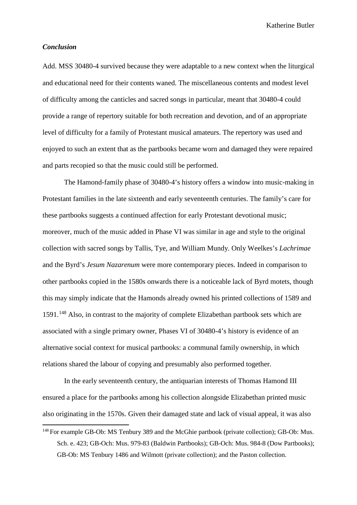#### *Conclusion*

Add. MSS 30480-4 survived because they were adaptable to a new context when the liturgical and educational need for their contents waned. The miscellaneous contents and modest level of difficulty among the canticles and sacred songs in particular, meant that 30480-4 could provide a range of repertory suitable for both recreation and devotion, and of an appropriate level of difficulty for a family of Protestant musical amateurs. The repertory was used and enjoyed to such an extent that as the partbooks became worn and damaged they were repaired and parts recopied so that the music could still be performed.

The Hamond-family phase of 30480-4's history offers a window into music-making in Protestant families in the late sixteenth and early seventeenth centuries. The family's care for these partbooks suggests a continued affection for early Protestant devotional music; moreover, much of the music added in Phase VI was similar in age and style to the original collection with sacred songs by Tallis, Tye, and William Mundy. Only Weelkes's *Lachrimae* and the Byrd's *Jesum Nazarenum* were more contemporary pieces. Indeed in comparison to other partbooks copied in the 1580s onwards there is a noticeable lack of Byrd motets, though this may simply indicate that the Hamonds already owned his printed collections of 1589 and 1591.<sup>[148](#page-88-0)</sup> Also, in contrast to the majority of complete Elizabethan partbook sets which are associated with a single primary owner, Phases VI of 30480-4's history is evidence of an alternative social context for musical partbooks: a communal family ownership, in which relations shared the labour of copying and presumably also performed together.

In the early seventeenth century, the antiquarian interests of Thomas Hamond III ensured a place for the partbooks among his collection alongside Elizabethan printed music also originating in the 1570s. Given their damaged state and lack of visual appeal, it was also

<span id="page-88-0"></span><sup>&</sup>lt;sup>148</sup> For example GB-Ob: MS Tenbury 389 and the McGhie partbook (private collection); GB-Ob: Mus. Sch. e. 423; GB-Och: Mus. 979-83 (Baldwin Partbooks); GB-Och: Mus. 984-8 (Dow Partbooks); GB-Ob: MS Tenbury 1486 and Wilmott (private collection); and the Paston collection.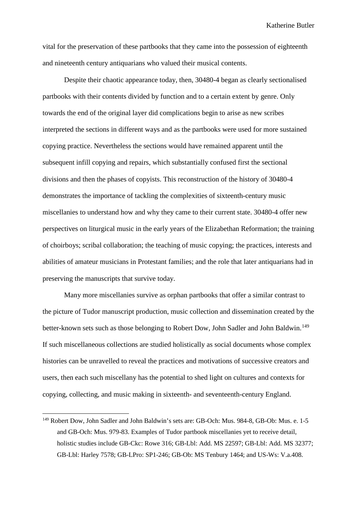vital for the preservation of these partbooks that they came into the possession of eighteenth and nineteenth century antiquarians who valued their musical contents.

Despite their chaotic appearance today, then, 30480-4 began as clearly sectionalised partbooks with their contents divided by function and to a certain extent by genre. Only towards the end of the original layer did complications begin to arise as new scribes interpreted the sections in different ways and as the partbooks were used for more sustained copying practice. Nevertheless the sections would have remained apparent until the subsequent infill copying and repairs, which substantially confused first the sectional divisions and then the phases of copyists. This reconstruction of the history of 30480-4 demonstrates the importance of tackling the complexities of sixteenth-century music miscellanies to understand how and why they came to their current state. 30480-4 offer new perspectives on liturgical music in the early years of the Elizabethan Reformation; the training of choirboys; scribal collaboration; the teaching of music copying; the practices, interests and abilities of amateur musicians in Protestant families; and the role that later antiquarians had in preserving the manuscripts that survive today.

Many more miscellanies survive as orphan partbooks that offer a similar contrast to the picture of Tudor manuscript production, music collection and dissemination created by the better-known sets such as those belonging to Robert Dow, John Sadler and John Baldwin.<sup>[149](#page-89-0)</sup> If such miscellaneous collections are studied holistically as social documents whose complex histories can be unravelled to reveal the practices and motivations of successive creators and users, then each such miscellany has the potential to shed light on cultures and contexts for copying, collecting, and music making in sixteenth- and seventeenth-century England.

<span id="page-89-0"></span> <sup>149</sup> Robert Dow, John Sadler and John Baldwin's sets are: GB-Och: Mus. 984-8, GB-Ob: Mus. e. 1-5 and GB-Och: Mus. 979-83. Examples of Tudor partbook miscellanies yet to receive detail, holistic studies include GB-Ckc: Rowe 316; GB-Lbl: Add. MS 22597; GB-Lbl: Add. MS 32377; GB-Lbl: Harley 7578; GB-LPro: SP1-246; GB-Ob: MS Tenbury 1464; and US-Ws: V.a.408.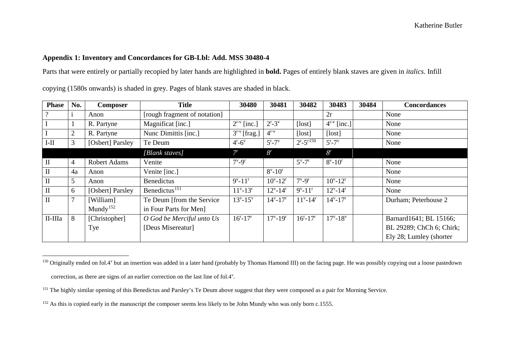## <span id="page-90-2"></span><span id="page-90-1"></span><span id="page-90-0"></span>**Appendix 1: Inventory and Concordances for GB-Lbl: Add. MSS 30480-4**

Parts that were entirely or partially recopied by later hands are highlighted in **bold.** Pages of entirely blank staves are given in *italics*. Infill

| <b>Phase</b>   | No.                    | <b>Composer</b>     | <b>Title</b>                   | 30480                       | 30481                        | 30482                       | 30483                        | 30484 | <b>Concordances</b>      |
|----------------|------------------------|---------------------|--------------------------------|-----------------------------|------------------------------|-----------------------------|------------------------------|-------|--------------------------|
| $\overline{?}$ |                        | Anon                | [rough fragment of notation]   |                             |                              |                             | 2r                           |       | None                     |
| $\mathbf I$    |                        | R. Partyne          | Magnificat [inc.]              | $2^{r-v}$ [inc.]            | $2^{r}-3^{v}$                | [lost]                      | $4^{r-v}$ [inc.]             |       | None                     |
| $\mathbf I$    | 2                      | R. Partyne          | Nunc Dimittis [inc.]           | $3^{r-v}$ [frag.]           | $4^{r-v}$                    | [lost]                      | [lost]                       |       | None                     |
| $I-II$         | 3                      | [Osbert] Parsley    | Te Deum                        | $4^{\rm r}$ -6 <sup>v</sup> | $5^{\rm r}$ -7 $^{\rm v}$    | $2^{r} - 5^{r150}$          | $5^{\rm r}$ -7 $^{\rm v}$    |       | None                     |
|                |                        |                     | [Blank staves]                 | $7^{r}$                     | 8 <sup>r</sup>               |                             | 8 <sup>r</sup>               |       |                          |
| $\mathbf{I}$   | 4                      | <b>Robert Adams</b> | Venite                         | $7^{\rm v}$ -9 <sup>r</sup> |                              | $5^{\rm v}$ -7 <sup>r</sup> | $8^{\rm v}$ -10 <sup>r</sup> |       | None                     |
| $\mathbf{I}$   | 4a                     | Anon                | Venite [inc.]                  |                             | $8^{\rm v}$ -10 <sup>r</sup> |                             |                              |       | None                     |
| $\rm II$       | 5                      | Anon                | <b>Benedictus</b>              | $9^{v} - 11^{r}$            | $10^{v} - 12^{r}$            | $7^{\rm v}$ -9 <sup>r</sup> | $10^{v} - 12^{r}$            |       | None                     |
| $\mathbf{I}$   | 6                      | [Osbert] Parsley    | Benedictus $\overline{^{151}}$ | $11^{v} - 13^{r}$           | $12^{v} - 14^{r}$            | $9^{v} - 11^{r}$            | $12^{v} - 14^{r}$            |       | None                     |
| $\mathbf{I}$   | $\mathbf{\mathcal{L}}$ | [William]           | Te Deum [from the Service]     | $13^{v} - 15^{v}$           | $14^{v} - 17^{r}$            | $11^{v} - 14^{r}$           | $14^{\rm v} - 17^{\rm r}$    |       | Durham; Peterhouse 2     |
|                |                        | Mundy $152$         | in Four Parts for Men]         |                             |                              |                             |                              |       |                          |
| II-IIIa        | 8                      | [Christopher]       | O God be Merciful unto Us      | $16^{\rm r}-17^{\rm r}$     | $17^{v} - 19^{r}$            | $16^{\rm r}-17^{\rm r}$     | $17^{v} - 18^{v}$            |       | Barnard1641; BL 15166;   |
|                |                        | Tye                 | [Deus Misereatur]              |                             |                              |                             |                              |       | BL 29289; ChCh 6; Chirk; |
|                |                        |                     |                                |                             |                              |                             |                              |       | Ely 28; Lumley (shorter) |

copying (1580s onwards) is shaded in grey. Pages of blank staves are shaded in black.

<sup>&</sup>lt;sup>150</sup> Originally ended on fol.4<sup>v</sup> but an insertion was added in a later hand (probably by Thomas Hamond III) on the facing page. He was possibly copying out a loose pastedown

correction, as there are signs of an earlier correction on the last line of fol.4<sup>v</sup>.

<sup>&</sup>lt;sup>151</sup> The highly similar opening of this Benedictus and Parsley's Te Deum above suggest that they were composed as a pair for Morning Service.

<sup>&</sup>lt;sup>152</sup> As this is copied early in the manuscript the composer seems less likely to be John Mundy who was only born c.1555.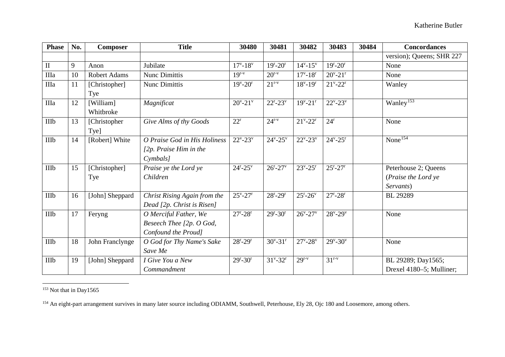<span id="page-91-1"></span><span id="page-91-0"></span>

| <b>Phase</b> | No. | <b>Composer</b>        | <b>Title</b>                                                                                | 30480                       | 30481                     | 30482                       | 30483                       | 30484 | <b>Concordances</b>                                      |
|--------------|-----|------------------------|---------------------------------------------------------------------------------------------|-----------------------------|---------------------------|-----------------------------|-----------------------------|-------|----------------------------------------------------------|
|              |     |                        |                                                                                             |                             |                           |                             |                             |       | version); Queens; SHR 227                                |
| $\mathbf{I}$ | 9   | Anon                   | Jubilate                                                                                    | $17^{v} - 18^{v}$           | $19^{\rm r} - 20^{\rm r}$ | $14^{v} - 15^{v}$           | $19^{\rm r} - 20^{\rm r}$   |       | None                                                     |
| IIIa         | 10  | <b>Robert Adams</b>    | <b>Nunc Dimittis</b>                                                                        | $19^{r-v}$                  | $20^{r-v}$                | $17^{v} - 18^{r}$           | $20^{\circ} - 21^{\circ}$   |       | None                                                     |
| IIIa         | 11  | [Christopher]<br>Tye   | Nunc Dimittis                                                                               | $19^{\rm v} - 20^{\rm r}$   | $21^{\rm r-v}$            | $18^{v} - 19^{r}$           | $21^{\nu} - 22^{\nu}$       |       | Wanley                                                   |
| IIIa         | 12  | [William]<br>Whitbroke | Magnificat                                                                                  | $20^{\rm v} - 21^{\rm v}$   | $22^{\rm r}-23^{\rm v}$   | $19^{\nu} - 21^{\nu}$       | $22^{\nu} - 23^{\nu}$       |       | Wanley <sup>153</sup>                                    |
| IIIb         | 13  | [Christopher]<br>Tye]  | Give Alms of thy Goods                                                                      | $22^r$                      | $24^{\rm r-v}$            | $21^{\nu} - 22^{\nu}$       | $24^r$                      |       | None                                                     |
| <b>IIIb</b>  | 14  | [Robert] White         | O Praise God in His Holiness<br>[2p. Praise Him in the]<br>$C$ <i>ymbals</i> $\overline{C}$ | $22^{\nu} - 23^{\nu}$       | $24^{\rm v} - 25^{\rm v}$ | $22^{\nu} - 23^{\nu}$       | $24^{\rm v} - 25^{\rm r}$   |       | $\overline{\text{None}}^{154}$                           |
| <b>IIIb</b>  | 15  | [Christopher]<br>Tye   | Praise ye the Lord ye<br>Children                                                           | $24^{\rm r} - 25^{\rm v}$   | $26^{\rm r}-27^{\rm v}$   | $23^{\rm v} - 25^{\rm r}$   | $25^{\rm r} - 27^{\rm r}$   |       | Peterhouse 2; Queens<br>(Praise the Lord ye<br>Servants) |
| IIIb         | 16  | [John] Sheppard        | Christ Rising Again from the<br>Dead [2p. Christ is Risen]                                  | $25^{\rm v} - 27^{\rm r}$   | $28^{\rm r} - 29^{\rm r}$ | $25^{\rm r} - 26^{\rm v}$   | $27^{\rm r}$ -28 $^{\rm r}$ |       | <b>BL</b> 29289                                          |
| IIIb         | 17  | Feryng                 | O Merciful Father, We<br>Beseech Thee [2p. O God,<br>Confound the Proud]                    | $27^{\rm r}$ -28 $^{\rm r}$ | $29^{\rm r}-30^{\rm r}$   | $26^{\rm v} - 27^{\rm v}$   | $28^{\rm v} - 29^{\rm v}$   |       | None                                                     |
| IIIb         | 18  | John Franclynge        | O God for Thy Name's Sake<br>Save Me                                                        | $28^{\rm r}-29^{\rm r}$     | $30^{\circ} - 31^{\circ}$ | $27^{\rm v}$ -28 $^{\rm v}$ | $29^{\rm v} - 30^{\rm v}$   |       | None                                                     |
| IIIb         | 19  | [John] Sheppard        | I Give You a New                                                                            | $29^{\rm r}-30^{\rm r}$     | $31^{\nu} - 32^{\nu}$     | $29r-v$                     | $31^{r-v}$                  |       | BL 29289; Day1565;                                       |
|              |     |                        | Commandment                                                                                 |                             |                           |                             |                             |       | Drexel 4180-5; Mulliner;                                 |

<sup>&</sup>lt;sup>153</sup> Not that in Day1565

<sup>&</sup>lt;sup>154</sup> An eight-part arrangement survives in many later source including ODIAMM, Southwell, Peterhouse, Ely 28, Ojc 180 and Loosemore, among others.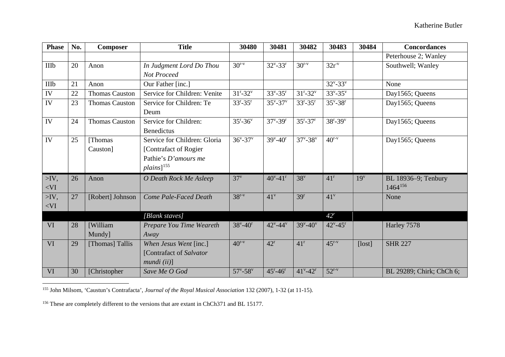<span id="page-92-1"></span><span id="page-92-0"></span>

| <b>Phase</b>    | No. | <b>Composer</b>       | <b>Title</b>                 | 30480                     | 30481                         | 30482                     | 30483                     | 30484           | <b>Concordances</b>      |
|-----------------|-----|-----------------------|------------------------------|---------------------------|-------------------------------|---------------------------|---------------------------|-----------------|--------------------------|
|                 |     |                       |                              |                           |                               |                           |                           |                 | Peterhouse 2; Wanley     |
| <b>IIIb</b>     | 20  | Anon                  | In Judgment Lord Do Thou     | $30^{r-v}$                | $32^{\nu} - 33^{\nu}$         | $30^{r-v}$                | $32r^v$                   |                 | Southwell; Wanley        |
|                 |     |                       | Not Proceed                  |                           |                               |                           |                           |                 |                          |
| <b>IIIb</b>     | 21  | Anon                  | Our Father [inc.]            |                           |                               |                           | $32^{\nu} - 33^{\nu}$     |                 | None                     |
| IV              | 22  | <b>Thomas Causton</b> | Service for Children: Venite | $31^{r}-32^{v}$           | $33^{\rm v} - 35^{\rm r}$     | $31^{\rm r} - 32^{\rm v}$ | $33^{\nu} - 35^{\nu}$     |                 | Day1565; Queens          |
| IV              | 23  | <b>Thomas Causton</b> | Service for Children: Te     | $33^{r}-35^{r}$           | $35^{\rm v} - 37^{\rm v}$     | $33^{r}-35^{r}$           | $35^{\rm v} - 38^{\rm r}$ |                 | Day1565; Queens          |
|                 |     |                       | Deum                         |                           |                               |                           |                           |                 |                          |
| IV              | 24  | <b>Thomas Causton</b> | Service for Children:        | $35^{\rm r} - 36^{\rm v}$ | $37^{\rm v}$ -39 <sup>r</sup> | $35^{\rm r}-37^{\rm r}$   | $38^{\rm r} - 39^{\rm v}$ |                 | Day1565; Queens          |
|                 |     |                       | <b>Benedictus</b>            |                           |                               |                           |                           |                 |                          |
| $\overline{IV}$ | 25  | [Thomas]              | Service for Children: Gloria | $36^{\rm v} - 37^{\rm v}$ | $39^{\circ} - 40^{\circ}$     | $37^{v} - 38^{v}$         | $40^{r-v}$                |                 | Day1565; Queens          |
|                 |     | Causton]              | [Contrafact of Rogier]       |                           |                               |                           |                           |                 |                          |
|                 |     |                       | Pathie's D'amours me         |                           |                               |                           |                           |                 |                          |
|                 |     |                       | $plains]$ <sup>155</sup>     |                           |                               |                           |                           |                 |                          |
| $>$ IV,         | 26  | Anon                  | O Death Rock Me Asleep       | $37^v$                    | $40^{\circ} - 41^{\circ}$     | 38 <sup>v</sup>           | $41^r$                    | 19 <sup>v</sup> | BL 18936-9; Tenbury      |
| $<$ VI          |     |                       |                              |                           |                               |                           |                           |                 | $1464^{156}$             |
| $>$ IV,         | 27  | [Robert] Johnson      | Come Pale-Faced Death        | $38r-v$                   | 41 <sup>v</sup>               | 39 <sup>r</sup>           | 41 <sup>v</sup>           |                 | None                     |
| $<$ VI          |     |                       |                              |                           |                               |                           |                           |                 |                          |
|                 |     |                       | [Blank staves]               |                           |                               |                           | 42 <sup>r</sup>           |                 |                          |
| <b>VI</b>       | 28  | [William]             | Prepare You Time Weareth     | $38^{\rm v} - 40^{\rm r}$ | $42^{\nu} - 44^{\nu}$         | $39^{\rm v} - 40^{\rm v}$ | $42^{\nu} - 45^{\nu}$     |                 | Harley 7578              |
|                 |     | Mundy]                | Away                         |                           |                               |                           |                           |                 |                          |
| VI              | 29  | [Thomas] Tallis       | When Jesus Went [inc.]       | $40^{r-v}$                | $42^r$                        | 41 <sup>r</sup>           | $45^{r-v}$                | [lost]          | <b>SHR 227</b>           |
|                 |     |                       | [Contrafact of Salvator      |                           |                               |                           |                           |                 |                          |
|                 |     |                       | mundi (ii)                   |                           |                               |                           |                           |                 |                          |
| <b>VI</b>       | 30  | [Christopher          | Save Me O God                | $57^{\rm v} - 58^{\rm v}$ | $45^{\rm r} - 46^{\rm r}$     | $41^{\rm v} - 42^{\rm r}$ | $52^{r-v}$                |                 | BL 29289; Chirk; ChCh 6; |

155 John Milsom, 'Caustun's Contrafacta', *Journal of the Royal Musical Association* 132 (2007), 1-32 (at 11-15).

<sup>156</sup> These are completely different to the versions that are extant in ChCh371 and BL 15177.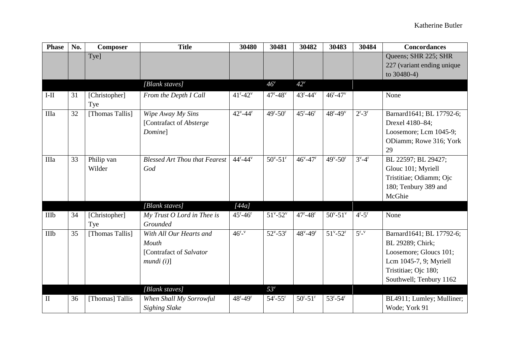| <b>Phase</b> | No. | Composer        | <b>Title</b>                         | 30480                     | 30481                     | 30482                     | 30483                     | 30484                         | <b>Concordances</b>        |
|--------------|-----|-----------------|--------------------------------------|---------------------------|---------------------------|---------------------------|---------------------------|-------------------------------|----------------------------|
|              |     | Tye]            |                                      |                           |                           |                           |                           |                               | Queens; SHR 225; SHR       |
|              |     |                 |                                      |                           |                           |                           |                           |                               | 227 (variant ending unique |
|              |     |                 |                                      |                           |                           |                           |                           |                               | to $30480-4$ )             |
|              |     |                 | [Blank staves]                       |                           | $46^{\circ}$              | $42^v$                    |                           |                               |                            |
| $I-II$       | 31  | [Christopher]   | From the Depth I Call                | $41^{\rm r} - 42^{\rm v}$ | $47^{\rm r} - 48^{\rm v}$ | $43^{\rm r} - 44^{\rm v}$ | $46^{\rm r} - 47^{\rm v}$ |                               | None                       |
|              |     | Tye             |                                      |                           |                           |                           |                           |                               |                            |
| IIIa         | 32  | [Thomas Tallis] | Wipe Away My Sins                    | $42^{\rm v} - 44^{\rm r}$ | $49^{\rm r} - 50^{\rm r}$ | $45^{\rm r} - 46^{\rm r}$ | $48^{\rm r} - 49^{\rm v}$ | $2^r - 3^r$                   | Barnard1641; BL 17792-6;   |
|              |     |                 | [Contrafact of Absterge              |                           |                           |                           |                           |                               | Drexel 4180-84;            |
|              |     |                 | Domine]                              |                           |                           |                           |                           |                               | Loosemore; Lcm 1045-9;     |
|              |     |                 |                                      |                           |                           |                           |                           |                               | ODiamm; Rowe 316; York     |
|              |     |                 |                                      |                           |                           |                           |                           |                               | 29                         |
| IIIa         | 33  | Philip van      | <b>Blessed Art Thou that Fearest</b> | $44^{r}-44^{v}$           | $50^{\circ} - 51^{\circ}$ | $46^{\rm v} - 47^{\rm r}$ | $49^{\circ} - 50^{\circ}$ | $3^{\nu}$ -4 <sup>r</sup>     | BL 22597; BL 29427;        |
|              |     | Wilder          | God                                  |                           |                           |                           |                           |                               | Glouc 101; Myriell         |
|              |     |                 |                                      |                           |                           |                           |                           |                               | Tristitiae; Odiamm; Ojc    |
|              |     |                 |                                      |                           |                           |                           |                           |                               | 180; Tenbury 389 and       |
|              |     |                 |                                      |                           |                           |                           |                           |                               | McGhie                     |
|              |     |                 | [Blank staves]                       | [44a]                     |                           |                           |                           |                               |                            |
| IIIb         | 34  | [Christopher]   | My Trust O Lord in Thee is           | $45^{\rm r} - 46^{\rm r}$ | $51^{\circ} - 52^{\circ}$ | $47 - 48$ <sup>r</sup>    | $50^{\circ} - 51^{\circ}$ | $4^r - 5^r$                   | None                       |
|              |     | Tye             | Grounded                             |                           |                           |                           |                           |                               |                            |
| IIIb         | 35  | [Thomas Tallis] | With All Our Hearts and              | $46^{r} - v$              | $52^{\rm v} - 53^{\rm r}$ | $48^{\rm v} - 49^{\rm r}$ | $51^{\rm v} - 52^{\rm r}$ | $5^{\mathrm{r} - \mathrm{v}}$ | Barnard1641; BL 17792-6;   |
|              |     |                 | Mouth                                |                           |                           |                           |                           |                               | BL 29289; Chirk;           |
|              |     |                 | [Contrafact of Salvator              |                           |                           |                           |                           |                               | Loosemore; Gloucs 101;     |
|              |     |                 | mundi(i)                             |                           |                           |                           |                           |                               | Lcm 1045-7, 9; Myriell     |
|              |     |                 |                                      |                           |                           |                           |                           |                               | Tristitiae; Ojc 180;       |
|              |     |                 |                                      |                           |                           |                           |                           |                               | Southwell; Tenbury 1162    |
|              |     |                 | [Blank staves]                       |                           | $53^v$                    |                           |                           |                               |                            |
| $\mathbf{I}$ | 36  | [Thomas] Tallis | When Shall My Sorrowful              | $48^{\rm r} - 49^{\rm r}$ | $54^{\rm r} - 55^{\rm r}$ | $50^{\rm r} - 51^{\rm r}$ | $53^{\rm r} - 54^{\rm r}$ |                               | BL4911; Lumley; Mulliner;  |
|              |     |                 | <b>Sighing Slake</b>                 |                           |                           |                           |                           |                               | Wode; York 91              |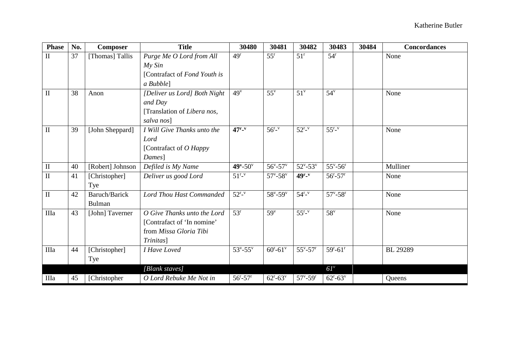| <b>Phase</b>        | No. | <b>Composer</b>         | <b>Title</b>                                                                                     | 30480                     | 30481                     | 30482                         | 30483                       | 30484 | <b>Concordances</b> |
|---------------------|-----|-------------------------|--------------------------------------------------------------------------------------------------|---------------------------|---------------------------|-------------------------------|-----------------------------|-------|---------------------|
| $\mathbf{I}$        | 37  | [Thomas] Tallis         | Purge Me O Lord from All<br>My Sin<br>[Contrafact of Fond Youth is                               | 49 <sup>r</sup>           | $55^{\rm r}$              | $51^{\rm r}$                  | $54^r$                      |       | None                |
|                     |     |                         | a Bubble]                                                                                        |                           |                           |                               |                             |       |                     |
| $\mathbf{I}$        | 38  | Anon                    | [Deliver us Lord] Both Night<br>and Day<br>[Translation of Libera nos,<br>salva nos]             | 49 <sup>v</sup>           | $55^{\rm v}$              | $51^v$                        | $54^v$                      |       | None                |
| $\overline{\rm II}$ | 39  | [John Sheppard]         | I Will Give Thanks unto the<br>Lord<br>[Contrafact of O Happy<br>Dames]                          | $47r - v$                 | $56^{r} - v$              | $52^{r_v}$                    | $55^{r_v}$                  |       | None                |
| $\mathbf{I}$        | 40  | [Robert] Johnson        | Defiled is My Name                                                                               | $49^{\rm v} - 50^{\rm v}$ | $56^{\circ} - 57^{\circ}$ | $52^{\nu} - 53^{\nu}$         | $55^{\rm v} - 56^{\rm r}$   |       | Mulliner            |
| $\mathbf{I}$        | 41  | [Christopher]<br>Tye    | Deliver us good Lord                                                                             | $51^{r_v}$                | $57^{\circ} - 58^{\circ}$ | $49r - v$                     | $56^{\rm r} - 57^{\rm r}$   |       | None                |
| $\overline{\rm II}$ | 42  | Baruch/Barick<br>Bulman | <b>Lord Thou Hast Commanded</b>                                                                  | $52^{r_v}$                | $58^{\rm v} - 59^{\rm v}$ | $54^{r}$                      | $57^{\circ} - 58^{\circ}$   |       | None                |
| IIIa                | 43  | [John] Taverner         | O Give Thanks unto the Lord<br>[Contrafact of 'In nomine'<br>from Missa Gloria Tibi<br>Trinitas] | $53^r$                    | $59^v$                    | $55^{r_v}$                    | $58^v$                      |       | None                |
| IIIa                | 44  | [Christopher]<br>Tye    | I Have Loved                                                                                     | $53^{\rm v} - 55^{\rm v}$ | $60^{\circ} - 61^{\circ}$ | $55^{\rm v} - 57^{\rm r}$     | $59^{\rm r}-61^{\rm r}$     |       | <b>BL</b> 29289     |
|                     |     |                         | [Blank staves]                                                                                   |                           |                           |                               | $6I^v$                      |       |                     |
| IIIa                | 45  | [Christopher            | O Lord Rebuke Me Not in                                                                          | $56^{\rm r} - 57^{\rm r}$ | $62^{\rm r}-63^{\rm v}$   | $57^{\rm v}$ -59 <sup>r</sup> | $62^{\rm r}$ -63 $^{\rm v}$ |       | Queens              |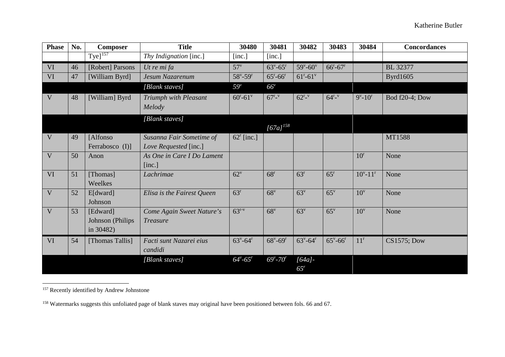<span id="page-95-1"></span><span id="page-95-0"></span>

| <b>Phase</b>            | No. | <b>Composer</b>                           | <b>Title</b>                                      | 30480                         | 30481                         | 30482                         | 30483                         | 30484                        | <b>Concordances</b> |
|-------------------------|-----|-------------------------------------------|---------------------------------------------------|-------------------------------|-------------------------------|-------------------------------|-------------------------------|------------------------------|---------------------|
|                         |     | $Tye]^{157}$                              | Thy Indignation [inc.]                            | [inc.]                        | [inc.]                        |                               |                               |                              |                     |
| VI                      | 46  | [Robert] Parsons                          | Ut re mi fa                                       | $57^v$                        | $63^{\rm v} - 65^{\rm r}$     | $59^{\rm v}$ -60 $^{\rm v}$   | $66^{\rm r}-67^{\rm r}$       |                              | <b>BL</b> 32377     |
| VI                      | 47  | [William Byrd]                            | Jesum Nazarenum                                   | $58^{\rm v} - 59^{\rm r}$     | $65^{\rm r} - 66^{\rm r}$     | $61^{\rm r}-61^{\rm v}$       |                               |                              | <b>Byrd1605</b>     |
|                         |     |                                           | [Blank staves]                                    | $59^v$                        | $66^{\circ}$                  |                               |                               |                              |                     |
| V                       | 48  | [William] Byrd                            | Triumph with Pleasant<br>Melody                   | $60^{\circ} - 61^{\circ}$     | $67^{r} - v$                  | $62^{r_{v}}$                  | $64^{r}$ - $\rm{v}$           | $9^{\rm v}$ -10 <sup>r</sup> | Bod f20-4; Dow      |
|                         |     |                                           | [Blank staves]                                    |                               | $[67a]^{158}$                 |                               |                               |                              |                     |
| V                       | 49  | [Alfonso<br>Ferrabosco (I)]               | Susanna Fair Sometime of<br>Love Requested [inc.] | $62^r$ [inc.]                 |                               |                               |                               |                              | MT1588              |
| $\overline{\mathsf{V}}$ | 50  | Anon                                      | As One in Care I Do Lament<br>[inc.]              |                               |                               |                               |                               | $10^r$                       | None                |
| VI                      | 51  | [Thomas]<br>Weelkes                       | Lachrimae                                         | $62^v$                        | 68 <sup>r</sup>               | 63 <sup>r</sup>               | 65 <sup>r</sup>               | $10^{v} - 11^{r}$            | None                |
| $\overline{\mathbf{V}}$ | 52  | E[dward]<br>Johnson                       | Elisa is the Fairest Queen                        | 63 <sup>r</sup>               | 68 <sup>v</sup>               | 63 <sup>v</sup>               | $65^{\rm v}$                  | $10^v$                       | None                |
| V                       | 53  | [Edward]<br>Johnson (Philips<br>in 30482) | Come Again Sweet Nature's<br><b>Treasure</b>      | $63^{r-v}$                    | 68 <sup>v</sup>               | 63 <sup>v</sup>               | $65^{\rm v}$                  | $10^v$                       | None                |
| VI                      | 54  | [Thomas Tallis]                           | Facti sunt Nazarei eius<br>candidi                | $63^{\rm v}$ -64 <sup>r</sup> | $68^{\rm v}$ -69 <sup>r</sup> | $63^{\rm v}$ -64 <sup>r</sup> | $65^{\rm v}$ -66 <sup>r</sup> | $11^r$                       | <b>CS1575; Dow</b>  |
|                         |     |                                           | [Blank staves]                                    | $64^{\nu} - 65^{\nu}$         | $69^{\circ}$ -70 $^{\circ}$   | $[64a]$ -<br>65 <sup>r</sup>  |                               |                              |                     |

<sup>&</sup>lt;sup>157</sup> Recently identified by Andrew Johnstone

<sup>&</sup>lt;sup>158</sup> Watermarks suggests this unfoliated page of blank staves may original have been positioned between fols. 66 and 67.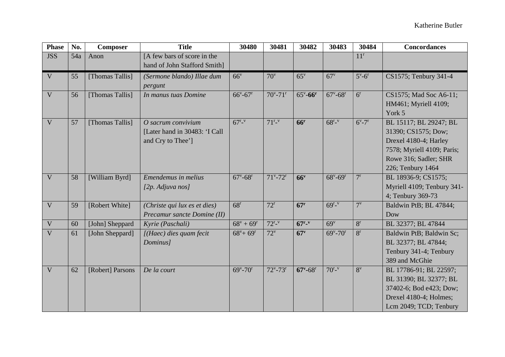| <b>Phase</b>            | No. | Composer         | <b>Title</b>                                                             | 30480                         | 30481                         | 30482                         | 30483                         | 30484                       | <b>Concordances</b>                                                                                                                                |
|-------------------------|-----|------------------|--------------------------------------------------------------------------|-------------------------------|-------------------------------|-------------------------------|-------------------------------|-----------------------------|----------------------------------------------------------------------------------------------------------------------------------------------------|
| <b>JSS</b>              | 54a | Anon             | [A few bars of score in the<br>hand of John Stafford Smith]              |                               |                               |                               |                               | $11^r$                      |                                                                                                                                                    |
| V                       | 55  | [Thomas Tallis]  | (Sermone blando) Illae dum<br>pergunt                                    | 66 <sup>v</sup>               | $70^{\rm v}$                  | $65^{\rm v}$                  | $67^v$                        | $5^{\rm v}$ -6 <sup>r</sup> | CS1575; Tenbury 341-4                                                                                                                              |
| $\overline{\mathbf{V}}$ | 56  | [Thomas Tallis]  | In manus tuas Domine                                                     | $66^{\rm v} - 67^{\rm r}$     | $70^{\circ} - 71^{\circ}$     | $65^{\circ} - 66^{\circ}$     | $67^{\circ} - 68^{\circ}$     | 6 <sup>r</sup>              | CS1575; Mad Soc A6-11;<br>HM461; Myriell 4109;<br>York 5                                                                                           |
| V                       | 57  | [Thomas Tallis]  | O sacrum convivium<br>[Later hand in 30483: 'I Call<br>and Cry to Thee'] | $67^{r_v}$                    | $71^{r_v}$                    | 66 <sup>r</sup>               | $68^{r_v}$                    | $6^{v} - 7^{r}$             | BL 15117; BL 29247; BL<br>31390; CS1575; Dow;<br>Drexel 4180-4; Harley<br>7578; Myriell 4109; Paris;<br>Rowe 316; Sadler; SHR<br>226; Tenbury 1464 |
| $\mathbf{V}$            | 58  | [William Byrd]   | Emendemus in melius<br>[ $2p.$ Adjuva nos]                               | $67^{\rm v}$ -68 <sup>r</sup> | $71^{\rm v}$ -72 $^{\rm r}$   | 66 <sup>v</sup>               | $68^{\rm v}$ -69 <sup>r</sup> | 7 <sup>r</sup>              | BL 18936-9; CS1575;<br>Myriell 4109; Tenbury 341-<br>4; Tenbury 369-73                                                                             |
| V                       | 59  | [Robert White]   | (Christe qui lux es et dies)<br>Precamur sancte Domine (II)              | 68 <sup>r</sup>               | $72^r$                        | 67 <sup>r</sup>               | $69^{r_v}$                    | $7^{\rm v}$                 | Baldwin PtB; BL 47844;<br>Dow                                                                                                                      |
| $\mathbf{V}$            | 60  | [John] Sheppard  | Kyrie (Paschali)                                                         | $68^{\rm v} + 69^{\rm r}$     | $72^{r_v}$                    | $67r - v$                     | 69 <sup>v</sup>               | 8 <sup>r</sup>              | BL 32377; BL 47844                                                                                                                                 |
| $\overline{\mathbf{V}}$ | 61  | [John Sheppard]  | $J(Haec)$ dies quam fecit<br>Dominus]                                    | $68^{\rm v}$ + $69^{\rm r}$   | $72^v$                        | 67 <sup>v</sup>               | $69^{\rm v}$ -70 <sup>r</sup> | 8 <sup>r</sup>              | Baldwin PtB; Baldwin Sc;<br>BL 32377; BL 47844;<br>Tenbury 341-4; Tenbury<br>389 and McGhie                                                        |
| V                       | 62  | [Robert] Parsons | De la court                                                              | $69^{\rm v}$ -70 <sup>r</sup> | $72^{\rm v}$ -73 <sup>r</sup> | $67^{\rm v}$ -68 <sup>r</sup> | $70^{r_{v}}$                  | $8^{\rm v}$                 | BL 17786-91; BL 22597;<br>BL 31390; BL 32377; BL<br>37402-6; Bod e423; Dow;<br>Drexel 4180-4; Holmes;<br>Lcm 2049; TCD; Tenbury                    |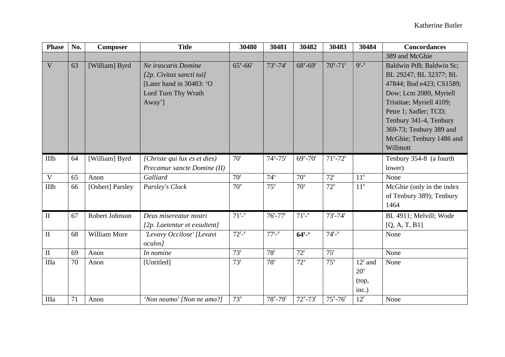| <b>Phase</b>            | No.      | Composer         | <b>Title</b>                                                                                                 | 30480                         | 30481                                   | 30482                                   | 30483                                     | 30484                                                  | <b>Concordances</b>                                                                                                                                                                                                                                        |
|-------------------------|----------|------------------|--------------------------------------------------------------------------------------------------------------|-------------------------------|-----------------------------------------|-----------------------------------------|-------------------------------------------|--------------------------------------------------------|------------------------------------------------------------------------------------------------------------------------------------------------------------------------------------------------------------------------------------------------------------|
|                         |          |                  |                                                                                                              |                               |                                         |                                         |                                           |                                                        | 389 and McGhie                                                                                                                                                                                                                                             |
| $\overline{\mathsf{V}}$ | 63       | [William] Byrd   | Ne irascaris Domine<br>[2p. Civitas sancti tui]<br>[Later hand in 30483: 'O<br>Lord Turn Thy Wrath<br>Away'] | $65^{\rm v}$ -66 <sup>r</sup> | $73^{\rm v}$ -74 $^{\rm r}$             | $68^{\rm v}$ -69 <sup>r</sup>           | $70^{\circ} - 71^{\circ}$                 | $9r_v$                                                 | Baldwin PtB; Baldwin Sc;<br>BL 29247; BL 32377; BL<br>47844; Bod e423; CS1589;<br>Dow; Lcm 2089, Myriell<br>Tristitae; Myriell 4109;<br>Petre 1; Sadler; TCD;<br>Tenbury 341-4, Tenbury<br>369-73; Tenbury 389 and<br>McGhie; Tenbury 1486 and<br>Willmott |
| IIIb                    | 64       | [William] Byrd   | [Christe qui lux es et dies]<br>Precamur sancte Domine (II)                                                  | 70 <sup>r</sup>               | $74^{\rm v} - 75^{\rm r}$               | $69^{\rm v}$ -70 <sup>r</sup>           | $71^{\rm v}$ -72 $^{\rm r}$               |                                                        | Tenbury 354-8 (a fourth<br>lower)                                                                                                                                                                                                                          |
| V                       | 65       | Anon             | Galliard                                                                                                     | 70 <sup>r</sup>               | $74^v$                                  | $70^{\rm v}$                            | $72^r$                                    | $11^v$                                                 | None                                                                                                                                                                                                                                                       |
| IIIb                    | 66       | [Osbert] Parsley | Parsley's Clock                                                                                              | $70^{\rm v}$                  | $75^{\rm v}$                            | $70^{\rm v}$                            | $72^v$                                    | $11^v$                                                 | McGhie (only in the index<br>of Tenbury 389); Tenbury<br>1464                                                                                                                                                                                              |
| $\mathbf{I}$            | 67       | Robert Johnson   | Deus misereatur nostri<br>[2p. Laetentur et exsultent]                                                       | $71^{r_v}$                    | $76^{\rm r}$ -77 $^{\rm r}$             | $71^{r_v}$                              | $73^{\rm r} - 74^{\rm r}$                 |                                                        | $\overline{BL}$ 4911; Melvill; Wode<br>[Q, A, T, B1]                                                                                                                                                                                                       |
| $\rm II$                | 68       | William More     | 'Levavy Occilose' [Levavi<br><i>oculos]</i>                                                                  | $72^{r_v}$                    | $77r_v$                                 | $64r_v$                                 | $74^{\mathrm{r}}$ - $v$                   |                                                        | None                                                                                                                                                                                                                                                       |
| $\mathbf{I}$            | 69       | Anon             | In nomine                                                                                                    | $73^r$                        | 78 <sup>r</sup>                         | $72^r$                                  | $75^{\rm r}$                              |                                                        | None                                                                                                                                                                                                                                                       |
| IIIa<br>IIIa            | 70<br>71 | Anon<br>Anon     | [Untitled]<br>'Non neamo' [Non ne amo?]                                                                      | $73^r$<br>$73^v$              | $78^v$<br>$78^{\rm v}$ -79 <sup>r</sup> | $72^v$<br>$72^{\rm v}$ -73 <sup>r</sup> | $75^{\rm v}$<br>$75^{\circ} - 76^{\circ}$ | $12^r$ and<br>$20^{\rm v}$<br>(top,<br>inc.)<br>$12^r$ | None<br>None                                                                                                                                                                                                                                               |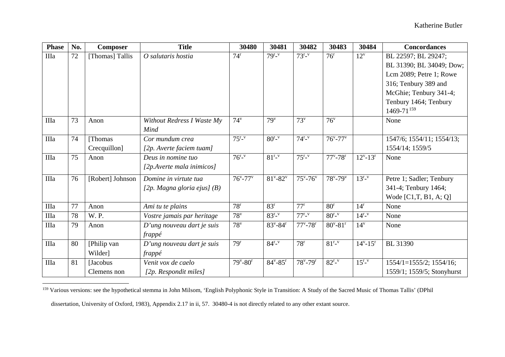<span id="page-98-0"></span>

| <b>Phase</b> | No. | <b>Composer</b>  | <b>Title</b>                  | 30480                     | 30481                     | 30482                             | 30483                     | 30484             | <b>Concordances</b>           |
|--------------|-----|------------------|-------------------------------|---------------------------|---------------------------|-----------------------------------|---------------------------|-------------------|-------------------------------|
| IIIa         | 72  | [Thomas] Tallis  | O salutaris hostia            | $74^r$                    | $79^{r_{v}}$              | $73^{r_{v}}$                      | $76^{\rm r}$              | $12^v$            | BL 22597; BL 29247;           |
|              |     |                  |                               |                           |                           |                                   |                           |                   | BL 31390; BL 34049; Dow;      |
|              |     |                  |                               |                           |                           |                                   |                           |                   | Lcm 2089; Petre 1; Rowe       |
|              |     |                  |                               |                           |                           |                                   |                           |                   | 316; Tenbury 389 and          |
|              |     |                  |                               |                           |                           |                                   |                           |                   | McGhie; Tenbury 341-4;        |
|              |     |                  |                               |                           |                           |                                   |                           |                   | Tenbury 1464; Tenbury         |
|              |     |                  |                               |                           |                           |                                   |                           |                   | $1469 - 71^{159}$             |
| IIIa         | 73  | Anon             | Without Redress I Waste My    | $74^v$                    | 79 <sup>v</sup>           | $73^v$                            | 76 <sup>v</sup>           |                   | None                          |
|              |     |                  | Mind                          |                           |                           |                                   |                           |                   |                               |
| IIIa         | 74  | [Thomas          | Cor mundum crea               | $75^{r_v}$                | $80^{r_v}$                | $74^{r_{v}}$                      | $76^{\circ} - 77^{\circ}$ |                   | 1547/6; 1554/11; 1554/13;     |
|              |     | Crecquillon]     | [2p. Averte faciem tuam]      |                           |                           |                                   |                           |                   | 1554/14; 1559/5               |
| IIIa         | 75  | Anon             | Deus in nomine tuo            | $76^{r_v}$                | $81^{r_v}$                | $75^{\mathrm{r}}$ .               | $77^{\circ} - 78^{\circ}$ | $12^{v} - 13^{r}$ | None                          |
|              |     |                  | [2p.Averte mala inimicos]     |                           |                           |                                   |                           |                   |                               |
| IIIa         | 76  | [Robert] Johnson | Domine in virtute tua         | $76^{\circ} - 77^{\circ}$ | $81^{\rm v} - 82^{\rm v}$ | $75^{\rm v}$ -76 $^{\rm v}$       | $78^{\rm v} - 79^{\rm v}$ | $13^{r_v}$        | Petre 1; Sadler; Tenbury      |
|              |     |                  | [2p. Magna gloria ejus] $(B)$ |                           |                           |                                   |                           |                   | 341-4; Tenbury 1464;          |
|              |     |                  |                               |                           |                           |                                   |                           |                   | Wode $[C1,T, B1, A; Q]$       |
| IIIa         | 77  | Anon             | Ami tu te plains              | 78 <sup>r</sup>           | 83 <sup>r</sup>           | $77^r$                            | 80 <sup>r</sup>           | $14^r$            | None                          |
| IIIa         | 78  | W. P.            | Vostre jamais par heritage    | $78^v$                    | $83^{r_{v}}$              | $77^{\rm r}_{\rm -}$ <sup>v</sup> | $80^{r_{v}}$              | $14^{r_v}$        | None                          |
| IIIa         | 79  | Anon             | D'ung nouveau dart je suis    | $78^v$                    | $83^{\rm v} - 84^{\rm r}$ | $77^{\circ} - 78^{\circ}$         | $80^{\circ} - 81^{\circ}$ | $14^v$            | None                          |
|              |     |                  | frappé                        |                           |                           |                                   |                           |                   |                               |
| IIIa         | 80  | [Philip van      | $D'$ ung nouveau dart je suis | 79 <sup>r</sup>           | $84^{r} - v$              | 78 <sup>r</sup>                   | $81^{r_v}$                | $14^{v} - 15^{r}$ | BL 31390                      |
|              |     | Wilder]          | frappé                        |                           |                           |                                   |                           |                   |                               |
| IIIa         | 81  | [Jacobus]        | Venit vox de caelo            | $79^{\rm v} - 80^{\rm r}$ | $84^{\rm v} - 85^{\rm r}$ | $78^{\rm v}$ -79 <sup>r</sup>     | $82^{r_v}$                | $15^{r_v}$        | $1554/1=1555/2$ ; $1554/16$ ; |
|              |     | Clemens non      | [2p. Respondit miles]         |                           |                           |                                   |                           |                   | 1559/1; 1559/5; Stonyhurst    |

<sup>&</sup>lt;sup>159</sup> Various versions: see the hypothetical stemma in John Milsom, 'English Polyphonic Style in Transition: A Study of the Sacred Music of Thomas Tallis' (DPhil

dissertation, University of Oxford, 1983), Appendix 2.17 in ii, 57. 30480-4 is not directly related to any other extant source.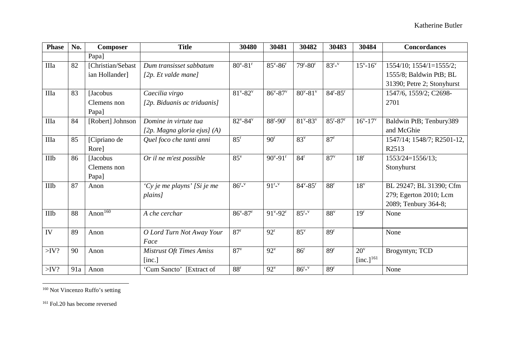<span id="page-99-1"></span><span id="page-99-0"></span>

| <b>Phase</b> | No. | Composer          | <b>Title</b>                    | 30480                     | 30481                     | 30482                     | 30483                   | 30484                     | <b>Concordances</b>        |
|--------------|-----|-------------------|---------------------------------|---------------------------|---------------------------|---------------------------|-------------------------|---------------------------|----------------------------|
|              |     | Papa]             |                                 |                           |                           |                           |                         |                           |                            |
| IIIa         | 82  | [Christian/Sebast | Dum transisset sabbatum         | $80^{\circ} - 81^{\circ}$ | $85^{\rm v} - 86^{\rm r}$ | $79^{\rm r}-80^{\rm r}$   | $83^{r_v}$              | $15^{\rm v} - 16^{\rm v}$ | 1554/10; 1554/1=1555/2;    |
|              |     | ian Hollander]    | [2p. Et valde mane]             |                           |                           |                           |                         |                           | 1555/8; Baldwin PtB; BL    |
|              |     |                   |                                 |                           |                           |                           |                         |                           | 31390; Petre 2; Stonyhurst |
| IIIa         | 83  | <b>Jacobus</b>    | Caecilia virgo                  | $81^{\rm v} - 82^{\rm v}$ | $86^{\rm v} - 87^{\rm v}$ | $80^{\circ} - 81^{\circ}$ | $84^{r}-85^{r}$         |                           | 1547/6, 1559/2; C2698-     |
|              |     | Clemens non       | [2p. Biduanis ac triduanis]     |                           |                           |                           |                         |                           | 2701                       |
|              |     | Papa]             |                                 |                           |                           |                           |                         |                           |                            |
| IIIa         | 84  | [Robert] Johnson  | Domine in virtute tua           | $82^{\nu} - 84^{\nu}$     | $88^{\rm r}-90^{\rm r}$   | $81^{\rm v} - 83^{\rm v}$ | $85^{\rm r}-87^{\rm r}$ | $16^{v} - 17^{v}$         | Baldwin PtB; Tenbury389    |
|              |     |                   | [2p. Magna gloria ejus] (A)     |                           |                           |                           |                         |                           | and McGhie                 |
| IIIa         | 85  | [Cipriano de      | Quel foco che tanti anni        | 85 <sup>r</sup>           | 90 <sup>r</sup>           | 83 <sup>v</sup>           | 87 <sup>r</sup>         |                           | 1547/14; 1548/7; R2501-12, |
|              |     | Rore]             |                                 |                           |                           |                           |                         |                           | R2513                      |
| <b>IIIb</b>  | 86  | [Jacobus]         | Or il ne m'est possible         | $85^v$                    | $90^{\rm v} - 91^{\rm r}$ | 84 <sup>r</sup>           | $87^v$                  | 18 <sup>r</sup>           | 1553/24=1556/13;           |
|              |     | Clemens non       |                                 |                           |                           |                           |                         |                           | Stonyhurst                 |
|              |     | Papa]             |                                 |                           |                           |                           |                         |                           |                            |
| IIIb         | 87  | Anon              | 'Cy je me playns' [Si je me     | $86^{r_{-}v}$             | $91^{r_v}$                | $84^{\rm v} - 85^{\rm r}$ | 88 <sup>r</sup>         | $18^v$                    | BL 29247; BL 31390; Cfm    |
|              |     |                   | plains]                         |                           |                           |                           |                         |                           | 279; Egerton 2010; Lcm     |
|              |     |                   |                                 |                           |                           |                           |                         |                           | 2089; Tenbury 364-8;       |
| <b>IIIb</b>  | 88  | Anon $160$        | A che cerchar                   | $86^{\rm v} - 87^{\rm r}$ | $91^{\rm v} - 92^{\rm r}$ | $85^{r_{v}}$              | $88^v$                  | 19 <sup>r</sup>           | None                       |
|              |     |                   |                                 |                           |                           |                           |                         |                           |                            |
| IV           | 89  | Anon              | O Lord Turn Not Away Your       | 87 <sup>r</sup>           | $92^r$                    | 85 <sup>v</sup>           | 89 <sup>r</sup>         |                           | None                       |
|              |     |                   | Face                            |                           |                           |                           |                         |                           |                            |
| $>$ IV?      | 90  | Anon              | <b>Mistrust Oft Times Amiss</b> | $87^v$                    | $92^v$                    | 86 <sup>r</sup>           | 89 <sup>r</sup>         | $20^{\rm v}$              | Brogyntyn; TCD             |
|              |     |                   | [inc.]                          |                           |                           |                           |                         | [inc.] $^{161}$           |                            |
| $>$ IV?      | 91a | Anon              | 'Cum Sancto' [Extract of        | 88 <sup>r</sup>           | $92^v$                    | $86^{r_{v}}$              | 89 <sup>r</sup>         |                           | None                       |

<sup>160</sup> Not Vincenzo Ruffo's setting

<sup>161</sup> Fol.20 has become reversed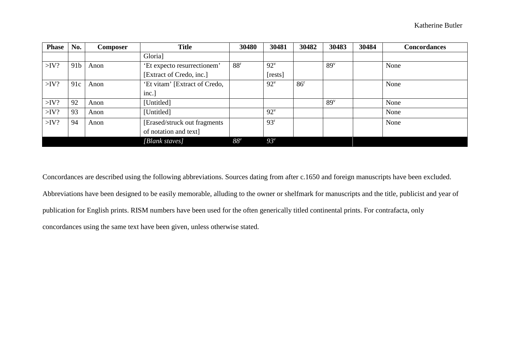| <b>Phase</b> | No.             | <b>Composer</b> | <b>Title</b>                  | 30480           | 30481           | 30482           | 30483           | 30484 | <b>Concordances</b> |
|--------------|-----------------|-----------------|-------------------------------|-----------------|-----------------|-----------------|-----------------|-------|---------------------|
|              |                 |                 | Gloria]                       |                 |                 |                 |                 |       |                     |
| $>$ IV?      | 91 <sub>b</sub> | Anon            | 'Et expecto resurrectionem'   | 88 <sup>r</sup> | $92^v$          |                 | 89 <sup>v</sup> |       | None                |
|              |                 |                 | [Extract of Credo, inc.]      |                 | [rests]         |                 |                 |       |                     |
| $>$ IV?      | 91c             | Anon            | 'Et vitam' [Extract of Credo, |                 | $92^v$          | 86 <sup>r</sup> |                 |       | None                |
|              |                 |                 | inc.]                         |                 |                 |                 |                 |       |                     |
| $>$ IV?      | 92              | Anon            | [Untitled]                    |                 |                 |                 | 89 <sup>v</sup> |       | None                |
| $>$ IV?      | 93              | Anon            | [Untitled]                    |                 | $92^v$          |                 |                 |       | None                |
| $>$ IV?      | 94              | Anon            | [Erased/struck out fragments] |                 | 93 <sup>r</sup> |                 |                 |       | None                |
|              |                 |                 | of notation and text]         |                 |                 |                 |                 |       |                     |
|              |                 |                 | [Blank staves]                | $88^v$          | $93^v$          |                 |                 |       |                     |

Concordances are described using the following abbreviations. Sources dating from after c.1650 and foreign manuscripts have been excluded. Abbreviations have been designed to be easily memorable, alluding to the owner or shelfmark for manuscripts and the title, publicist and year of publication for English prints. RISM numbers have been used for the often generically titled continental prints. For contrafacta, only concordances using the same text have been given, unless otherwise stated.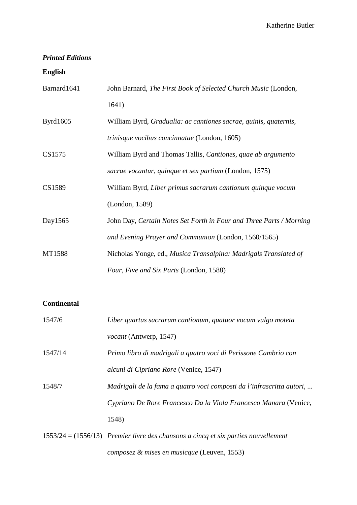# *Printed Editions*

#### **English**

| Barnard1641 | John Barnard, The First Book of Selected Church Music (London, |
|-------------|----------------------------------------------------------------|
|             | 1641)                                                          |

- Byrd1605 William Byrd, *Gradualia: ac cantiones sacrae, quinis, quaternis, trinisque vocibus concinnatae* (London, 1605)
- CS1575 William Byrd and Thomas Tallis, *Cantiones, quae ab argumento sacrae vocantur, quinque et sex partium* (London, 1575)
- CS1589 William Byrd, *Liber primus sacrarum cantionum quinque vocum* (London, 1589)
- Day1565 John Day, *Certain Notes Set Forth in Four and Three Parts / Morning and Evening Prayer and Communion* (London, 1560/1565)
- MT1588 Nicholas Yonge, ed., *Musica Transalpina: Madrigals Translated of Four, Five and Six Parts* (London, 1588)

# **Continental**

| 1547/6  | Liber quartus sacrarum cantionum, quatuor vocum vulgo moteta          |
|---------|-----------------------------------------------------------------------|
|         | <i>vocant</i> (Antwerp, 1547)                                         |
| 1547/14 | Primo libro di madrigali a quatro voci di Perissone Cambrio con       |
|         | alcuni di Cipriano Rore (Venice, 1547)                                |
| 1548/7  | Madrigali de la fama a quatro voci composti da l'infrascritta autori, |
|         | Cypriano De Rore Francesco Da la Viola Francesco Manara (Venice,      |
|         | 1548)                                                                 |
|         |                                                                       |

1553/24 = (1556/13) *Premier livre des chansons a cincq et six parties nouvellement composez & mises en musicque* (Leuven, 1553)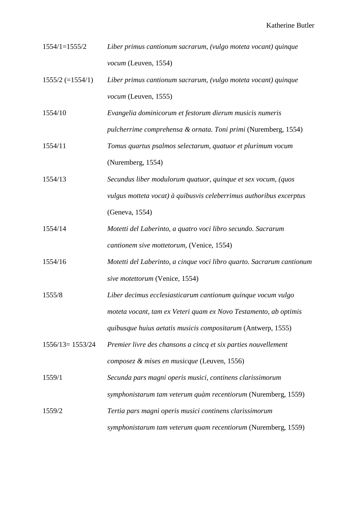- 1554/1=1555/2 *Liber primus cantionum sacrarum, (vulgo moteta vocant) quinque vocum* (Leuven, 1554)
- 1555/2 (=1554/1) *Liber primus cantionum sacrarum, (vulgo moteta vocant) quinque vocum* (Leuven, 1555)
- 1554/10 *Evangelia dominicorum et festorum dierum musicis numeris*

*pulcherrime comprehensa & ornata. Toni primi* (Nuremberg, 1554)

- 1554/11 *Tomus quartus psalmos selectarum, quatuor et plurimum vocum*  (Nuremberg, 1554)
- 1554/13 *Secundus liber modulorum quatuor, quinque et sex vocum, (quos vulgus motteta vocat) à quibusvis celeberrimus authoribus excerptus*  (Geneva, 1554)
- 1554/14 *Motetti del Laberinto, a quatro voci libro secundo. Sacrarum cantionem sive mottetorum,* (Venice, 1554)
- 1554/16 *Motetti del Laberinto, a cinque voci libro quarto. Sacrarum cantionum sive motettorum* (Venice, 1554)
- 1555/8 *Liber decimus ecclesiasticarum cantionum quinque vocum vulgo moteta vocant, tam ex Veteri quam ex Novo Testamento, ab optimis quibusque huius aetatis musicis compositarum* (Antwerp, 1555)
- 1556/13= 1553/24 *Premier livre des chansons a cincq et six parties nouvellement composez & mises en musicque* (Leuven, 1556)
- 1559/1 *Secunda pars magni operis musici, continens clarissimorum symphonistarum tam veterum quàm recentiorum* (Nuremberg, 1559)
- 1559/2 *Tertia pars magni operis musici continens clarissimorum symphonistarum tam veterum quam recentiorum* (Nuremberg, 1559)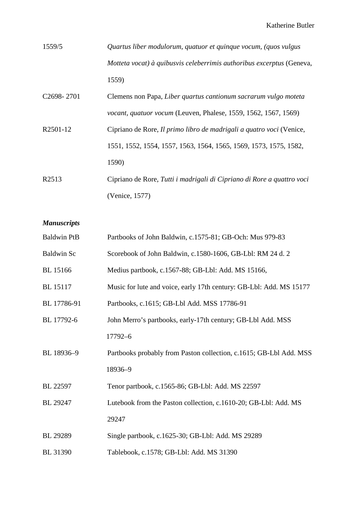| 1559/5 | Quartus liber modulorum, quatuor et quinque vocum, (quos vulgus       |
|--------|-----------------------------------------------------------------------|
|        | Motteta vocat) à quibusvis celeberrimis authoribus excerptus (Geneva, |
|        | 1559)                                                                 |

| C2698-2701        | Clemens non Papa, Liber quartus cantionum sacrarum vulgo moteta        |
|-------------------|------------------------------------------------------------------------|
|                   | <i>vocant, quatuor vocum</i> (Leuven, Phalese, 1559, 1562, 1567, 1569) |
| R2501-12          | Cipriano de Rore, Il primo libro de madrigali a quatro voci (Venice,   |
|                   | 1551, 1552, 1554, 1557, 1563, 1564, 1565, 1569, 1573, 1575, 1582,      |
|                   | 1590)                                                                  |
| R <sub>2513</sub> | Cipriano de Rore, Tutti i madrigali di Cipriano di Rore a quattro voci |
|                   | (Venice, 1577)                                                         |

*Manuscripts*

| <b>Baldwin PtB</b> | Partbooks of John Baldwin, c.1575-81; GB-Och: Mus 979-83            |
|--------------------|---------------------------------------------------------------------|
| <b>Baldwin Sc</b>  | Scorebook of John Baldwin, c.1580-1606, GB-Lbl: RM 24 d. 2          |
| <b>BL</b> 15166    | Medius partbook, c.1567-88; GB-Lbl: Add. MS 15166,                  |
| <b>BL</b> 15117    | Music for lute and voice, early 17th century: GB-Lbl: Add. MS 15177 |
| BL 17786-91        | Partbooks, c.1615; GB-Lbl Add. MSS 17786-91                         |
| BL 17792-6         | John Merro's partbooks, early-17th century; GB-Lbl Add. MSS         |
|                    | 17792-6                                                             |
| BL 18936-9         | Partbooks probably from Paston collection, c.1615; GB-Lbl Add. MSS  |
|                    | 18936-9                                                             |
| BL 22597           | Tenor partbook, c.1565-86; GB-Lbl: Add. MS 22597                    |
| BL 29247           | Lutebook from the Paston collection, c.1610-20; GB-Lbl: Add. MS     |
|                    | 29247                                                               |
| BL 29289           | Single partbook, c.1625-30; GB-Lbl: Add. MS 29289                   |
| <b>BL</b> 31390    | Tablebook, c.1578; GB-Lbl: Add. MS 31390                            |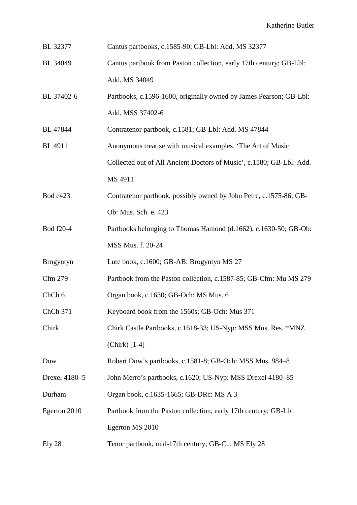- BL 32377 Cantus partbooks, c.1585-90; GB-Lbl: Add. MS 32377
- BL 34049 Cantus partbook from Paston collection, early 17th century; GB-Lbl: Add. MS 34049
- BL 37402-6 Partbooks, c.1596-1600, originally owned by James Pearson; GB-Lbl: Add. MSS 37402-6

BL 47844 Contratenor partbook, c.1581; GB-Lbl: Add. MS 47844

- BL 4911 Anonymous treatise with musical examples. 'The Art of Music Collected out of All Ancient Doctors of Music', c.1580; GB-Lbl: Add. MS 4911
- Bod e423 Contratenor partbook, possibly owned by John Petre, c.1575-86; GB-Ob: Mus. Sch. e. 423
- Bod f20-4 Partbooks belonging to Thomas Hamond (d.1662), c.1630-50; GB-Ob: MSS Mus. f. 20-24
- Brogyntyn Lute book, c.1600; GB-AB: Brogyntyn MS 27
- Cfm 279 Partbook from the Paston collection, c.1587-85; GB-Cfm: Mu MS 279
- ChCh 6 Organ book, c.1630; GB-Och: MS Mus. 6
- ChCh 371 Keyboard book from the 1560s; GB-Och: Mus 371
- Chirk Chirk Castle Partbooks, c.1618-33; US-Nyp: MSS Mus. Res. \*MNZ (Chirk) [1-4]
- Dow Robert Dow's partbooks, c.1581-8; GB-Och: MSS Mus. 984–8
- Drexel 4180–5 John Merro's partbooks, c.1620; US-Nyp: MSS Drexel 4180–85

Durham Organ book, c.1635-1665; GB-DRc: MS A 3

- Egerton 2010 Partbook from the Paston collection, early 17th century; GB-Lbl: Egerton MS 2010
- Ely 28 Tenor partbook, mid-17th century; GB-Cu: MS Ely 28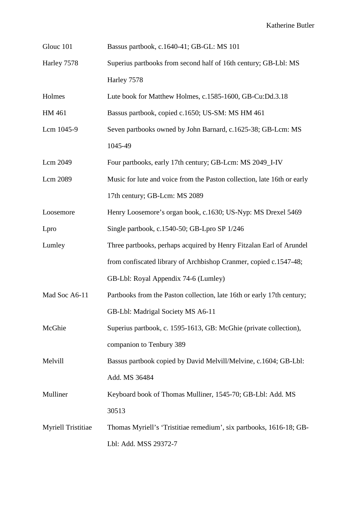| Glouc 101<br>Bassus partbook, c.1640-41; GB-GL: MS 101 |
|--------------------------------------------------------|
|--------------------------------------------------------|

Harley 7578 Superius partbooks from second half of 16th century; GB-Lbl: MS Harley 7578

Holmes Lute book for Matthew Holmes, c.1585-1600, GB-Cu:Dd.3.18

HM 461 Bassus partbook, copied c.1650; US-SM: MS HM 461

- Lcm 1045-9 Seven partbooks owned by John Barnard, c.1625-38; GB-Lcm: MS 1045-49
- Lcm 2049 Four partbooks, early 17th century; GB-Lcm: MS 2049\_I-IV

Lcm 2089 Music for lute and voice from the Paston collection, late 16th or early 17th century; GB-Lcm: MS 2089

Loosemore Henry Loosemore's organ book, c.1630; US-Nyp: MS Drexel 5469

Lpro Single partbook, c.1540-50; GB-Lpro SP 1/246

- Lumley Three partbooks, perhaps acquired by Henry Fitzalan Earl of Arundel from confiscated library of Archbishop Cranmer, copied c.1547-48; GB-Lbl: Royal Appendix 74-6 (Lumley)
- Mad Soc A6-11 Partbooks from the Paston collection, late 16th or early 17th century; GB-Lbl: Madrigal Society MS A6-11

McGhie Superius partbook, c. 1595-1613, GB: McGhie (private collection), companion to Tenbury 389

Melvill Bassus partbook copied by David Melvill/Melvine, c.1604; GB-Lbl: Add. MS 36484

Mulliner Keyboard book of Thomas Mulliner, 1545-70; GB-Lbl: Add. MS 30513

Myriell Tristitiae Thomas Myriell's 'Tristitiae remedium', six partbooks, 1616-18; GB-Lbl: Add. MSS 29372-7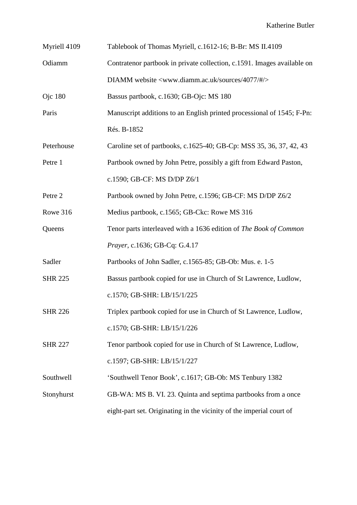| Myriell 4109   | Tablebook of Thomas Myriell, c.1612-16; B-Br: MS II.4109                  |  |  |  |  |
|----------------|---------------------------------------------------------------------------|--|--|--|--|
| Odiamm         | Contratenor partbook in private collection, c.1591. Images available on   |  |  |  |  |
|                | DIAMM website <www.diamm.ac.uk #="" 4077="" sources=""></www.diamm.ac.uk> |  |  |  |  |
| <b>Ojc</b> 180 | Bassus partbook, c.1630; GB-Ojc: MS 180                                   |  |  |  |  |
| Paris          | Manuscript additions to an English printed processional of 1545; F-Pn:    |  |  |  |  |
|                | Rés. B-1852                                                               |  |  |  |  |
| Peterhouse     | Caroline set of partbooks, c.1625-40; GB-Cp: MSS 35, 36, 37, 42, 43       |  |  |  |  |
| Petre 1        | Partbook owned by John Petre, possibly a gift from Edward Paston,         |  |  |  |  |
|                | c.1590; GB-CF: MS D/DP Z6/1                                               |  |  |  |  |
| Petre 2        | Partbook owned by John Petre, c.1596; GB-CF: MS D/DP Z6/2                 |  |  |  |  |
| Rowe 316       | Medius partbook, c.1565; GB-Ckc: Rowe MS 316                              |  |  |  |  |
| Queens         | Tenor parts interleaved with a 1636 edition of The Book of Common         |  |  |  |  |
|                | Prayer, c.1636; GB-Cq: G.4.17                                             |  |  |  |  |
| Sadler         | Partbooks of John Sadler, c.1565-85; GB-Ob: Mus. e. 1-5                   |  |  |  |  |
| <b>SHR 225</b> | Bassus partbook copied for use in Church of St Lawrence, Ludlow,          |  |  |  |  |
|                | c.1570; GB-SHR: LB/15/1/225                                               |  |  |  |  |
| <b>SHR 226</b> | Triplex partbook copied for use in Church of St Lawrence, Ludlow,         |  |  |  |  |
|                | c.1570; GB-SHR: LB/15/1/226                                               |  |  |  |  |
| <b>SHR 227</b> | Tenor partbook copied for use in Church of St Lawrence, Ludlow,           |  |  |  |  |
|                | c.1597; GB-SHR: LB/15/1/227                                               |  |  |  |  |
| Southwell      | 'Southwell Tenor Book', c.1617; GB-Ob: MS Tenbury 1382                    |  |  |  |  |
| Stonyhurst     | GB-WA: MS B. VI. 23. Quinta and septima partbooks from a once             |  |  |  |  |
|                | eight-part set. Originating in the vicinity of the imperial court of      |  |  |  |  |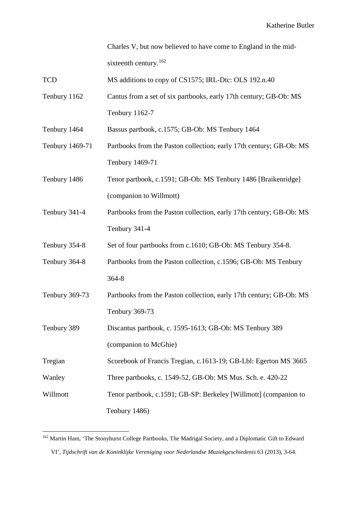Charles V, but now believed to have come to England in the mid-sixteenth century.<sup>[162](#page-107-0)</sup>

| TCD | MS additions to copy of CS1575; IRL-Dtc: OLS 192.n.40 |  |  |  |
|-----|-------------------------------------------------------|--|--|--|
|-----|-------------------------------------------------------|--|--|--|

Tenbury 1162 Cantus from a set of six partbooks, early 17th century; GB-Ob: MS Tenbury 1162-7

Tenbury 1464 Bassus partbook, c.1575; GB-Ob: MS Tenbury 1464

- Tenbury 1469-71 Partbooks from the Paston collection; early 17th century; GB-Ob: MS Tenbury 1469-71
- Tenbury 1486 Tenor partbook, c.1591; GB-Ob: MS Tenbury 1486 [Braikenridge] (companion to Willmott)
- Tenbury 341-4 Partbooks from the Paston collection, early 17th century; GB-Ob: MS Tenbury 341-4
- Tenbury 354-8 Set of four partbooks from c.1610; GB-Ob: MS Tenbury 354-8.
- Tenbury 364-8 Partbooks from the Paston collection, c.1596; GB-Ob: MS Tenbury 364-8
- Tenbury 369-73 Partbooks from the Paston collection, early 17th century; GB-Ob: MS Tenbury 369-73
- Tenbury 389 Discantus partbook, c. 1595-1613; GB-Ob: MS Tenbury 389 (companion to McGhie)

Tregian Scorebook of Francis Tregian, c.1613-19; GB-Lbl: Egerton MS 3665

- Wanley Three partbooks, c. 1549-52, GB-Ob: MS Mus. Sch. e. 420-22
- Willmott Tenor partbook, c.1591; GB-SP: Berkeley [Willmott] (companion to Tenbury 1486)

<span id="page-107-0"></span><sup>&</sup>lt;sup>162</sup> Martin Ham, 'The Stonyhurst College Partbooks, The Madrigal Society, and a Diplomatic Gift to Edward VI', *Tijdschrift van de Koninklijke Vereniging voor Nederlandse Muziekgeschiedenis* 63 (2013), 3-64.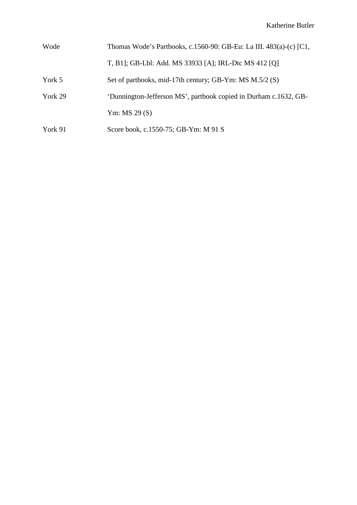| Wode    | Thomas Wode's Partbooks, c.1560-90: GB-Eu: La III. 483(a)-(c) [C1, |
|---------|--------------------------------------------------------------------|
|         | T, B1]; GB-Lbl: Add. MS 33933 [A]; IRL-Dtc MS 412 [Q]              |
| York 5  | Set of partbooks, mid-17th century; GB-Ym: MS M.5/2 (S)            |
| York 29 | 'Dunnington-Jefferson MS', partbook copied in Durham c.1632, GB-   |
|         | Ym: MS $29(S)$                                                     |
| York 91 | Score book, c.1550-75; GB-Ym: M 91 S                               |